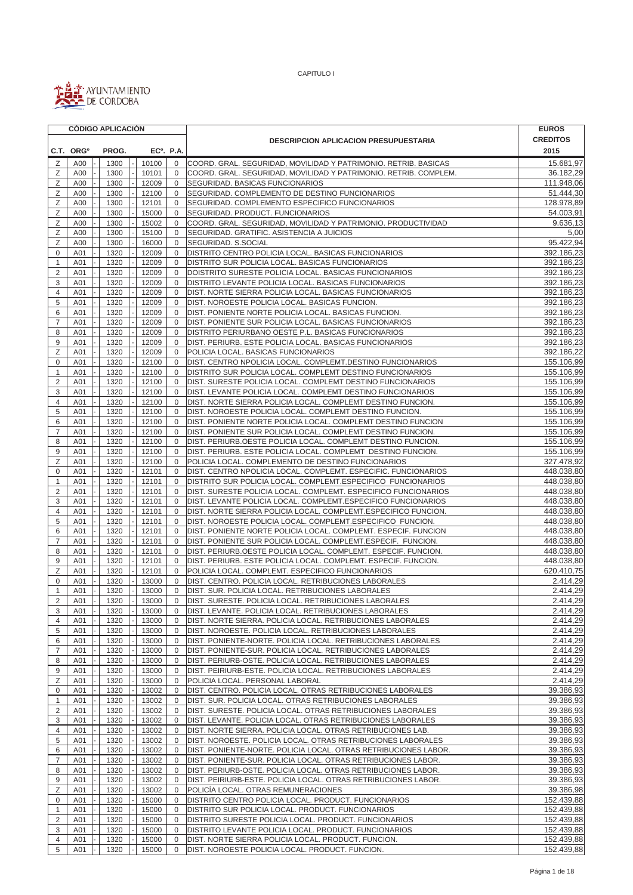

|                                |                       | <b>CÓDIGO APLICACIÓN</b> |                |                            |                                                                                                                        | <b>EUROS</b>             |
|--------------------------------|-----------------------|--------------------------|----------------|----------------------------|------------------------------------------------------------------------------------------------------------------------|--------------------------|
|                                |                       |                          |                |                            | <b>DESCRIPCION APLICACION PRESUPUESTARIA</b>                                                                           | <b>CREDITOS</b>          |
|                                | C.T. ORG <sup>o</sup> | PROG.                    |                | EC <sup>o</sup> , P.A.     |                                                                                                                        | 2015                     |
| Ζ                              | A00                   | 1300                     | 10100          | $\mathbf 0$                | COORD. GRAL. SEGURIDAD, MOVILIDAD Y PATRIMONIO. RETRIB. BASICAS                                                        | 15.681,97                |
| Ζ                              | A00                   | 1300                     | 10101          | 0                          | COORD. GRAL. SEGURIDAD, MOVILIDAD Y PATRIMONIO. RETRIB. COMPLEM.                                                       | 36.182,29                |
| Ζ                              | A00                   | 1300                     | 12009          | $\mathbf 0$                | SEGURIDAD. BASICAS FUNCIONARIOS                                                                                        | 111.948,06               |
| Ζ                              | A00                   | 1300                     | 12100          | $\mathbf 0$                | SEGURIDAD. COMPLEMENTO DE DESTINO FUNCIONARIOS                                                                         | 51.444,30                |
| Ζ                              | A00                   | 1300                     | 12101          | $\mathbf 0$                | SEGURIDAD. COMPLEMENTO ESPECIFICO FUNCIONARIOS                                                                         | 128.978,89               |
| Ζ                              | A00                   | 1300                     | 15000          | $\mathbf 0$                | SEGURIDAD. PRODUCT. FUNCIONARIOS                                                                                       | 54.003,91                |
| Ζ                              | A00                   | 1300                     | 15002          | $\mathbf{0}$               | COORD. GRAL. SEGURIDAD, MOVILIDAD Y PATRIMONIO. PRODUCTIVIDAD                                                          | 9.636,13                 |
| Ζ                              | A00                   | 1300                     | 15100          | $\mathbf 0$                | SEGURIDAD. GRATIFIC. ASISTENCIA A JUICIOS                                                                              | 5,00                     |
| Ζ                              | A00                   | 1300                     | 16000          | $\mathbf 0$                | SEGURIDAD. S.SOCIAL<br>DISTRITO CENTRO POLICIA LOCAL. BASICAS FUNCIONARIOS                                             | 95.422,94                |
| 0<br>$\mathbf{1}$              | A01<br>A01            | 1320<br>1320             | 12009<br>12009 | $\mathbf 0$<br>$\mathbf 0$ | DISTRITO SUR POLICIA LOCAL. BASICAS FUNCIONARIOS                                                                       | 392.186,23<br>392.186,23 |
| $\overline{2}$                 | A01                   | 1320                     | 12009          | $\mathbf{0}$               | DOISTRITO SURESTE POLICIA LOCAL. BASICAS FUNCIONARIOS                                                                  | 392.186,23               |
| 3                              | A01                   | 1320                     | 12009          | 0                          | DISTRITO LEVANTE POLICIA LOCAL. BASICAS FUNCIONARIOS                                                                   | 392.186,23               |
| 4                              | A01                   | 1320                     | 12009          | $\mathbf 0$                | DIST. NORTE SIERRA POLICIA LOCAL. BASICAS FUNCIONARIOS                                                                 | 392.186,23               |
| 5                              | A01                   | 1320                     | 12009          | $\mathbf 0$                | DIST. NOROESTE POLICIA LOCAL. BASICAS FUNCION.                                                                         | 392.186,23               |
| 6                              | A01                   | 1320                     | 12009          | $\mathbf 0$                | DIST. PONIENTE NORTE POLICIA LOCAL. BASICAS FUNCION.                                                                   | 392.186,23               |
| 7                              | A01                   | 1320                     | 12009          | $\mathbf 0$                | DIST. PONIENTE SUR POLICIA LOCAL. BASICAS FUNCIONARIOS                                                                 | 392.186,23               |
| 8                              | A01                   | 1320                     | 12009          | $\mathbf 0$                | DISTRITO PERIURBANO OESTE P.L. BASICAS FUNCIONARIOS                                                                    | 392.186,23               |
| 9                              | A01                   | 1320                     | 12009          | $\mathbf{0}$               | DIST. PERIURB. ESTE POLICIA LOCAL. BASICAS FUNCIONARIOS                                                                | 392.186,23               |
| Ζ                              | A01                   | 1320                     | 12009          | 0                          | POLICIA LOCAL. BASICAS FUNCIONARIOS                                                                                    | 392.186,22               |
| $\mathbf 0$                    | A01                   | 1320                     | 12100          | $\mathbf 0$                | DIST. CENTRO NPOLICIA LOCAL. COMPLEMT.DESTINO FUNCIONARIOS                                                             | 155.106,99               |
| 1                              | A01                   | 1320                     | 12100          | $\mathbf 0$                | DISTRITO SUR POLICIA LOCAL. COMPLEMT DESTINO FUNCIONARIOS                                                              | 155.106,99               |
| $\overline{2}$                 | A01                   | 1320                     | 12100          | $\mathbf{0}$               | DIST. SURESTE POLICIA LOCAL. COMPLEMT DESTINO FUNCIONARIOS                                                             | 155.106,99               |
| 3                              | A01                   | 1320                     | 12100          | $\mathbf 0$                | DIST. LEVANTE POLICIA LOCAL. COMPLEMT DESTINO FUNCIONARIOS                                                             | 155.106,99               |
| 4<br>5                         | A01<br>A01            | 1320<br>1320             | 12100          | $\mathbf 0$<br>$\mathbf 0$ | DIST. NORTE SIERRA POLICIA LOCAL. COMPLEMT DESTINO FUNCION.<br>DIST. NOROESTE POLICIA LOCAL. COMPLEMT DESTINO FUNCION. | 155.106,99               |
| 6                              | A01                   | 1320                     | 12100<br>12100 | 0                          | DIST. PONIENTE NORTE POLICIA LOCAL. COMPLEMT DESTINO FUNCION                                                           | 155.106,99<br>155.106,99 |
| $\overline{7}$                 | A01                   | 1320                     | 12100          | $\mathbf{0}$               | DIST. PONIENTE SUR POLICIA LOCAL. COMPLEMT DESTINO FUNCION.                                                            | 155.106,99               |
| 8                              | A01                   | 1320                     | 12100          | 0                          | DIST. PERIURB.OESTE POLICIA LOCAL. COMPLEMT DESTINO FUNCION.                                                           | 155.106,99               |
| 9                              | A01                   | 1320                     | 12100          | $\mathbf 0$                | DIST. PERIURB. ESTE POLICIA LOCAL. COMPLEMT DESTINO FUNCION.                                                           | 155.106,99               |
| Ζ                              | A01                   | 1320                     | 12100          | $\mathbf 0$                | POLICIA LOCAL. COMPLEMENTO DE DESTINO FUNCIONARIOS                                                                     | 327.478,92               |
| $\mathbf 0$                    | A01                   | 1320                     | 12101          | $\mathbf 0$                | DIST. CENTRO NPOLICIA LOCAL. COMPLEMT. ESPECIFIC. FUNCIONARIOS                                                         | 448.038,80               |
| $\mathbf{1}$                   | A01                   | 1320                     | 12101          | $\mathbf 0$                | DISTRITO SUR POLICIA LOCAL. COMPLEMT.ESPECIFICO FUNCIONARIOS                                                           | 448.038,80               |
| 2                              | A01                   | 1320                     | 12101          | 0                          | DIST. SURESTE POLICIA LOCAL. COMPLEMT. ESPECIFICO FUNCIONARIOS                                                         | 448.038,80               |
| 3                              | A01                   | 1320                     | 12101          | $\mathbf 0$                | DIST. LEVANTE POLICIA LOCAL. COMPLEMT.ESPECIFICO FUNCIONARIOS                                                          | 448.038,80               |
| $\overline{4}$                 | A01                   | 1320                     | 12101          | $\mathbf 0$                | DIST. NORTE SIERRA POLICIA LOCAL. COMPLEMT.ESPECIFICO FUNCION.                                                         | 448.038,80               |
| 5                              | A01                   | 1320                     | 12101          | $\mathbf 0$                | DIST. NOROESTE POLICIA LOCAL. COMPLEMT.ESPECIFICO FUNCION.                                                             | 448.038,80               |
| 6                              | A01                   | 1320                     | 12101          | 0                          | DIST. PONIENTE NORTE POLICIA LOCAL. COMPLEMT. ESPECIF. FUNCION                                                         | 448.038,80               |
| $\overline{7}$                 | A01                   | 1320                     | 12101          | $\mathbf 0$                | DIST. PONIENTE SUR POLICIA LOCAL. COMPLEMT.ESPECIF. FUNCION.                                                           | 448.038,80               |
| 8                              | A01                   | 1320                     | 12101          | $\mathbf 0$                | DIST. PERIURB.OESTE POLICIA LOCAL. COMPLEMT. ESPECIF. FUNCION.                                                         | 448.038,80               |
| 9                              | A01                   | 1320                     | 12101          | $\mathbf 0$<br>$\mathbf 0$ | DIST. PERIURB. ESTE POLICIA LOCAL. COMPLEMT. ESPECIF. FUNCION.                                                         | 448.038,80               |
| Ζ<br>0                         | A01<br>A01            | 1320<br>1320             | 12101<br>13000 | 0                          | POLICIA LOCAL. COMPLEMT. ESPECIFICO FUNCIONARIOS<br>DIST. CENTRO. POLICIA LOCAL. RETRIBUCIONES LABORALES               | 620.410,75<br>2.414,29   |
| $\mathbf{1}$                   | A01                   | 1320                     | 13000          | $\mathbf 0$                | DIST. SUR. POLICIA LOCAL. RETRIBUCIONES LABORALES                                                                      | 2.414,29                 |
| 2                              | A01                   | 1320                     | 13000          | 0                          | IDIST. SURESTE. POLICIA LOCAL. RETRIBUCIONES LABORALES                                                                 | 2.414,29                 |
| 3                              | A01                   | 1320                     | 13000          | 0                          | DIST. LEVANTE. POLICIA LOCAL. RETRIBUCIONES LABORALES                                                                  | 2.414,29                 |
| 4                              | A01                   | 1320                     | 13000          | 0                          | DIST. NORTE SIERRA. POLICIA LOCAL. RETRIBUCIONES LABORALES                                                             | 2.414,29                 |
| 5                              | A01                   | 1320                     | 13000          | 0                          | DIST. NOROESTE. POLICIA LOCAL. RETRIBUCIONES LABORALES                                                                 | 2.414,29                 |
| 6                              | A01                   | 1320                     | 13000          | 0                          | DIST. PONIENTE-NORTE. POLICIA LOCAL. RETRIBUCIONES LABORALES                                                           | 2.414,29                 |
| $\overline{7}$                 | A01                   | 1320                     | 13000          | 0                          | DIST. PONIENTE-SUR. POLICIA LOCAL. RETRIBUCIONES LABORALES                                                             | 2.414,29                 |
| 8                              | A01                   | 1320                     | 13000          | $\mathbf 0$                | DIST. PERIURB-OSTE. POLICIA LOCAL. RETRIBUCIONES LABORALES                                                             | 2.414,29                 |
| 9                              | A01                   | 1320                     | 13000          | 0                          | DIST. PEIRIURB-ESTE. POLICIA LOCAL. RETRIBUCIONES LABORALES                                                            | 2.414,29                 |
| Ζ                              | A01                   | 1320                     | 13000          | $\mathbf 0$                | POLICIA LOCAL. PERSONAL LABORAL                                                                                        | 2.414,29                 |
| 0                              | A01                   | 1320                     | 13002          | 0                          | DIST. CENTRO. POLICIA LOCAL. OTRAS RETRIBUCIONES LABORALES                                                             | 39.386,93                |
| $\mathbf{1}$<br>$\overline{2}$ | A01<br>A01            | 1320<br>1320             | 13002<br>13002 | 0<br>0                     | DIST. SUR. POLICIA LOCAL. OTRAS RETRIBUCIONES LABORALES<br>DIST. SURESTE. POLICIA LOCAL. OTRAS RETRIBUCIONES LABORALES | 39.386,93<br>39.386,93   |
| 3                              | A01                   | 1320                     | 13002          | 0                          | DIST. LEVANTE. POLICIA LOCAL. OTRAS RETRIBUCIONES LABORALES                                                            | 39.386,93                |
| 4                              | A01                   | 1320                     | 13002          | 0                          | DIST. NORTE SIERRA. POLICIA LOCAL. OTRAS RETRIBUCIONES LAB.                                                            | 39.386,93                |
| 5                              | A01                   | 1320                     | 13002          | 0                          | DIST. NOROESTE. POLICIA LOCAL. OTRAS RETRIBUCIONES LABORALES                                                           | 39.386,93                |
| 6                              | A01                   | 1320                     | 13002          | $\mathbf 0$                | DIST. PONIENTE-NORTE. POLICIA LOCAL. OTRAS RETRIBUCIONES LABOR.                                                        | 39.386,93                |
| $\overline{7}$                 | A01                   | 1320                     | 13002          | 0                          | DIST. PONIENTE-SUR. POLICIA LOCAL. OTRAS RETRIBUCIONES LABOR.                                                          | 39.386,93                |
| 8                              | A01                   | 1320                     | 13002          | 0                          | DIST. PERIURB-OSTE. POLICIA LOCAL. OTRAS RETRIBUCIONES LABOR.                                                          | 39.386,93                |
| 9                              | A01                   | 1320                     | 13002          | 0                          | DIST. PEIRIURB-ESTE. POLICIA LOCAL. OTRAS RETRIBUCIONES LABOR.                                                         | 39.386,93                |
| Ζ                              | A01                   | 1320                     | 13002          | 0                          | POLICÍA LOCAL. OTRAS REMUNERACIONES                                                                                    | 39.386,98                |
| 0                              | A01                   | 1320                     | 15000          | 0                          | DISTRITO CENTRO POLICIA LOCAL. PRODUCT. FUNCIONARIOS                                                                   | 152.439,88               |
| 1                              | A01                   | 1320                     | 15000          | 0                          | DISTRITO SUR POLICIA LOCAL. PRODUCT. FUNCIONARIOS                                                                      | 152.439,88               |
| 2                              | A01                   | 1320                     | 15000          | $\mathbf 0$                | DISTRITO SURESTE POLICIA LOCAL. PRODUCT. FUNCIONARIOS                                                                  | 152.439,88               |
| 3                              | A01                   | 1320                     | 15000          | 0                          | DISTRITO LEVANTE POLICIA LOCAL. PRODUCT. FUNCIONARIOS                                                                  | 152.439,88               |
| 4<br>5                         | A01                   | 1320                     | 15000          | $\mathbf 0$<br>$\mathbf 0$ | DIST. NORTE SIERRA POLICIA LOCAL. PRODUCT. FUNCION.                                                                    | 152.439,88               |
|                                | A01                   | 1320                     | 15000          |                            | DIST. NOROESTE POLICIA LOCAL. PRODUCT. FUNCION.                                                                        | 152.439,88               |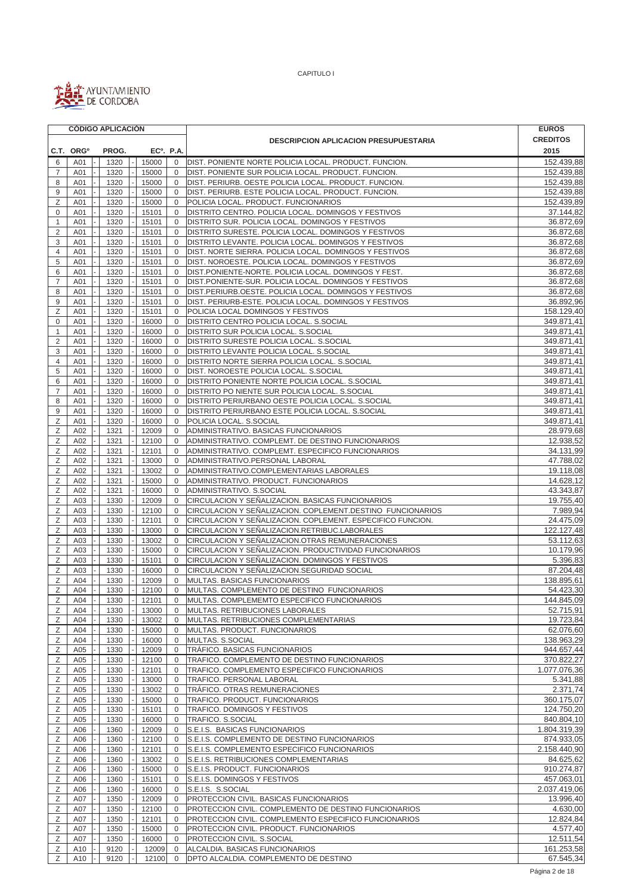

 $\blacksquare$ 

CAPITULO I

|                     |                       | <b>CÓDIGO APLICACIÓN</b> |                        |                         |                                                                                                              | <b>EUROS</b><br><b>CREDITOS</b><br>2015<br>152.439,88<br>152.439,88<br>152.439,88<br>152.439,88<br>152.439,89<br>37.144,82<br>36.872,69<br>36.872,68<br>36.872,68<br>36.872,68<br>36.872,69<br>36.872,68<br>36.872,68<br>36.872,68<br>36.892,96<br>158.129,40<br>349.871,41<br>349.871,41<br>349.871,41<br>349.871,41<br>349.871,41<br>349.871,41<br>349.871,41<br>349.871,41<br>349.871,41<br>349.871,41<br>349.871,41<br>28.979,68<br>12.938,52<br>34.131,99<br>47.788,02<br>19.118,08<br>14.628,12<br>43.343,87<br>19.755,40<br>7.989,94<br>24.475,09<br>122.127,48<br>53.112,63<br>10.179,96<br>5.396,83<br>87.204,48<br>138.895,61<br>54.423,30<br>144.845,09<br>52.715,91<br>19.723,84<br>62.076,60<br>138.963,29<br>944.657,44<br>370.822,27<br>1.077.076,36<br>5.341,88<br>2.371,74<br>360.175,07<br>124.750,20<br>840.804,10<br>1.804.319,39<br>874.933,05<br>2.158.440,90<br>84.625,62<br>910.274,87<br>457.063,01<br>2.037.419,06<br>13.996,40<br>4.630,00 |
|---------------------|-----------------------|--------------------------|------------------------|-------------------------|--------------------------------------------------------------------------------------------------------------|-----------------------------------------------------------------------------------------------------------------------------------------------------------------------------------------------------------------------------------------------------------------------------------------------------------------------------------------------------------------------------------------------------------------------------------------------------------------------------------------------------------------------------------------------------------------------------------------------------------------------------------------------------------------------------------------------------------------------------------------------------------------------------------------------------------------------------------------------------------------------------------------------------------------------------------------------------------------------|
|                     |                       |                          |                        |                         | <b>DESCRIPCION APLICACION PRESUPUESTARIA</b>                                                                 |                                                                                                                                                                                                                                                                                                                                                                                                                                                                                                                                                                                                                                                                                                                                                                                                                                                                                                                                                                       |
|                     | C.T. ORG <sup>o</sup> | PROG.                    | EC <sup>o</sup> . P.A. |                         |                                                                                                              |                                                                                                                                                                                                                                                                                                                                                                                                                                                                                                                                                                                                                                                                                                                                                                                                                                                                                                                                                                       |
| 6                   | A01                   | 1320                     | 15000                  | $\mathbf 0$             | DIST. PONIENTE NORTE POLICIA LOCAL. PRODUCT. FUNCION.                                                        |                                                                                                                                                                                                                                                                                                                                                                                                                                                                                                                                                                                                                                                                                                                                                                                                                                                                                                                                                                       |
| $\overline{7}$      | A01                   | 1320                     | 15000                  | 0                       | DIST. PONIENTE SUR POLICIA LOCAL. PRODUCT. FUNCION.                                                          |                                                                                                                                                                                                                                                                                                                                                                                                                                                                                                                                                                                                                                                                                                                                                                                                                                                                                                                                                                       |
| 8                   | A01                   | 1320                     | 15000                  | $\mathbf 0$             | DIST. PERIURB. OESTE POLICIA LOCAL. PRODUCT. FUNCION.                                                        |                                                                                                                                                                                                                                                                                                                                                                                                                                                                                                                                                                                                                                                                                                                                                                                                                                                                                                                                                                       |
| 9                   | A01                   | 1320                     | 15000                  | $\mathbf 0$             | DIST. PERIURB. ESTE POLICIA LOCAL. PRODUCT. FUNCION.                                                         |                                                                                                                                                                                                                                                                                                                                                                                                                                                                                                                                                                                                                                                                                                                                                                                                                                                                                                                                                                       |
| Z                   | A01                   | 1320                     | 15000                  | $\mathbf 0$             | POLICIA LOCAL. PRODUCT. FUNCIONARIOS                                                                         |                                                                                                                                                                                                                                                                                                                                                                                                                                                                                                                                                                                                                                                                                                                                                                                                                                                                                                                                                                       |
| $\mathbf 0$         | A01                   | 1320                     | 15101                  | 0                       | DISTRITO CENTRO. POLICIA LOCAL. DOMINGOS Y FESTIVOS                                                          |                                                                                                                                                                                                                                                                                                                                                                                                                                                                                                                                                                                                                                                                                                                                                                                                                                                                                                                                                                       |
| $\mathbf{1}$        | A01                   | 1320                     | 15101                  | $\mathbf 0$             | DISTRITO SUR. POLICIA LOCAL. DOMINGOS Y FESTIVOS                                                             |                                                                                                                                                                                                                                                                                                                                                                                                                                                                                                                                                                                                                                                                                                                                                                                                                                                                                                                                                                       |
| $\overline{2}$      | A01                   | 1320                     | 15101                  | $\mathbf 0$             | DISTRITO SURESTE. POLICIA LOCAL. DOMINGOS Y FESTIVOS                                                         |                                                                                                                                                                                                                                                                                                                                                                                                                                                                                                                                                                                                                                                                                                                                                                                                                                                                                                                                                                       |
| 3<br>$\overline{4}$ | A01                   | 1320                     | 15101<br>15101         | $\mathbf 0$<br>$\Omega$ | DISTRITO LEVANTE. POLICIA LOCAL. DOMINGOS Y FESTIVOS                                                         |                                                                                                                                                                                                                                                                                                                                                                                                                                                                                                                                                                                                                                                                                                                                                                                                                                                                                                                                                                       |
| 5                   | A01<br>A01            | 1320<br>1320             | 15101                  | $\mathbf 0$             | DIST. NORTE SIERRA. POLICIA LOCAL. DOMINGOS Y FESTIVOS<br>DIST. NOROESTE. POLICIA LOCAL. DOMINGOS Y FESTIVOS |                                                                                                                                                                                                                                                                                                                                                                                                                                                                                                                                                                                                                                                                                                                                                                                                                                                                                                                                                                       |
| 6                   | A01                   | 1320                     | 15101                  | $\mathbf 0$             | DIST.PONIENTE-NORTE. POLICIA LOCAL. DOMINGOS Y FEST.                                                         |                                                                                                                                                                                                                                                                                                                                                                                                                                                                                                                                                                                                                                                                                                                                                                                                                                                                                                                                                                       |
| $\overline{7}$      | A01                   | 1320                     | 15101                  | $\mathbf 0$             | DIST.PONIENTE-SUR. POLICIA LOCAL. DOMINGOS Y FESTIVOS                                                        |                                                                                                                                                                                                                                                                                                                                                                                                                                                                                                                                                                                                                                                                                                                                                                                                                                                                                                                                                                       |
| 8                   | A01                   | 1320                     | 15101                  | $\mathbf 0$             | DIST.PERIURB.OESTE. POLICIA LOCAL. DOMINGOS Y FESTIVOS                                                       |                                                                                                                                                                                                                                                                                                                                                                                                                                                                                                                                                                                                                                                                                                                                                                                                                                                                                                                                                                       |
| 9                   | A01                   | 1320                     | 15101                  | $\mathbf 0$             | DIST. PERIURB-ESTE. POLICIA LOCAL. DOMINGOS Y FESTIVOS                                                       |                                                                                                                                                                                                                                                                                                                                                                                                                                                                                                                                                                                                                                                                                                                                                                                                                                                                                                                                                                       |
| Z                   | A01                   | 1320                     | 15101                  | $\mathbf 0$             | POLICIA LOCAL DOMINGOS Y FESTIVOS                                                                            |                                                                                                                                                                                                                                                                                                                                                                                                                                                                                                                                                                                                                                                                                                                                                                                                                                                                                                                                                                       |
| $\mathbf 0$         | A01                   | 1320                     | 16000                  | $\Omega$                | DISTRITO CENTRO POLICIA LOCAL. S.SOCIAL                                                                      |                                                                                                                                                                                                                                                                                                                                                                                                                                                                                                                                                                                                                                                                                                                                                                                                                                                                                                                                                                       |
| 1                   | A01                   | 1320                     | 16000                  | 0                       | DISTRITO SUR POLICIA LOCAL. S.SOCIAL                                                                         |                                                                                                                                                                                                                                                                                                                                                                                                                                                                                                                                                                                                                                                                                                                                                                                                                                                                                                                                                                       |
| $\overline{2}$      | A01                   | 1320                     | 16000                  | $\mathbf 0$             | DISTRITO SURESTE POLICIA LOCAL. S.SOCIAL                                                                     |                                                                                                                                                                                                                                                                                                                                                                                                                                                                                                                                                                                                                                                                                                                                                                                                                                                                                                                                                                       |
| 3                   | A01                   | 1320                     | 16000                  | 0                       | DISTRITO LEVANTE POLICIA LOCAL. S.SOCIAL                                                                     |                                                                                                                                                                                                                                                                                                                                                                                                                                                                                                                                                                                                                                                                                                                                                                                                                                                                                                                                                                       |
| $\overline{4}$      | A01                   | 1320                     | 16000                  | $\mathbf 0$             | DISTRITO NORTE SIERRA POLICIA LOCAL. S.SOCIAL                                                                |                                                                                                                                                                                                                                                                                                                                                                                                                                                                                                                                                                                                                                                                                                                                                                                                                                                                                                                                                                       |
| 5                   | A01                   | 1320                     | 16000                  | $\mathbf 0$             | DIST. NOROESTE POLICIA LOCAL. S.SOCIAL                                                                       |                                                                                                                                                                                                                                                                                                                                                                                                                                                                                                                                                                                                                                                                                                                                                                                                                                                                                                                                                                       |
| 6                   | A01                   | 1320                     | 16000                  | $\mathbf 0$             | DISTRITO PONIENTE NORTE POLICIA LOCAL. S.SOCIAL                                                              |                                                                                                                                                                                                                                                                                                                                                                                                                                                                                                                                                                                                                                                                                                                                                                                                                                                                                                                                                                       |
| $\overline{7}$      | A01                   | 1320                     | 16000                  | $\mathbf 0$             | DISTRITO PO NIENTE SUR POLICIA LOCAL. S.SOCIAL                                                               |                                                                                                                                                                                                                                                                                                                                                                                                                                                                                                                                                                                                                                                                                                                                                                                                                                                                                                                                                                       |
| 8                   | A01                   | 1320                     | 16000                  | $\mathbf 0$             | DISTRITO PERIURBANO OESTE POLICIA LOCAL. S.SOCIAL                                                            |                                                                                                                                                                                                                                                                                                                                                                                                                                                                                                                                                                                                                                                                                                                                                                                                                                                                                                                                                                       |
| 9                   | A01                   | 1320                     | 16000                  | $\Omega$                | DISTRITO PERIURBANO ESTE POLICIA LOCAL. S.SOCIAL                                                             |                                                                                                                                                                                                                                                                                                                                                                                                                                                                                                                                                                                                                                                                                                                                                                                                                                                                                                                                                                       |
| Ζ                   | A01                   | 1320                     | 16000                  | $\mathbf 0$             | POLICIA LOCAL. S.SOCIAL                                                                                      |                                                                                                                                                                                                                                                                                                                                                                                                                                                                                                                                                                                                                                                                                                                                                                                                                                                                                                                                                                       |
| Ζ                   | A02                   | 1321                     | 12009                  | $\mathbf 0$             | ADMINISTRATIVO. BASICAS FUNCIONARIOS                                                                         |                                                                                                                                                                                                                                                                                                                                                                                                                                                                                                                                                                                                                                                                                                                                                                                                                                                                                                                                                                       |
| Ζ<br>Ζ              | A02<br>A02            | 1321<br>1321             | 12100<br>12101         | 0<br>$\mathbf 0$        | ADMINISTRATIVO. COMPLEMT. DE DESTINO FUNCIONARIOS<br>ADMINISTRATIVO. COMPLEMT. ESPECIFICO FUNCIONARIOS       |                                                                                                                                                                                                                                                                                                                                                                                                                                                                                                                                                                                                                                                                                                                                                                                                                                                                                                                                                                       |
| Ζ                   | A02                   | 1321                     | 13000                  | 0                       | ADMINISTRATIVO.PERSONAL LABORAL                                                                              |                                                                                                                                                                                                                                                                                                                                                                                                                                                                                                                                                                                                                                                                                                                                                                                                                                                                                                                                                                       |
| Ζ                   | A02                   | 1321                     | 13002                  | $\mathbf 0$             | ADMINISTRATIVO.COMPLEMENTARIAS LABORALES                                                                     |                                                                                                                                                                                                                                                                                                                                                                                                                                                                                                                                                                                                                                                                                                                                                                                                                                                                                                                                                                       |
| Ζ                   | A02                   | 1321                     | 15000                  | $\mathbf 0$             | ADMINISTRATIVO. PRODUCT. FUNCIONARIOS                                                                        |                                                                                                                                                                                                                                                                                                                                                                                                                                                                                                                                                                                                                                                                                                                                                                                                                                                                                                                                                                       |
| Ζ                   | A02                   | 1321                     | 16000                  | $\mathbf 0$             | ADMINISTRATIVO. S.SOCIAL                                                                                     |                                                                                                                                                                                                                                                                                                                                                                                                                                                                                                                                                                                                                                                                                                                                                                                                                                                                                                                                                                       |
| Ζ                   | A03                   | 1330                     | 12009                  | $\mathbf 0$             | CIRCULACION Y SEÑALIZACION. BASICAS FUNCIONARIOS                                                             |                                                                                                                                                                                                                                                                                                                                                                                                                                                                                                                                                                                                                                                                                                                                                                                                                                                                                                                                                                       |
| Ζ                   | A03                   | 1330                     | 12100                  | 0                       | CIRCULACION Y SEÑALIZACION. COPLEMENT. DESTINO FUNCIONARIOS                                                  |                                                                                                                                                                                                                                                                                                                                                                                                                                                                                                                                                                                                                                                                                                                                                                                                                                                                                                                                                                       |
| Ζ                   | A03                   | 1330                     | 12101                  | $\mathbf 0$             | CIRCULACION Y SEÑALIZACION. COPLEMENT. ESPECIFICO FUNCION.                                                   |                                                                                                                                                                                                                                                                                                                                                                                                                                                                                                                                                                                                                                                                                                                                                                                                                                                                                                                                                                       |
| Ζ                   | A03                   | 1330                     | 13000                  | $\mathbf 0$             | CIRCULACION Y SEÑALIZACION.RETRIBUC.LABORALES                                                                |                                                                                                                                                                                                                                                                                                                                                                                                                                                                                                                                                                                                                                                                                                                                                                                                                                                                                                                                                                       |
| Ζ                   | A03                   | 1330                     | 13002                  | $\mathbf 0$             | CIRCULACION Y SEÑALIZACION.OTRAS REMUNERACIONES                                                              |                                                                                                                                                                                                                                                                                                                                                                                                                                                                                                                                                                                                                                                                                                                                                                                                                                                                                                                                                                       |
| Ζ                   | A03                   | 1330                     | 15000                  | $\mathbf 0$             | CIRCULACION Y SENALIZACION. PRODUCTIVIDAD FUNCIONARIOS                                                       |                                                                                                                                                                                                                                                                                                                                                                                                                                                                                                                                                                                                                                                                                                                                                                                                                                                                                                                                                                       |
| Ζ                   | A03                   | 1330                     | 15101                  | $\mathbf 0$             | CIRCULACION Y SEÑALIZACION. DOMINGOS Y FESTIVOS                                                              |                                                                                                                                                                                                                                                                                                                                                                                                                                                                                                                                                                                                                                                                                                                                                                                                                                                                                                                                                                       |
| Ζ                   | A03                   | 1330                     | 16000                  | $\Omega$                | CIRCULACION Y SEÑALIZACION.SEGURIDAD SOCIAL                                                                  |                                                                                                                                                                                                                                                                                                                                                                                                                                                                                                                                                                                                                                                                                                                                                                                                                                                                                                                                                                       |
| Ζ                   | A04                   | 1330                     | 12009                  | 0                       | MULTAS. BASICAS FUNCIONARIOS                                                                                 |                                                                                                                                                                                                                                                                                                                                                                                                                                                                                                                                                                                                                                                                                                                                                                                                                                                                                                                                                                       |
| Ζ                   | A04                   | 1330                     | 12100                  | $\mathbf 0$             | MULTAS. COMPLEMENTO DE DESTINO FUNCIONARIOS                                                                  |                                                                                                                                                                                                                                                                                                                                                                                                                                                                                                                                                                                                                                                                                                                                                                                                                                                                                                                                                                       |
| $\angle$            | A04                   | 1330                     | 12101                  | $\cup$                  | MULTAS. COMPLEMEMTO ESPECIFICO FUNCIONARIOS                                                                  |                                                                                                                                                                                                                                                                                                                                                                                                                                                                                                                                                                                                                                                                                                                                                                                                                                                                                                                                                                       |
| Ζ                   | A04                   | 1330                     | 13000                  | $\mathbf 0$             | MULTAS. RETRIBUCIONES LABORALES                                                                              |                                                                                                                                                                                                                                                                                                                                                                                                                                                                                                                                                                                                                                                                                                                                                                                                                                                                                                                                                                       |
| Ζ<br>Ζ              | A04<br>A04            | 1330<br>1330             | 13002<br>15000         | 0<br>$\mathbf 0$        | MULTAS. RETRIBUCIONES COMPLEMENTARIAS<br>MULTAS. PRODUCT. FUNCIONARIOS                                       |                                                                                                                                                                                                                                                                                                                                                                                                                                                                                                                                                                                                                                                                                                                                                                                                                                                                                                                                                                       |
| Ζ                   | A04                   | 1330                     | 16000                  | $\mathbf 0$             | MULTAS. S.SOCIAL                                                                                             |                                                                                                                                                                                                                                                                                                                                                                                                                                                                                                                                                                                                                                                                                                                                                                                                                                                                                                                                                                       |
| Ζ                   | A05                   | 1330                     | 12009                  | $\mathbf 0$             | TRÁFICO. BASICAS FUNCIONARIOS                                                                                |                                                                                                                                                                                                                                                                                                                                                                                                                                                                                                                                                                                                                                                                                                                                                                                                                                                                                                                                                                       |
| Ζ                   | A05                   | 1330                     | 12100                  | $\mathbf 0$             | TRAFICO. COMPLEMENTO DE DESTINO FUNCIONARIOS                                                                 |                                                                                                                                                                                                                                                                                                                                                                                                                                                                                                                                                                                                                                                                                                                                                                                                                                                                                                                                                                       |
| Ζ                   | A05                   | 1330                     | 12101                  | 0                       | TRAFICO. COMPLEMENTO ESPECIFICO FUNCIONARIOS                                                                 |                                                                                                                                                                                                                                                                                                                                                                                                                                                                                                                                                                                                                                                                                                                                                                                                                                                                                                                                                                       |
| Ζ                   | A05                   | 1330                     | 13000                  | $\mathbf 0$             | TRAFICO. PERSONAL LABORAL                                                                                    |                                                                                                                                                                                                                                                                                                                                                                                                                                                                                                                                                                                                                                                                                                                                                                                                                                                                                                                                                                       |
| Ζ                   | A05                   | 1330                     | 13002                  | 0                       | TRÁFICO. OTRAS REMUNERACIONES                                                                                |                                                                                                                                                                                                                                                                                                                                                                                                                                                                                                                                                                                                                                                                                                                                                                                                                                                                                                                                                                       |
| Ζ                   | A05                   | 1330                     | 15000                  | $\mathbf{0}$            | TRAFICO. PRODUCT. FUNCIONARIOS                                                                               |                                                                                                                                                                                                                                                                                                                                                                                                                                                                                                                                                                                                                                                                                                                                                                                                                                                                                                                                                                       |
| Ζ                   | A05                   | 1330                     | 15101                  | 0                       | TRAFICO. DOMINGOS Y FESTIVOS                                                                                 |                                                                                                                                                                                                                                                                                                                                                                                                                                                                                                                                                                                                                                                                                                                                                                                                                                                                                                                                                                       |
| Ζ                   | A05                   | 1330                     | 16000                  | 0                       | TRAFICO. S.SOCIAL                                                                                            |                                                                                                                                                                                                                                                                                                                                                                                                                                                                                                                                                                                                                                                                                                                                                                                                                                                                                                                                                                       |
| Ζ                   | A06                   | 1360                     | 12009                  | 0                       | S.E.I.S. BASICAS FUNCIONARIOS                                                                                |                                                                                                                                                                                                                                                                                                                                                                                                                                                                                                                                                                                                                                                                                                                                                                                                                                                                                                                                                                       |
| Ζ                   | A06                   | 1360                     | 12100                  | 0                       | S.E.I.S. COMPLEMENTO DE DESTINO FUNCIONARIOS                                                                 |                                                                                                                                                                                                                                                                                                                                                                                                                                                                                                                                                                                                                                                                                                                                                                                                                                                                                                                                                                       |
| Ζ                   | A06                   | 1360                     | 12101                  | $\mathbf 0$             | S.E.I.S. COMPLEMENTO ESPECIFICO FUNCIONARIOS                                                                 |                                                                                                                                                                                                                                                                                                                                                                                                                                                                                                                                                                                                                                                                                                                                                                                                                                                                                                                                                                       |
| Ζ                   | A06                   | 1360                     | 13002                  | 0                       | S.E.I.S. RETRIBUCIONES COMPLEMENTARIAS                                                                       |                                                                                                                                                                                                                                                                                                                                                                                                                                                                                                                                                                                                                                                                                                                                                                                                                                                                                                                                                                       |
| $\mathsf Z$         | A06                   | 1360                     | 15000                  | $\mathbf 0$             | S.E.I.S. PRODUCT. FUNCIONARIOS                                                                               |                                                                                                                                                                                                                                                                                                                                                                                                                                                                                                                                                                                                                                                                                                                                                                                                                                                                                                                                                                       |
| Ζ                   | A06                   | 1360                     | 15101                  | 0                       | S.E.I.S. DOMINGOS Y FESTIVOS                                                                                 |                                                                                                                                                                                                                                                                                                                                                                                                                                                                                                                                                                                                                                                                                                                                                                                                                                                                                                                                                                       |
| Ζ<br>Ζ              | A06<br>A07            | 1360<br>1350             | 16000<br>12009         | 0<br>0                  | S.E.I.S. S.SOCIAL<br>PROTECCION CIVIL. BASICAS FUNCIONARIOS                                                  |                                                                                                                                                                                                                                                                                                                                                                                                                                                                                                                                                                                                                                                                                                                                                                                                                                                                                                                                                                       |
| Ζ                   | A07                   | 1350                     | 12100                  | 0                       | PROTECCION CIVIL. COMPLEMENTO DE DESTINO FUNCIONARIOS                                                        |                                                                                                                                                                                                                                                                                                                                                                                                                                                                                                                                                                                                                                                                                                                                                                                                                                                                                                                                                                       |
| Ζ                   | A07                   | 1350                     | 12101                  | $\mathbf 0$             | PROTECCION CIVIL. COMPLEMENTO ESPECIFICO FUNCIONARIOS                                                        | 12.824,84                                                                                                                                                                                                                                                                                                                                                                                                                                                                                                                                                                                                                                                                                                                                                                                                                                                                                                                                                             |
| Ζ                   | A07                   | 1350                     | 15000                  | 0                       | PROTECCION CIVIL. PRODUCT. FUNCIONARIOS                                                                      | 4.577,40                                                                                                                                                                                                                                                                                                                                                                                                                                                                                                                                                                                                                                                                                                                                                                                                                                                                                                                                                              |
| Ζ                   | A07                   | 1350                     | 16000                  | $\mathbf 0$             | PROTECCION CIVIL. S.SOCIAL                                                                                   | 12.511,54                                                                                                                                                                                                                                                                                                                                                                                                                                                                                                                                                                                                                                                                                                                                                                                                                                                                                                                                                             |
| Ζ                   | A10                   | 9120                     | 12009                  | 0                       | ALCALDIA. BASICAS FUNCIONARIOS                                                                               | 161.253,58                                                                                                                                                                                                                                                                                                                                                                                                                                                                                                                                                                                                                                                                                                                                                                                                                                                                                                                                                            |
| Ζ                   | A10                   | 9120                     | 12100                  | $\mathbf{0}$            | DPTO ALCALDIA. COMPLEMENTO DE DESTINO                                                                        | 67.545,34                                                                                                                                                                                                                                                                                                                                                                                                                                                                                                                                                                                                                                                                                                                                                                                                                                                                                                                                                             |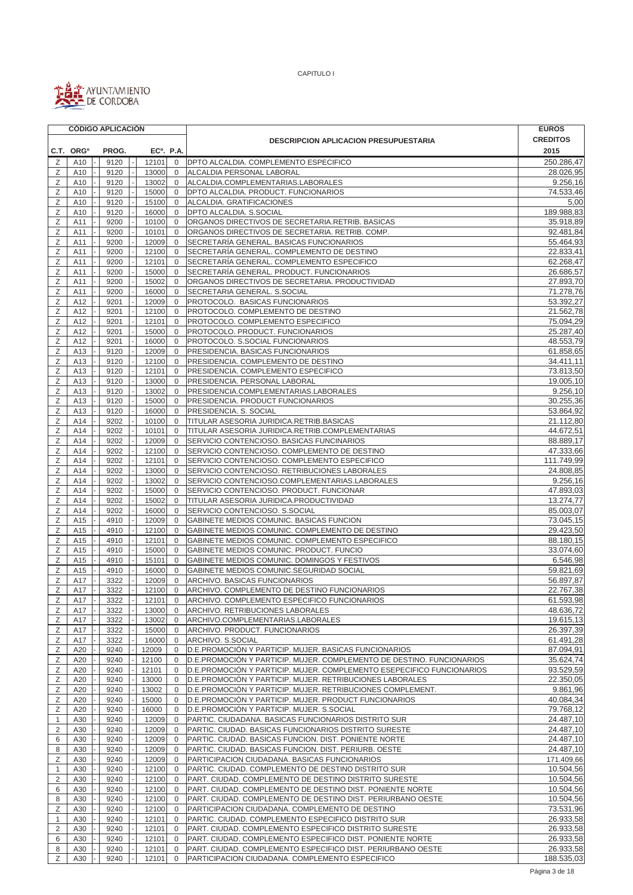

|                |                       |  | <b>CÓDIGO APLICACIÓN</b> |  |                        |                             |                                                                                             | <b>EUROS</b>           |
|----------------|-----------------------|--|--------------------------|--|------------------------|-----------------------------|---------------------------------------------------------------------------------------------|------------------------|
|                |                       |  |                          |  |                        |                             | <b>DESCRIPCION APLICACION PRESUPUESTARIA</b>                                                | <b>CREDITOS</b>        |
|                | C.T. ORG <sup>o</sup> |  | PROG.                    |  | EC <sup>o</sup> . P.A. |                             |                                                                                             | 2015                   |
| Ζ              | A10                   |  | 9120                     |  | 12101                  | $\mathbf 0$                 | <b>DPTO ALCALDIA. COMPLEMENTO ESPECIFICO</b>                                                | 250.286,47             |
| Ζ              | A10                   |  | 9120                     |  | 13000                  | $\mathbf 0$                 | ALCALDIA PERSONAL LABORAL                                                                   | 28.026,95              |
| Ζ              | A10                   |  | 9120                     |  | 13002                  | $\mathbf 0$                 | ALCALDIA.COMPLEMENTARIAS.LABORALES                                                          | 9.256,16               |
| Ζ              | A10                   |  | 9120                     |  | 15000                  | $\mathbf 0$                 | DPTO ALCALDIA. PRODUCT. FUNCIONARIOS                                                        | 74.533,46              |
| Ζ              | A10                   |  | 9120                     |  | 15100                  | $\mathbf 0$                 | ALCALDIA. GRATIFICACIONES                                                                   | 5,00                   |
| Ζ              | A10                   |  | 9120                     |  | 16000                  | $\mathbf 0$                 | DPTO ALCALDIA. S.SOCIAL                                                                     | 189.988,83             |
| Ζ              | A11                   |  | 9200                     |  | 10100                  | $\mathbf 0$                 | ORGANOS DIRECTIVOS DE SECRETARIA.RETRIB. BASICAS                                            | 35.918,89              |
| Ζ              | A11                   |  | 9200                     |  | 10101                  | $\mathbf 0$                 | ORGANOS DIRECTIVOS DE SECRETARIA. RETRIB. COMP.                                             | 92.481,84              |
| Ζ              | A11                   |  | 9200                     |  | 12009                  | $\mathbf 0$                 | SECRETARÍA GENERAL. BASICAS FUNCIONARIOS                                                    | 55.464,93              |
| Ζ              | A11                   |  | 9200                     |  | 12100                  | $\mathbf 0$                 | SECRETARÍA GENERAL. COMPLEMENTO DE DESTINO                                                  | 22.833,41              |
| Ζ              | A11                   |  | 9200                     |  | 12101                  | $\mathbf{0}$                | SECRETARÍA GENERAL. COMPLEMENTO ESPECIFICO                                                  | 62.268,47              |
| Ζ              | A11                   |  | 9200                     |  | 15000                  | $\mathbf 0$                 | SECRETARÍA GENERAL. PRODUCT. FUNCIONARIOS                                                   | 26.686,57              |
| Ζ              | A11                   |  | 9200                     |  | 15002                  | $\mathbf 0$                 | ORGANOS DIRECTIVOS DE SECRETARIA. PRODUCTIVIDAD                                             | 27.893,70              |
| Ζ              | A11                   |  | 9200                     |  | 16000                  | $\mathbf 0$                 | SECRETARIA GENERAL. S.SOCIAL                                                                | 71.278,76              |
| Ζ              | A12                   |  | 9201                     |  | 12009                  | $\mathbf 0$                 | PROTOCOLO. BASICAS FUNCIONARIOS                                                             | 53.392,27              |
| Ζ              | A12                   |  | 9201                     |  | 12100                  | $\mathbf{0}$                | PROTOCOLO. COMPLEMENTO DE DESTINO                                                           | 21.562,78              |
| Ζ              | A12                   |  | 9201                     |  | 12101                  | $\mathbf 0$                 | PROTOCOLO. COMPLEMENTO ESPECIFICO                                                           | 75.094,29              |
| Ζ              | A12                   |  | 9201                     |  | 15000                  | $\mathbf 0$                 | PROTOCOLO. PRODUCT. FUNCIONARIOS                                                            | 25.287,40              |
| Ζ              | A12                   |  | 9201                     |  | 16000                  | $\mathbf 0$                 | PROTOCOLO. S.SOCIAL FUNCIONARIOS                                                            | 48.553,79              |
| Ζ              | A13                   |  | 9120                     |  | 12009                  | $\mathbf 0$                 | PRESIDENCIA. BASICAS FUNCIONARIOS                                                           | 61.858,65              |
| Ζ              | A13                   |  | 9120                     |  | 12100                  | $\mathbf 0$                 | PRESIDENCIA. COMPLEMENTO DE DESTINO                                                         | 34.411,11              |
| Ζ              | A13                   |  | 9120                     |  | 12101                  | $\mathbf{0}$                | PRESIDENCIA. COMPLEMENTO ESPECIFICO                                                         | 73.813,50              |
| Ζ              | A13                   |  | 9120                     |  | 13000                  | $\mathbf 0$                 | PRESIDENCIA. PERSONAL LABORAL                                                               | 19.005,10              |
| Ζ              | A13                   |  | 9120                     |  | 13002                  | $\mathbf 0$                 | PRESIDENCIA.COMPLEMENTARIAS.LABORALES                                                       | 9.256,10               |
| Ζ              | A13                   |  | 9120                     |  | 15000                  | $\mathbf 0$                 | PRESIDENCIA. PRODUCT FUNCIONARIOS                                                           | 30.255,36              |
| Ζ              | A13                   |  | 9120                     |  | 16000                  | $\mathbf{0}$                | PRESIDENCIA. S. SOCIAL                                                                      | 53.864,92              |
| Ζ              | A14                   |  | 9202                     |  | 10100                  | 0                           | TITULAR ASESORIA JURIDICA.RETRIB.BASICAS                                                    | 21.112,80              |
| Ζ              | A14                   |  | 9202                     |  | 10101                  | $\mathbf 0$                 | TITULAR ASESORIA JURIDICA.RETRIB.COMPLEMENTARIAS                                            | 44.672,51              |
| Z              | A14                   |  | 9202                     |  | 12009                  | $\mathbf 0$                 | SERVICIO CONTENCIOSO. BASICAS FUNCINARIOS                                                   | 88.889,17              |
| Ζ              | A14                   |  | 9202                     |  | 12100                  | $\mathbf 0$                 | SERVICIO CONTENCIOSO. COMPLEMENTO DE DESTINO                                                | 47.333,66              |
| Ζ              | A14                   |  | 9202                     |  | 12101                  | $\mathbf{0}$                | SERVICIO CONTENCIOSO. COMPLEMENTO ESPECIFICO                                                | 111.749,99             |
| Ζ              | A14                   |  | 9202                     |  | 13000                  | $\mathbf 0$                 | SERVICIO CONTENCIOSO. RETRIBUCIONES LABORALES                                               | 24.808,85              |
| Ζ              | A14                   |  | 9202                     |  | 13002                  | $\mathbf 0$                 | SERVICIO CONTENCIOSO.COMPLEMENTARIAS.LABORALES                                              | 9.256,16               |
| Ζ              | A14                   |  | 9202                     |  | 15000                  | $\mathbf 0$                 | SERVICIO CONTENCIOSO. PRODUCT. FUNCIONAR                                                    | 47.893,03              |
| Ζ              | A14                   |  | 9202                     |  | 15002                  | $\mathbf 0$<br>$\mathbf{0}$ | TITULAR ASESORIA JURIDICA.PRODUCTIVIDAD                                                     | 13.274,77<br>85.003,07 |
| Ζ<br>Ζ         | A14                   |  | 9202<br>4910             |  | 16000<br>12009         | $\mathbf 0$                 | SERVICIO CONTENCIOSO. S.SOCIAL                                                              |                        |
| Ζ              | A15<br>A15            |  | 4910                     |  | 12100                  | $\mathbf 0$                 | GABINETE MEDIOS COMUNIC. BASICAS FUNCION<br>GABINETE MEDIOS COMUNIC. COMPLEMENTO DE DESTINO | 73.045,15<br>29.423,50 |
| Ζ              | A15                   |  | 4910                     |  | 12101                  | $\mathbf{0}$                | GABINETE MEDIOS COMUNIC. COMPLEMENTO ESPECIFICO                                             | 88.180,15              |
| Ζ              | A15                   |  | 4910                     |  | 15000                  | $\mathbf 0$                 | GABINETE MEDIOS COMUNIC. PRODUCT. FUNCIO                                                    | 33.074,60              |
| Ζ              | A15                   |  | 4910                     |  | 15101                  | $\mathbf{0}$                | GABINETE MEDIOS COMUNIC. DOMINGOS Y FESTIVOS                                                | 6.546,98               |
| Ζ              | A15                   |  | 4910                     |  | 16000                  | $\mathbf 0$                 | GABINETE MEDIOS COMUNIC.SEGURIDAD SOCIAL                                                    | 59.821,69              |
| Ζ              | A17                   |  | 3322                     |  | 12009                  | $\mathbf{0}$                | ARCHIVO. BASICAS FUNCIONARIOS                                                               | 56.897,87              |
| Ζ              | A17                   |  | 3322                     |  | 12100                  | $\mathbf 0$                 | ARCHIVO, COMPLEMENTO DE DESTINO FUNCIONARIOS                                                | 22.767,38              |
| $\mathsf Z$    | A17                   |  | 3322                     |  | 12101                  | $\overline{0}$              | ARCHIVO. COMPLEMENTO ESPECIFICO FUNCIONARIOS                                                | 61.593,98              |
| Ζ              | A17                   |  | 3322                     |  | 13000                  | $\mathbf 0$                 | ARCHIVO. RETRIBUCIONES LABORALES                                                            | 48.636,72              |
| Ζ              | A17                   |  | 3322                     |  | 13002                  | 0                           | ARCHIVO.COMPLEMENTARIAS.LABORALES                                                           | 19.615,13              |
| Ζ              | A17                   |  | 3322                     |  | 15000                  | $\mathbf 0$                 | ARCHIVO. PRODUCT. FUNCIONARIOS                                                              | 26.397,39              |
| Ζ              | A17                   |  | 3322                     |  | 16000                  | 0                           | ARCHIVO. S.SOCIAL                                                                           | 61.491,28              |
| Ζ              | A20                   |  | 9240                     |  | 12009                  | 0                           | D.E.PROMOCIÓN Y PARTICIP. MUJER. BASICAS FUNCIONARIOS                                       | 87.094,91              |
| Ζ              | A20                   |  | 9240                     |  | 12100                  | 0                           | D.E.PROMOCIÓN Y PARTICIP. MUJER. COMPLEMENTO DE DESTINO. FUNCIONARIOS                       | 35.624,74              |
| Ζ              | A20                   |  | 9240                     |  | 12101                  | 0                           | D.E.PROMOCIÓN Y PARTICIP. MUJER. COMPLEMENTO ESEPECIFICO FUNCIONARIOS                       | 93.529,59              |
| Ζ              | A20                   |  | 9240                     |  | 13000                  | 0                           | D.E.PROMOCIÓN Y PARTICIP. MUJER. RETRIBUCIONES LABORALES                                    | 22.350,05              |
| Ζ              | A20                   |  | 9240                     |  | 13002                  | 0                           | D.E.PROMOCIÓN Y PARTICIP. MUJER. RETRIBUCIONES COMPLEMENT.                                  | 9.861,96               |
| Ζ              | A20                   |  | 9240                     |  | 15000                  | $\mathbf{0}$                | D.E.PROMOCIÓN Y PARTICIP. MUJER. PRODUCT FUNCIONARIOS                                       | 40.084,34              |
| Ζ              | A20                   |  | 9240                     |  | 16000                  | 0                           | D.E.PROMOCIÓN Y PARTICIP. MUJER. S.SOCIAL                                                   | 79.768,12              |
| $\mathbf{1}$   | A30                   |  | 9240                     |  | 12009                  | $\mathbf 0$                 | PARTIC. CIUDADANA. BASICAS FUNCIONARIOS DISTRITO SUR                                        | 24.487,10              |
| $\overline{2}$ | A30                   |  | 9240                     |  | 12009                  | 0                           | PARTIC. CIUDAD. BASICAS FUNCIONARIOS DISTRITO SURESTE                                       | 24.487,10              |
| 6              | A30                   |  | 9240                     |  | 12009                  | 0                           | PARTIC. CIUDAD. BASICAS FUNCION. DIST. PONIENTE NORTE                                       | 24.487,10              |
| 8              | A30                   |  | 9240                     |  | 12009                  | 0                           | PARTIC. CIUDAD. BASICAS FUNCION. DIST. PERIURB. OESTE                                       | 24.487,10              |
| Ζ              | A30                   |  | 9240                     |  | 12009                  | $\mathbf 0$                 | PARTICIPACION CIUDADANA. BASICAS FUNCIONARIOS                                               | 171.409,66             |
| 1              | A30                   |  | 9240                     |  | 12100                  | $\mathbf{0}$                | PARTIC. CIUDAD. COMPLEMENTO DE DESTINO DISTRITO SUR                                         | 10.504,56              |
| 2              | A30                   |  | 9240                     |  | 12100                  | $\mathbf 0$                 | PART. CIUDAD. COMPLEMENTO DE DESTINO DISTRITO SURESTE                                       | 10.504,56              |
| 6              | A30                   |  | 9240                     |  | 12100                  | $\mathbf{0}$                | PART. CIUDAD. COMPLEMENTO DE DESTINO DIST. PONIENTE NORTE                                   | 10.504,56              |
| 8              | A30                   |  | 9240                     |  | 12100                  | $\mathbf 0$                 | PART. CIUDAD. COMPLEMENTO DE DESTINO DIST. PERIURBANO OESTE                                 | 10.504,56              |
| Ζ              | A30                   |  | 9240                     |  | 12100                  | $\mathbf 0$                 | PARTICIPACION CIUDADANA. COMPLEMENTO DE DESTINO                                             | 73.531,96              |
| 1              | A30                   |  | 9240                     |  | 12101                  | 0                           | PARTIC. CIUDAD. COMPLEMENTO ESPECIFICO DISTRITO SUR                                         | 26.933,58              |
| $\overline{2}$ | A30                   |  | 9240                     |  | 12101                  | 0                           | PART. CIUDAD. COMPLEMENTO ESPECIFICO DISTRITO SURESTE                                       | 26.933,58              |
| 6              | A30                   |  | 9240                     |  | 12101                  | $\mathbf 0$                 | PART. CIUDAD. COMPLEMENTO ESPECIFICO DIST. PONIENTE NORTE                                   | 26.933,58              |
| 8              | A30                   |  | 9240                     |  | 12101                  | $\mathbf{0}$                | PART. CIUDAD. COMPLEMENTO ESPECIFICO DIST. PERIURBANO OESTE                                 | 26.933,58              |
| Ζ              | A30                   |  | 9240                     |  | 12101                  | $\mathbf 0$                 | PARTICIPACION CIUDADANA. COMPLEMENTO ESPECIFICO                                             | 188.535,03             |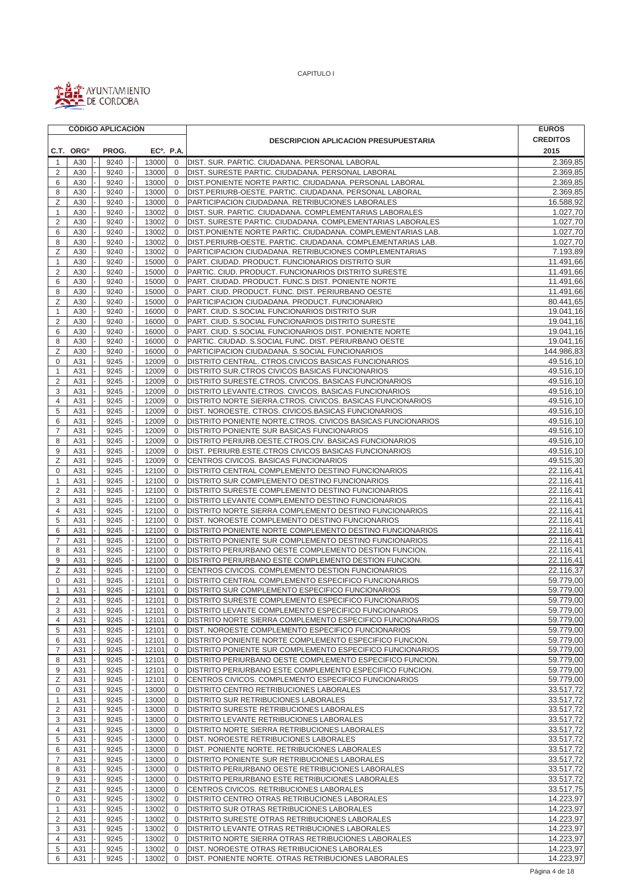

|                     | <b>CÓDIGO APLICACIÓN</b> |              |  |  |                        |                             |                                                                                                                    | <b>EUROS</b>           |
|---------------------|--------------------------|--------------|--|--|------------------------|-----------------------------|--------------------------------------------------------------------------------------------------------------------|------------------------|
|                     |                          |              |  |  |                        |                             | <b>DESCRIPCION APLICACION PRESUPUESTARIA</b>                                                                       | <b>CREDITOS</b>        |
|                     | C.T. ORG <sup>o</sup>    | PROG.        |  |  | EC <sup>o</sup> . P.A. |                             |                                                                                                                    | 2015                   |
| -1                  | A30                      | 9240         |  |  | 13000                  | $\mathbf 0$                 | DIST. SUR. PARTIC. CIUDADANA. PERSONAL LABORAL                                                                     | 2.369,85               |
| $\overline{2}$      | A30                      | 9240         |  |  | 13000                  | $\mathbf 0$                 | DIST. SURESTE PARTIC. CIUDADANA. PERSONAL LABORAL                                                                  | 2.369,85               |
| 6                   | A30                      | 9240         |  |  | 13000                  | $\mathbf 0$                 | DIST.PONIENTE NORTE PARTIC. CIUDADANA. PERSONAL LABORAL                                                            | 2.369,85               |
| 8                   | A30                      | 9240         |  |  | 13000                  | $\mathbf{0}$                | DIST.PERIURB-OESTE. PARTIC. CIUDADANA. PERSONAL LABORAL                                                            | 2.369,85               |
| Ζ                   | A30                      | 9240         |  |  | 13000                  | $\mathbf 0$                 | PARTICIPACION CIUDADANA. RETRIBUCIONES LABORALES                                                                   | 16.588,92              |
| 1                   | A30                      | 9240         |  |  | 13002                  | $\mathbf 0$                 | DIST. SUR. PARTIC. CIUDADANA. COMPLEMENTARIAS LABORALES                                                            | 1.027,70               |
| $\overline{2}$      | A30                      | 9240         |  |  | 13002                  | $\mathbf{0}$                | DIST. SURESTE PARTIC. CIUDADANA. COMPLEMENTARIAS LABORALES                                                         | 1.027,70               |
| 6                   | A30                      | 9240         |  |  | 13002                  | $\mathbf 0$                 | DIST.PONIENTE NORTE PARTIC. CIUDADANA. COMPLEMENTARIAS LAB.                                                        | 1.027,70               |
| 8                   | A30                      | 9240         |  |  | 13002                  | $\mathbf 0$                 | DIST.PERIURB-OESTE. PARTIC. CIUDADANA. COMPLEMENTARIAS LAB.                                                        | 1.027,70               |
| Ζ                   | A30                      | 9240         |  |  | 13002                  | $\mathbf 0$                 | PARTICIPACION CIUDADANA. RETRIBUCIONES COMPLEMENTARIAS                                                             | 7.193,89               |
| $\mathbf{1}$        | A30                      | 9240         |  |  | 15000                  | $\mathbf{0}$                | PART. CIUDAD. PRODUCT. FUNCIONARIOS DISTRITO SUR                                                                   | 11.491,66              |
| $\overline{2}$      | A30                      | 9240         |  |  | 15000                  | $\mathbf{0}$                | PARTIC. CIUD. PRODUCT. FUNCIONARIOS DISTRITO SURESTE                                                               | 11.491,66              |
| 6                   | A30                      | 9240         |  |  | 15000                  | $\mathbf 0$                 | PART. CIUDAD. PRODUCT. FUNC.S DIST. PONIENTE NORTE                                                                 | 11.491,66<br>11.491,66 |
| 8<br>Ζ              | A30<br>A30               | 9240<br>9240 |  |  | 15000<br>15000         | $\mathbf 0$<br>$\mathbf{0}$ | PART. CIUD. PRODUCT. FUNC. DIST. PERIURBANO OESTE<br>PARTICIPACION CIUDADANA. PRODUCT. FUNCIONARIO                 | 80.441,65              |
| $\mathbf{1}$        | A30                      | 9240         |  |  | 16000                  | $\mathbf 0$                 | PART. CIUD. S.SOCIAL FUNCIONARIOS DISTRITO SUR                                                                     | 19.041,16              |
| $\overline{2}$      | A30                      | 9240         |  |  | 16000                  | $\mathbf 0$                 | PART. CIUD. S.SOCIAL FUNCIONARIOS DISTRITO SURESTE                                                                 | 19.041,16              |
| 6                   | A30                      | 9240         |  |  | 16000                  | $\mathbf{0}$                | PART. CIUD. S.SOCIAL FUNCIONARIOS DIST. PONIENTE NORTE                                                             | 19.041,16              |
| 8                   | A30                      | 9240         |  |  | 16000                  | $\mathbf 0$                 | PARTIC. CIUDAD. S.SOCIAL FUNC. DIST. PERIURBANO OESTE                                                              | 19.041,16              |
| Ζ                   | A30                      | 9240         |  |  | 16000                  | $\mathbf{0}$                | PARTICIPACION CIUDADANA. S.SOCIAL FUNCIONARIOS                                                                     | 144.986,83             |
| $\mathbf 0$         | A31                      | 9245         |  |  | 12009                  | $\mathbf 0$                 | DISTRITO CENTRAL. CTROS.CIVICOS BASICAS FUNCIONARIOS                                                               | 49.516,10              |
| 1                   | A31                      | 9245         |  |  | 12009                  | $\mathbf{0}$                | DISTRITO SUR.CTROS CIVICOS BASICAS FUNCIONARIOS                                                                    | 49.516,10              |
| $\overline{2}$      | A31                      | 9245         |  |  | 12009                  | $\mathbf{0}$                | DISTRITO SURESTE.CTROS. CIVICOS. BASICAS FUNCIONARIOS                                                              | 49.516,10              |
| 3                   | A31                      | 9245         |  |  | 12009                  | $\mathbf 0$                 | DISTRITO LEVANTE.CTROS. CIVICOS. BASICAS FUNCIONARIOS                                                              | 49.516,10              |
| 4                   | A31                      | 9245         |  |  | 12009                  | $\mathbf 0$                 | DISTRITO NORTE SIERRA.CTROS. CIVICOS. BASICAS FUNCIONARIOS                                                         | 49.516,10              |
| 5                   | A31                      | 9245         |  |  | 12009                  | $\mathbf 0$                 | DIST. NOROESTE. CTROS. CIVICOS.BASICAS FUNCIONARIOS                                                                | 49.516,10              |
| 6                   | A31                      | 9245         |  |  | 12009                  | 0                           | DISTRITO PONIENTE NORTE.CTROS. CIVICOS BASICAS FUNCIONARIOS                                                        | 49.516,10              |
| $\overline{7}$      | A31                      | 9245         |  |  | 12009                  | $\mathbf 0$                 | DISTRITO PONIENTE SUR BASICAS FUNCIONARIOS                                                                         | 49.516,10              |
| 8                   | A31                      | 9245         |  |  | 12009                  | 0                           | DISTRITO PERIURB OESTE CTROS CIV. BASICAS FUNCIONARIOS                                                             | 49.516,10              |
| 9                   | A31                      | 9245         |  |  | 12009                  | $\mathbf 0$                 | DIST. PERIURB.ESTE.CTROS CIVICOS BASICAS FUNCIONARIOS                                                              | 49.516,10              |
| Ζ                   | A31                      | 9245         |  |  | 12009                  | $\mathbf 0$                 | CENTROS CIVICOS. BASICAS FUNCIONARIOS                                                                              | 49.515,30              |
| $\mathbf 0$         | A31                      | 9245         |  |  | 12100                  | $\mathbf{0}$                | DISTRITO CENTRAL COMPLEMENTO DESTINO FUNCIONARIOS                                                                  | 22.116,41              |
| 1                   | A31                      | 9245         |  |  | 12100                  | $\mathbf 0$                 | DISTRITO SUR COMPLEMENTO DESTINO FUNCIONARIOS                                                                      | 22.116,41              |
| 2                   | A31                      | 9245         |  |  | 12100                  | $\mathbf{0}$                | DISTRITO SURESTE COMPLEMENTO DESTINO FUNCIONARIOS                                                                  | 22.116,41              |
| 3                   | A31                      | 9245         |  |  | 12100                  | $\mathbf{0}$                | DISTRITO LEVANTE COMPLEMENTO DESTINO FUNCIONARIOS                                                                  | 22.116,41              |
| $\overline{4}$      | A31                      | 9245         |  |  | 12100                  | $\mathbf 0$                 | DISTRITO NORTE SIERRA COMPLEMENTO DESTINO FUNCIONARIOS                                                             | 22.116,41              |
| 5                   | A31                      | 9245         |  |  | 12100                  | $\mathbf{0}$                | DIST. NOROESTE COMPLEMENTO DESTINO FUNCIONARIOS                                                                    | 22.116,41              |
| 6<br>$\overline{7}$ | A31<br>A31               | 9245<br>9245 |  |  | 12100<br>12100         | 0<br>$\mathbf{0}$           | DISTRITO PONIENTE NORTE COMPLEMENTO DESTINO FUNCIONARIOS<br>DISTRITO PONIENTE SUR COMPLEMENTO DESTINO FUNCIONARIOS | 22.116,41<br>22.116,41 |
| 8                   | A31                      | 9245         |  |  | 12100                  | $\mathbf 0$                 | DISTRITO PERIURBANO OESTE COMPLEMENTO DESTION FUNCION.                                                             | 22.116,41              |
| 9                   | A31                      | 9245         |  |  | 12100                  | $\mathbf 0$                 | DISTRITO PERIURBANO ESTE COMPLEMENTO DESTION FUNCION.                                                              | 22.116,41              |
| Ζ                   | A31                      | 9245         |  |  | 12100                  | $\mathbf{0}$                | CENTROS CIVICOS. COMPLEMENTO DESTION FUNCIONARIOS                                                                  | 22.116,37              |
| 0                   | A31                      | 9245         |  |  | 12101                  | $\mathbf{0}$                | DISTRITO CENTRAL COMPLEMENTO ESPECIFICO FUNCIONARIOS                                                               | 59.779,00              |
| 1                   | A31                      | 9245         |  |  | 12101                  | $\mathbf 0$                 | DISTRITO SUR COMPLEMENTO ESPECIFICO FUNCIONARIOS                                                                   | 59.779,00              |
| 2                   | A31                      | 9245         |  |  | 12101                  | $\overline{0}$              | <b>IDISTRITO SURESTE COMPLEMENTO ESPECIFICO FUNCIONARIOS</b>                                                       | 59.779,00              |
| 3                   | A31                      | 9245         |  |  | 12101                  | 0                           | DISTRITO LEVANTE COMPLEMENTO ESPECIFICO FUNCIONARIOS                                                               | 59.779,00              |
| 4                   | A31                      | 9245         |  |  | 12101                  | 0                           | DISTRITO NORTE SIERRA COMPLEMENTO ESPECIFICO FUNCIONARIOS                                                          | 59.779,00              |
| 5                   | A31                      | 9245         |  |  | 12101                  | 0                           | DIST. NOROESTE COMPLEMENTO ESPECIFICO FUNCIONARIOS                                                                 | 59.779,00              |
| 6                   | A31                      | 9245         |  |  | 12101                  | $\mathbf{0}$                | DISTRITO PONIENTE NORTE COMPLEMENTO ESPECIFICO FUNCION.                                                            | 59.779,00              |
| $\overline{7}$      | A31                      | 9245         |  |  | 12101                  | 0                           | DISTRITO PONIENTE SUR COMPLEMENTO ESPECIFICO FUNCIONARIOS                                                          | 59.779,00              |
| 8                   | A31                      | 9245         |  |  | 12101                  | $\overline{0}$              | DISTRITO PERIURBANO OESTE COMPLEMENTO ESPECIFICO FUNCION.                                                          | 59.779,00              |
| 9                   | A31                      | 9245         |  |  | 12101                  | $\mathbf 0$                 | DISTRITO PERIURBANO ESTE COMPLEMENTO ESPECIFICO FUNCION.                                                           | 59.779,00              |
| Ζ                   | A31                      | 9245         |  |  | 12101                  | 0                           | CENTROS CIVICOS. COMPLEMENTO ESPECIFICO FUNCIONARIOS                                                               | 59.779,00              |
| 0                   | A31                      | 9245         |  |  | 13000                  | 0                           | DISTRITO CENTRO RETRIBUCIONES LABORALES                                                                            | 33.517,72              |
| 1                   | A31                      | 9245         |  |  | 13000                  | 0                           | DISTRITO SUR RETRIBUCIONES LABORALES                                                                               | 33.517,72              |
| 2                   | A31                      | 9245         |  |  | 13000                  | $\mathbf 0$                 | DISTRITO SURESTE RETRIBUCIONES LABORALES                                                                           | 33.517,72              |
| 3                   | A31                      | 9245         |  |  | 13000                  | $\mathbf 0$                 | DISTRITO LEVANTE RETRIBUCIONES LABORALES                                                                           | 33.517,72              |
| 4                   | A31                      | 9245         |  |  | 13000                  | $\mathbf 0$                 | DISTRITO NORTE SIERRA RETRIBUCIONES LABORALES                                                                      | 33.517,72              |
| 5<br>6              | A31<br>A31               | 9245<br>9245 |  |  | 13000<br>13000         | $\mathbf 0$<br>$\mathbf 0$  | DIST. NOROESTE RETRIBUCIONES LABORALES<br>DIST. PONIENTE NORTE. RETRIBUCIONES LABORALES                            | 33.517,72<br>33.517,72 |
| $\overline{7}$      | A31                      | 9245         |  |  | 13000                  | $\mathbf 0$                 | DISTRITO PONIENTE SUR RETRIBUCIONES LABORALES                                                                      | 33.517,72              |
| 8                   | A31                      | 9245         |  |  | 13000                  | $\mathbf 0$                 | DISTRITO PERIURBANO OESTE RETRIBUCIONES LABORALES                                                                  | 33.517,72              |
| 9                   | A31                      | 9245         |  |  | 13000                  | $\mathbf 0$                 | DISTRITO PERIURBANO ESTE RETRIBUCIONES LABORALES                                                                   | 33.517,72              |
| Ζ                   | A31                      | 9245         |  |  | 13000                  | $\mathbf 0$                 | CENTROS CIVICOS. RETRIBUCIONES LABORALES                                                                           | 33.517,75              |
| 0                   | A31                      | 9245         |  |  | 13002                  | $\mathbf 0$                 | DISTRITO CENTRO OTRAS RETRIBUCIONES LABORALES                                                                      | 14.223,97              |
| 1                   | A31                      | 9245         |  |  | 13002                  | $\mathbf 0$                 | DISTRITO SUR OTRAS RETRIBUCIONES LABORALES                                                                         | 14.223,97              |
| 2                   | A31                      | 9245         |  |  | 13002                  | $\mathbf 0$                 | DISTRITO SURESTE OTRAS RETRIBUCIONES LABORALES                                                                     | 14.223,97              |
| 3                   | A31                      | 9245         |  |  | 13002                  | $\mathbf{0}$                | DISTRITO LEVANTE OTRAS RETRIBUCIONES LABORALES                                                                     | 14.223,97              |
| 4                   | A31                      | 9245         |  |  | 13002                  | $\mathbf 0$                 | DISTRITO NORTE SIERRA OTRAS RETRIBUCIONES LABORALES                                                                | 14.223,97              |
| 5                   | A31                      | 9245         |  |  | 13002                  | $\mathbf 0$                 | DIST. NOROESTE OTRAS RETRIBUCIONES LABORALES                                                                       | 14.223,97              |
| 6                   | A31                      | 9245         |  |  | 13002                  | $\mathbf 0$                 | DIST. PONIENTE NORTE. OTRAS RETRIBUCIONES LABORALES                                                                | 14.223,97              |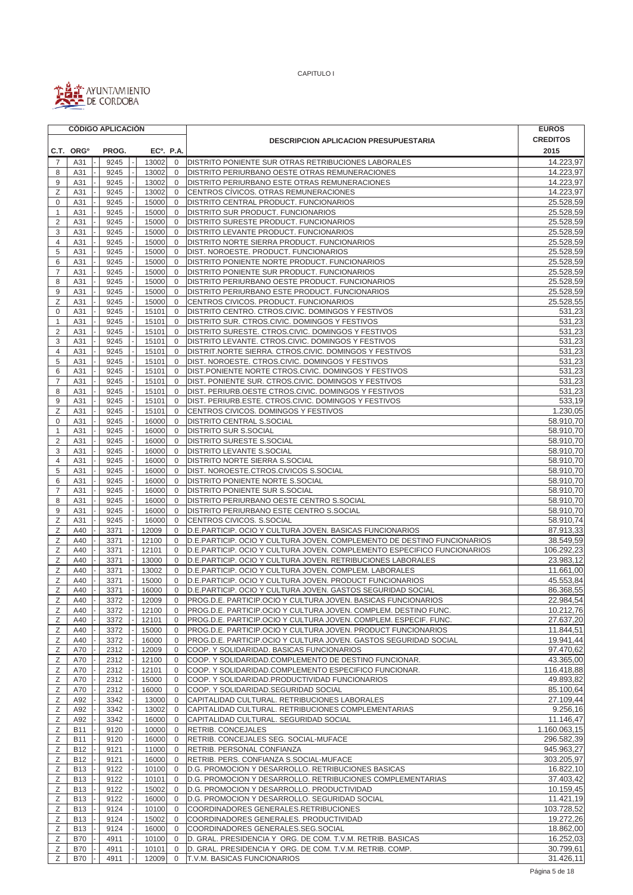

|                       |                          |  |              | <b>CÓDIGO APLICACIÓN</b> |                        |                              |                                                                                                                                                    | <b>EUROS</b>             |
|-----------------------|--------------------------|--|--------------|--------------------------|------------------------|------------------------------|----------------------------------------------------------------------------------------------------------------------------------------------------|--------------------------|
|                       |                          |  |              |                          |                        |                              | <b>DESCRIPCION APLICACION PRESUPUESTARIA</b>                                                                                                       | <b>CREDITOS</b>          |
| C.T. ORG <sup>o</sup> |                          |  | PROG.        |                          | EC <sup>o</sup> . P.A. |                              |                                                                                                                                                    | 2015                     |
| $\overline{7}$        | A31                      |  | 9245         |                          | 13002                  | $\mathbf 0$                  | DISTRITO PONIENTE SUR OTRAS RETRIBUCIONES LABORALES                                                                                                | 14.223,97                |
| 8                     | A31                      |  | 9245         |                          | 13002                  | $\mathbf 0$                  | DISTRITO PERIURBANO OESTE OTRAS REMUNERACIONES                                                                                                     | 14.223,97                |
| 9                     | A31                      |  | 9245         |                          | 13002                  | $\mathbf 0$                  | DISTRITO PERIURBANO ESTE OTRAS REMUNERACIONES                                                                                                      | 14.223,97                |
| Ζ                     | A31                      |  | 9245         |                          | 13002                  | $\mathbf{0}$                 | CENTROS CÍVICOS. OTRAS REMUNERACIONES                                                                                                              | 14.223,97                |
| 0                     | A31                      |  | 9245         |                          | 15000                  | $\mathbf 0$                  | DISTRITO CENTRAL PRODUCT. FUNCIONARIOS                                                                                                             | 25.528,59                |
| $\mathbf{1}$          | A31                      |  | 9245         |                          | 15000                  | $\mathbf 0$                  | DISTRITO SUR PRODUCT. FUNCIONARIOS                                                                                                                 | 25.528,59                |
| 2                     | A31                      |  | 9245         |                          | 15000                  | $\mathbf 0$                  | DISTRITO SURESTE PRODUCT. FUNCIONARIOS                                                                                                             | 25.528,59                |
| 3                     | A31                      |  | 9245         |                          | 15000                  | $\mathbf 0$                  | DISTRITO LEVANTE PRODUCT. FUNCIONARIOS                                                                                                             | 25.528,59                |
| 4                     | A31                      |  | 9245         |                          | 15000                  | $\mathbf 0$                  | DISTRITO NORTE SIERRA PRODUCT. FUNCIONARIOS                                                                                                        | 25.528,59                |
| 5                     | A31                      |  | 9245         |                          | 15000                  | $\mathbf 0$                  | DIST. NOROESTE. PRODUCT. FUNCIONARIOS                                                                                                              | 25.528,59                |
| 6                     | A31                      |  | 9245         |                          | 15000                  | $\mathbf 0$                  | DISTRITO PONIENTE NORTE PRODUCT. FUNCIONARIOS                                                                                                      | 25.528,59                |
| $\overline{7}$        | A31                      |  | 9245         |                          | 15000                  | $\mathbf 0$                  | DISTRITO PONIENTE SUR PRODUCT. FUNCIONARIOS                                                                                                        | 25.528,59                |
| 8                     | A31                      |  | 9245         |                          | 15000                  | $\mathbf 0$                  | DISTRITO PERIURBANO OESTE PRODUCT. FUNCIONARIOS                                                                                                    | 25.528,59                |
| 9                     | A31                      |  | 9245         |                          | 15000                  | $\mathbf{0}$                 | DISTRITO PERIURBANO ESTE PRODUCT. FUNCIONARIOS                                                                                                     | 25.528,59                |
| Ζ                     | A31                      |  | 9245         |                          | 15000                  | $\mathbf 0$                  | CENTROS CIVICOS. PRODUCT. FUNCIONARIOS                                                                                                             | 25.528,55                |
| $\mathbf 0$           | A31                      |  | 9245         |                          | 15101                  | $\mathbf{0}$                 | DISTRITO CENTRO. CTROS.CIVIC. DOMINGOS Y FESTIVOS                                                                                                  | 531,23                   |
| 1<br>$\overline{2}$   | A31<br>A31               |  | 9245<br>9245 |                          | 15101<br>15101         | $\mathbf 0$<br>$\mathbf 0$   | DISTRITO SUR. CTROS.CIVIC. DOMINGOS Y FESTIVOS<br>DISTRITO SURESTE. CTROS.CIVIC. DOMINGOS Y FESTIVOS                                               | 531,23<br>531,23         |
| 3                     | A31                      |  | 9245         |                          | 15101                  | $\mathbf 0$                  | DISTRITO LEVANTE. CTROS.CIVIC. DOMINGOS Y FESTIVOS                                                                                                 | 531,23                   |
| 4                     | A31                      |  | 9245         |                          | 15101                  | $\mathbf{0}$                 | DISTRIT.NORTE SIERRA. CTROS.CIVIC. DOMINGOS Y FESTIVOS                                                                                             | 531,23                   |
| 5                     | A31                      |  | 9245         |                          | 15101                  | $\mathbf 0$                  | DIST. NOROESTE. CTROS.CIVIC. DOMINGOS Y FESTIVOS                                                                                                   | 531,23                   |
| 6                     | A31                      |  | 9245         |                          | 15101                  | $\mathbf 0$                  | DIST.PONIENTE NORTE CTROS.CIVIC. DOMINGOS Y FESTIVOS                                                                                               | 531,23                   |
| $\overline{7}$        | A31                      |  | 9245         |                          | 15101                  | $\mathbf 0$                  | DIST. PONIENTE SUR. CTROS.CIVIC. DOMINGOS Y FESTIVOS                                                                                               | 531.23                   |
| 8                     | A31                      |  | 9245         |                          | 15101                  | $\mathbf 0$                  | DIST. PERIURB.OESTE CTROS.CIVIC. DOMINGOS Y FESTIVOS                                                                                               | 531,23                   |
| 9                     | A31                      |  | 9245         |                          | 15101                  | $\mathbf 0$                  | DIST. PERIURB.ESTE. CTROS.CIVIC. DOMINGOS Y FESTIVOS                                                                                               | 533,19                   |
| Ζ                     | A31                      |  | 9245         |                          | 15101                  | $\mathbf 0$                  | CENTROS CIVICOS. DOMINGOS Y FESTIVOS                                                                                                               | 1.230,05                 |
| 0                     | A31                      |  | 9245         |                          | 16000                  | $\mathbf 0$                  | DISTRITO CENTRAL S.SOCIAL                                                                                                                          | 58.910,70                |
| 1                     | A31                      |  | 9245         |                          | 16000                  | $\mathbf 0$                  | DISTRITO SUR S.SOCIAL                                                                                                                              | 58.910.70                |
| 2                     | A31                      |  | 9245         |                          | 16000                  | $\mathbf{0}$                 | DISTRITO SURESTE S.SOCIAL                                                                                                                          | 58.910,70                |
| 3                     | A31                      |  | 9245         |                          | 16000                  | $\mathbf 0$                  | DISTRITO LEVANTE S.SOCIAL                                                                                                                          | 58.910,70                |
| 4                     | A31                      |  | 9245         |                          | 16000                  | $\mathbf 0$                  | DISTRITO NORTE SIERRA S.SOCIAL                                                                                                                     | 58.910,70                |
| 5                     | A31                      |  | 9245         |                          | 16000                  | $\mathbf 0$                  | DIST. NOROESTE.CTROS.CIVICOS S.SOCIAL                                                                                                              | 58.910,70                |
| 6                     | A31                      |  | 9245         |                          | 16000                  | $\mathbf{0}$                 | DISTRITO PONIENTE NORTE S.SOCIAL                                                                                                                   | 58.910,70                |
| $\overline{7}$        | A31                      |  | 9245         |                          | 16000                  | $\mathbf 0$                  | DISTRITO PONIENTE SUR S.SOCIAL                                                                                                                     | 58.910,70                |
| 8                     | A31                      |  | 9245         |                          | 16000                  | $\mathbf 0$                  | DISTRITO PERIURBANO OESTE CENTRO S.SOCIAL                                                                                                          | 58.910,70                |
| 9                     | A31                      |  | 9245         |                          | 16000                  | $\mathbf{0}$                 | DISTRITO PERIURBANO ESTE CENTRO S.SOCIAL                                                                                                           | 58.910,70                |
| Ζ                     | A31                      |  | 9245         |                          | 16000                  | $\mathbf 0$                  | CENTROS CIVICOS. S.SOCIAL                                                                                                                          | 58.910,74                |
| Ζ                     | A40                      |  | 3371         |                          | 12009                  | $\mathbf 0$                  | D.E.PARTICIP. OCIO Y CULTURA JOVEN. BASICAS FUNCIONARIOS                                                                                           | 87.913,33<br>38.549,59   |
| Ζ<br>Ζ                | A40<br>A40               |  | 3371<br>3371 |                          | 12100<br>12101         | $\mathbf{0}$<br>$\mathbf{0}$ | D.E.PARTICIP. OCIO Y CULTURA JOVEN. COMPLEMENTO DE DESTINO FUNCIONARIOS<br>D.E.PARTICIP. OCIO Y CULTURA JOVEN. COMPLEMENTO ESPECIFICO FUNCIONARIOS | 106.292,23               |
| Ζ                     | A40                      |  | 3371         |                          | 13000                  | $\mathbf 0$                  | D.E.PARTICIP. OCIO Y CULTURA JOVEN. RETRIBUCIONES LABORALES                                                                                        | 23.983.12                |
| Ζ                     | A40                      |  | 3371         |                          | 13002                  | 0                            | D.E.PARTICIP. OCIO Y CULTURA JOVEN. COMPLEM. LABORALES                                                                                             | 11.661,00                |
| Ζ                     | A40                      |  | 3371         |                          | 15000                  | $\mathbf{0}$                 | D.E.PARTICIP. OCIO Y CULTURA JOVEN. PRODUCT FUNCIONARIOS                                                                                           | 45.553,84                |
| Ζ                     | A40                      |  | 3371         |                          | 16000                  | $\mathbf 0$                  | D.E.PARTICIP. OCIO Y CULTURA JOVEN. GASTOS SEGURIDAD SOCIAL                                                                                        | 86.368.55                |
| $\mathsf Z$           | A40                      |  | 3372         |                          | 12009                  |                              | 0 PROG.D.E. PARTICIP.OCIO Y CULTURA JOVEN. BASICAS FUNCIONARIOS                                                                                    | 22.984,54                |
| Ζ                     | A40                      |  | 3372         |                          | 12100                  | 0                            | PROG.D.E. PARTICIP.OCIO Y CULTURA JOVEN. COMPLEM. DESTINO FUNC.                                                                                    | 10.212,76                |
| Ζ                     | A40                      |  | 3372         |                          | 12101                  | 0                            | PROG.D.E. PARTICIP.OCIO Y CULTURA JOVEN. COMPLEM. ESPECIF. FUNC.                                                                                   | 27.637,20                |
| Ζ                     | A40                      |  | 3372         |                          | 15000                  | $\mathbf 0$                  | PROG.D.E. PARTICIP.OCIO Y CULTURA JOVEN. PRODUCT FUNCIONARIOS                                                                                      | 11.844,51                |
| Ζ                     | A40                      |  | 3372         |                          | 16000                  | 0                            | PROG.D.E. PARTICIP.OCIO Y CULTURA JOVEN. GASTOS SEGURIDAD SOCIAL                                                                                   | 19.941,44                |
| Ζ                     | A70                      |  | 2312         |                          | 12009                  | 0                            | COOP. Y SOLIDARIDAD. BASICAS FUNCIONARIOS                                                                                                          | 97.470,62                |
| Ζ                     | A70                      |  | 2312         |                          | 12100                  | 0                            | COOP. Y SOLIDARIDAD.COMPLEMENTO DE DESTINO FUNCIONAR.                                                                                              | 43.365,00                |
| Ζ                     | A70                      |  | 2312         |                          | 12101                  | 0                            | COOP. Y SOLIDARIDAD.COMPLEMENTO ESPECIFICO FUNCIONAR.                                                                                              | 116.418,88               |
| Ζ                     | A70                      |  | 2312         |                          | 15000                  | 0                            | COOP. Y SOLIDARIDAD.PRODUCTIVIDAD FUNCIONARIOS                                                                                                     | 49.893,82                |
| Ζ                     | A70                      |  | 2312         |                          | 16000                  | 0                            | COOP. Y SOLIDARIDAD. SEGURIDAD SOCIAL                                                                                                              | 85.100,64                |
| Ζ                     | A92                      |  | 3342         |                          | 13000                  | $\mathbf 0$                  | CAPITALIDAD CULTURAL. RETRIBUCIONES LABORALES                                                                                                      | 27.109,44                |
| Ζ                     | A92                      |  | 3342         |                          | 13002                  | 0                            | CAPITALIDAD CULTURAL. RETRIBUCIONES COMPLEMENTARIAS                                                                                                | 9.256,16                 |
| Ζ                     | A92                      |  | 3342         |                          | 16000                  | $\mathbf 0$                  | CAPITALIDAD CULTURAL. SEGURIDAD SOCIAL                                                                                                             | 11.146,47                |
| Ζ                     | <b>B11</b>               |  | 9120         |                          | 10000                  | 0                            | RETRIB. CONCEJALES                                                                                                                                 | 1.160.063,15             |
| Ζ                     | <b>B11</b>               |  | 9120         |                          | 16000                  | 0                            | RETRIB. CONCEJALES SEG. SOCIAL-MUFACE                                                                                                              | 296.582,39               |
| Ζ<br>Ζ                | <b>B12</b><br><b>B12</b> |  | 9121<br>9121 |                          | 11000<br>16000         | $\mathbf 0$<br>$\mathbf 0$   | RETRIB. PERSONAL CONFIANZA<br>RETRIB. PERS. CONFIANZA S.SOCIAL-MUFACE                                                                              | 945.963,27<br>303.205,97 |
| Ζ                     | <b>B13</b>               |  | 9122         |                          | 10100                  | $\mathbf 0$                  | D.G. PROMOCION Y DESARROLLO. RETRIBUCIONES BASICAS                                                                                                 | 16.822,10                |
| Ζ                     | <b>B13</b>               |  | 9122         |                          | 10101                  | 0                            | D.G. PROMOCION Y DESARROLLO. RETRIBUCIONES COMPLEMENTARIAS                                                                                         | 37.403,42                |
| Ζ                     | <b>B13</b>               |  | 9122         |                          | 15002                  | $\mathbf 0$                  | D.G. PROMOCION Y DESARROLLO. PRODUCTIVIDAD                                                                                                         | 10.159,45                |
| Ζ                     | <b>B13</b>               |  | 9122         |                          | 16000                  | $\mathbf 0$                  | D.G. PROMOCION Y DESARROLLO. SEGURIDAD SOCIAL                                                                                                      | 11.421,19                |
| Ζ                     | <b>B13</b>               |  | 9124         |                          | 10100                  | $\mathbf 0$                  | COORDINADORES GENERALES.RETRIBUCIONES                                                                                                              | 103.728,52               |
| Ζ                     | <b>B13</b>               |  | 9124         |                          | 15002                  | 0                            | COORDINADORES GENERALES. PRODUCTIVIDAD                                                                                                             | 19.272,26                |
| Ζ                     | <b>B13</b>               |  | 9124         |                          | 16000                  | $\mathbf 0$                  | COORDINADORES GENERALES.SEG.SOCIAL                                                                                                                 | 18.862,00                |
| Ζ                     | <b>B70</b>               |  | 4911         |                          | 10100                  | $\mathbf 0$                  | D. GRAL. PRESIDENCIA Y ORG. DE COM. T.V.M. RETRIB. BASICAS                                                                                         | 16.252,03                |
| Ζ                     | <b>B70</b>               |  | 4911         |                          | 10101                  | $\mathbf 0$                  | D. GRAL. PRESIDENCIA Y ORG. DE COM. T.V.M. RETRIB. COMP.                                                                                           | 30.799,61                |
| Ζ                     | <b>B70</b>               |  | 4911         |                          | 12009                  | $\mathbf 0$                  | T.V.M. BASICAS FUNCIONARIOS                                                                                                                        | 31.426,11                |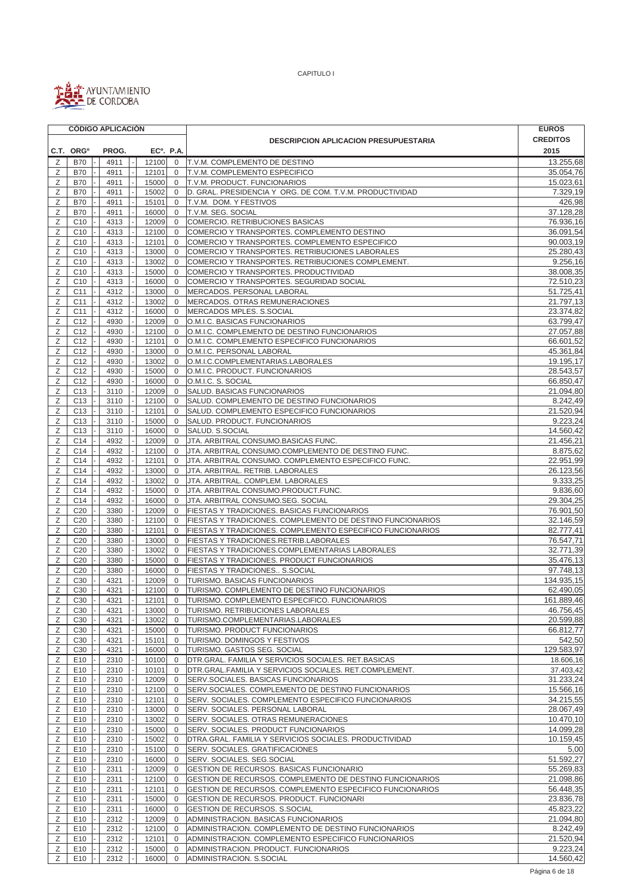

|        | <b>CÓDIGO APLICACIÓN</b>           |              |                        |                             |                                                                                                           | <b>EUROS</b>           |
|--------|------------------------------------|--------------|------------------------|-----------------------------|-----------------------------------------------------------------------------------------------------------|------------------------|
|        |                                    |              |                        |                             | <b>DESCRIPCION APLICACION PRESUPUESTARIA</b>                                                              | <b>CREDITOS</b>        |
|        | C.T. ORG <sup>o</sup>              | PROG.        | EC <sup>o</sup> . P.A. |                             |                                                                                                           | 2015                   |
| Ζ      | <b>B70</b>                         | 4911         | 12100                  | $\mathbf 0$                 | <b>IT.V.M. COMPLEMENTO DE DESTINO</b>                                                                     | 13.255,68              |
| Ζ      | <b>B70</b>                         | 4911         | 12101                  | $\mathbf 0$                 | T.V.M. COMPLEMENTO ESPECIFICO                                                                             | 35.054,76              |
| Ζ<br>Ζ | <b>B70</b><br><b>B70</b>           | 4911<br>4911 | 15000<br>15002         | $\mathbf 0$<br>$\mathbf 0$  | T.V.M. PRODUCT. FUNCIONARIOS<br>D. GRAL. PRESIDENCIA Y ORG. DE COM. T.V.M. PRODUCTIVIDAD                  | 15.023,61<br>7.329,19  |
| Ζ      | <b>B70</b>                         | 4911         | 15101                  | $\mathbf{0}$                | T.V.M. DOM. Y FESTIVOS                                                                                    | 426,98                 |
| Ζ      | <b>B70</b>                         | 4911         | 16000                  | $\mathbf{0}$                | T.V.M. SEG. SOCIAL                                                                                        | 37.128,28              |
| Ζ      | C <sub>10</sub>                    | 4313         | 12009                  | $\mathbf 0$                 | COMERCIO. RETRIBUCIONES BASICAS                                                                           | 76.936,16              |
| Ζ      | C <sub>10</sub>                    | 4313         | 12100                  | $\mathbf 0$                 | COMERCIO Y TRANSPORTES. COMPLEMENTO DESTINO                                                               | 36.091,54              |
| Ζ      | C <sub>10</sub>                    | 4313         | 12101                  | $\mathbf{0}$                | COMERCIO Y TRANSPORTES. COMPLEMENTO ESPECIFICO                                                            | 90.003,19              |
| Ζ      | C <sub>10</sub>                    | 4313         | 13000                  | $\mathbf 0$                 | COMERCIO Y TRANSPORTES. RETRIBUCIONES LABORALES                                                           | 25.280,43              |
| Ζ      | C <sub>10</sub>                    | 4313         | 13002                  | $\mathbf 0$                 | COMERCIO Y TRANSPORTES. RETRIBUCIONES COMPLEMENT.                                                         | 9.256,16               |
| Ζ<br>Ζ | C <sub>10</sub><br>C <sub>10</sub> | 4313<br>4313 | 15000<br>16000         | $\mathbf{0}$<br>$\mathbf 0$ | COMERCIO Y TRANSPORTES. PRODUCTIVIDAD<br>COMERCIO Y TRANSPORTES. SEGURIDAD SOCIAL                         | 38.008,35<br>72.510,23 |
| Ζ      | C <sub>11</sub>                    | 4312         | 13000                  | $\mathbf{0}$                | MERCADOS. PERSONAL LABORAL                                                                                | 51.725,41              |
| Ζ      | C <sub>11</sub>                    | 4312         | 13002                  | $\mathbf 0$                 | MERCADOS. OTRAS REMUNERACIONES                                                                            | 21.797,13              |
| Ζ      | C11                                | 4312         | 16000                  | $\mathbf 0$                 | MERCADOS MPLES. S.SOCIAL                                                                                  | 23.374,82              |
| Ζ      | C <sub>12</sub>                    | 4930         | 12009                  | $\mathbf 0$                 | O.M.I.C. BASICAS FUNCIONARIOS                                                                             | 63.799,47              |
| Ζ      | C <sub>12</sub>                    | 4930         | 12100                  | $\mathbf{0}$                | O.M.I.C. COMPLEMENTO DE DESTINO FUNCIONARIOS                                                              | 27.057,88              |
| Ζ      | C <sub>12</sub>                    | 4930         | 12101                  | $\mathbf 0$                 | O.M.I.C. COMPLEMENTO ESPECIFICO FUNCIONARIOS                                                              | 66.601,52              |
| Ζ      | C <sub>12</sub>                    | 4930         | 13000                  | $\mathbf 0$                 | O.M.I.C. PERSONAL LABORAL                                                                                 | 45.361,84              |
| Ζ<br>Ζ | C <sub>12</sub><br>C <sub>12</sub> | 4930         | 13002<br>15000         | $\mathbf 0$<br>$\mathbf 0$  | O.M.I.C.COMPLEMENTARIAS.LABORALES<br>O.M.I.C. PRODUCT. FUNCIONARIOS                                       | 19.195,17<br>28.543,57 |
| Ζ      | C <sub>12</sub>                    | 4930<br>4930 | 16000                  | $\mathbf 0$                 | O.M.I.C. S. SOCIAL                                                                                        | 66.850,47              |
| Ζ      | C <sub>13</sub>                    | 3110         | 12009                  | $\mathbf 0$                 | SALUD. BASICAS FUNCIONARIOS                                                                               | 21.094,80              |
| Ζ      | C <sub>13</sub>                    | 3110         | 12100                  | $\mathbf{0}$                | SALUD. COMPLEMENTO DE DESTINO FUNCIONARIOS                                                                | 8.242,49               |
| Ζ      | C <sub>13</sub>                    | 3110         | 12101                  | $\mathbf 0$                 | SALUD. COMPLEMENTO ESPECIFICO FUNCIONARIOS                                                                | 21.520,94              |
| Ζ      | C13                                | 3110         | 15000                  | $\mathbf{0}$                | SALUD. PRODUCT. FUNCIONARIOS                                                                              | 9.223,24               |
| Ζ      | C <sub>13</sub>                    | 3110         | 16000                  | $\mathbf 0$                 | SALUD. S.SOCIAL                                                                                           | 14.560,42              |
| Ζ      | C14                                | 4932         | 12009                  | $\mathbf 0$                 | JTA. ARBITRAL CONSUMO.BASICAS FUNC.                                                                       | 21.456,21              |
| Ζ<br>Ζ | C <sub>14</sub><br>C14             | 4932<br>4932 | 12100<br>12101         | $\mathbf 0$<br>$\mathbf 0$  | JTA. ARBITRAL CONSUMO.COMPLEMENTO DE DESTINO FUNC.<br>JTA. ARBITRAL CONSUMO. COMPLEMENTO ESPECIFICO FUNC. | 8.875,62<br>22.951,99  |
| Ζ      | C14                                | 4932         | 13000                  | $\mathbf 0$                 | JTA. ARBITRAL. RETRIB. LABORALES                                                                          | 26.123,56              |
| Ζ      | C14                                | 4932         | 13002                  | $\mathbf 0$                 | JTA. ARBITRAL. COMPLEM. LABORALES                                                                         | 9.333,25               |
| Ζ      | C14                                | 4932         | 15000                  | $\mathbf{0}$                | JTA. ARBITRAL CONSUMO.PRODUCT.FUNC.                                                                       | 9.836,60               |
| Ζ      | C14                                | 4932         | 16000                  | $\mathbf 0$                 | JTA. ARBITRAL CONSUMO.SEG. SOCIAL                                                                         | 29.304,25              |
| Ζ      | C <sub>20</sub>                    | 3380         | 12009                  | $\mathbf 0$                 | FIESTAS Y TRADICIONES. BASICAS FUNCIONARIOS                                                               | 76.901,50              |
| Ζ      | C <sub>20</sub>                    | 3380         | 12100                  | $\mathbf 0$                 | FIESTAS Y TRADICIONES. COMPLEMENTO DE DESTINO FUNCIONARIOS                                                | 32.146,59              |
| Ζ      | C <sub>20</sub>                    | 3380         | 12101                  | $\mathbf{0}$                | FIESTAS Y TRADICIONES. COMPLEMENTO ESPECIFICO FUNCIONARIOS                                                | 82.777,41              |
| Ζ<br>Ζ | C <sub>20</sub><br>C <sub>20</sub> | 3380<br>3380 | 13000<br>13002         | $\mathbf{0}$<br>$\mathbf 0$ | FIESTAS Y TRADICIONES.RETRIB.LABORALES<br>FIESTAS Y TRADICIONES.COMPLEMENTARIAS LABORALES                 | 76.547,71<br>32.771,39 |
| Ζ      | C <sub>20</sub>                    | 3380         | 15000                  | $\mathbf 0$                 | FIESTAS Y TRADICIONES. PRODUCT FUNCIONARIOS                                                               | 35.476,13              |
| Ζ      | C <sub>20</sub>                    | 3380         | 16000                  | $\mathbf 0$                 | FIESTAS Y TRADICIONES S.SOCIAL                                                                            | 97.748,13              |
| Ζ      | C30                                | 4321         | 12009                  | $\mathbf 0$                 | TURISMO. BASICAS FUNCIONARIOS                                                                             | 134.935,15             |
| Ζ      | C30                                | 4321         | 12100                  | $\mathbf 0$                 | TURISMO. COMPLEMENTO DE DESTINO FUNCIONARIOS                                                              | 62.490,05              |
| Z      | C30                                | 4321         | 12101                  | $\overline{0}$              | TURISMO. COMPLEMENTO ESPECIFICO. FUNCIONARIOS                                                             | 161.889,46             |
| Ζ      | C <sub>30</sub>                    | 4321         | 13000                  | $\overline{0}$              | <b>TURISMO. RETRIBUCIONES LABORALES</b>                                                                   | 46.756,45              |
| Ζ      | C <sub>30</sub>                    | 4321         | 13002                  | 0                           | TURISMO.COMPLEMENTARIAS.LABORALES                                                                         | 20.599,88              |
| Ζ<br>Ζ | C <sub>30</sub><br>C <sub>30</sub> | 4321<br>4321 | 15000<br>15101         | $\mathbf 0$<br>$\mathbf 0$  | TURISMO. PRODUCT FUNCIONARIOS<br>TURISMO. DOMINGOS Y FESTIVOS                                             | 66.812,77<br>542,50    |
| Ζ      | C <sub>30</sub>                    | 4321         | 16000                  | $\mathbf 0$                 | TURISMO. GASTOS SEG. SOCIAL                                                                               | 129.583,97             |
| Ζ      | E10                                | 2310         | 10100                  | $\mathbf 0$                 | DTR.GRAL. FAMILIA Y SERVICIOS SOCIALES. RET.BASICAS                                                       | 18.606,16              |
| Ζ      | E10                                | 2310         | 10101                  | $\mathbf 0$                 | DTR.GRAL.FAMILIA Y SERVICIOS SOCIALES. RET.COMPLEMENT.                                                    | 37.403,42              |
| Ζ      | E10                                | 2310         | 12009                  | $\overline{0}$              | SERV.SOCIALES. BASICAS FUNCIONARIOS                                                                       | 31.233,24              |
| Ζ      | E10                                | 2310         | 12100                  | 0                           | SERV.SOCIALES. COMPLEMENTO DE DESTINO FUNCIONARIOS                                                        | 15.566,16              |
| Ζ      | E10                                | 2310         | 12101                  | $\overline{0}$              | SERV. SOCIALES. COMPLEMENTO ESPECIFICO FUNCIONARIOS                                                       | 34.215,55              |
| Ζ<br>Ζ | E10<br>E10                         | 2310<br>2310 | 13000<br>13002         | $\mathbf 0$<br>$\mathbf 0$  | SERV. SOCIALES. PERSONAL LABORAL<br>SERV. SOCIALES. OTRAS REMUNERACIONES                                  | 28.067,49<br>10.470,10 |
| Ζ      | E <sub>10</sub>                    | 2310         | 15000                  | 0                           | SERV. SOCIALES. PRODUCT FUNCIONARIOS                                                                      | 14.099,28              |
| Ζ      | E10                                | 2310         | 15002                  | 0                           | DTRA.GRAL. FAMILIA Y SERVICIOS SOCIALES. PRODUCTIVIDAD                                                    | 10.159,45              |
| Ζ      | E10                                | 2310         | 15100                  | $\mathbf{0}$                | SERV. SOCIALES. GRATIFICACIONES                                                                           | 5,00                   |
| Ζ      | E10                                | 2310         | 16000                  | $\mathbf 0$                 | SERV. SOCIALES. SEG.SOCIAL                                                                                | 51.592,27              |
| Ζ      | E10                                | 2311         | 12009                  | $\mathbf{0}$                | GESTION DE RECURSOS. BASICAS FUNCIONARIO                                                                  | 55.269,83              |
| Ζ      | E10                                | 2311         | 12100                  | 0                           | GESTION DE RECURSOS. COMPLEMENTO DE DESTINO FUNCIONARIOS                                                  | 21.098,86              |
| Ζ      | E10                                | 2311         | 12101                  | 0                           | GESTION DE RECURSOS. COMPLEMENTO ESPECIFICO FUNCIONARIOS                                                  | 56.448,35              |
| Ζ<br>Ζ | E <sub>10</sub><br>E10             | 2311<br>2311 | 15000<br>16000         | 0<br>0                      | GESTION DE RECURSOS. PRODUCT. FUNCIONARI<br>GESTION DE RECURSOS. S.SOCIAL                                 | 23.836,78<br>45.823,22 |
| Ζ      | E10                                | 2312         | 12009                  | $\mathbf{0}$                | ADMINISTRACION. BASICAS FUNCIONARIOS                                                                      | 21.094,80              |
| Ζ      | E10                                | 2312         | 12100                  | $\mathbf 0$                 | ADMINISTRACION. COMPLEMENTO DE DESTINO FUNCIONARIOS                                                       | 8.242,49               |
| Ζ      | E <sub>10</sub>                    | 2312         | 12101                  | $\mathbf{0}$                | ADMINISTRACION. COMPLEMENTO ESPECIFICO FUNCIONARIOS                                                       | 21.520,94              |
| Ζ      | E <sub>10</sub>                    | 2312         | 15000                  | $\mathbf 0$                 | ADMINISTRACION. PRODUCT. FUNCIONARIOS                                                                     | 9.223,24               |
| Ζ      | E10                                | 2312         | 16000                  | $\mathbf 0$                 | ADMINISTRACION. S.SOCIAL                                                                                  | 14.560,42              |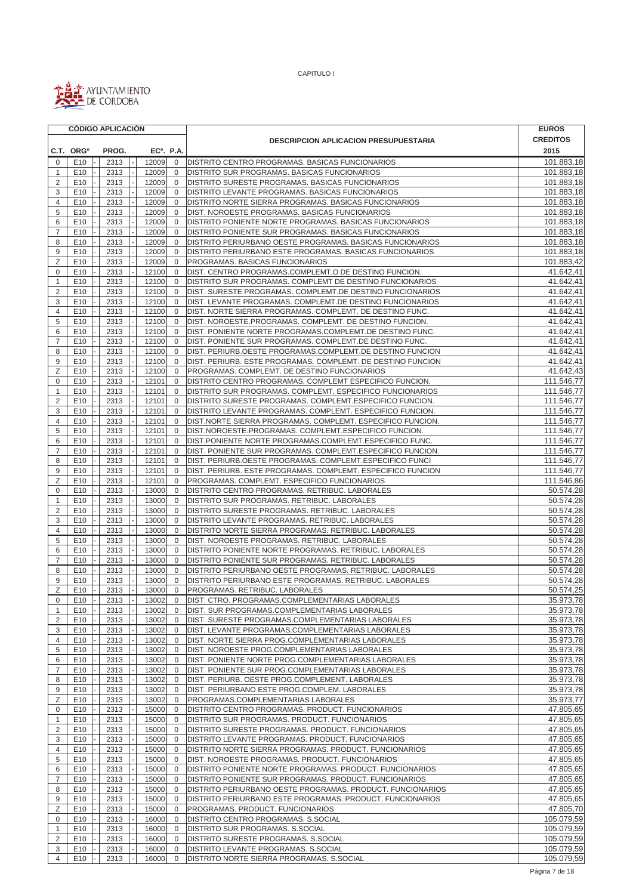

|                     | <b>CÓDIGO APLICACIÓN</b> |  |       |  |                        |                |                                                             | <b>EUROS</b>    |
|---------------------|--------------------------|--|-------|--|------------------------|----------------|-------------------------------------------------------------|-----------------|
|                     |                          |  |       |  |                        |                | <b>DESCRIPCION APLICACION PRESUPUESTARIA</b>                | <b>CREDITOS</b> |
|                     | C.T. ORG <sup>o</sup>    |  | PROG. |  | EC <sup>o</sup> . P.A. |                |                                                             | 2015            |
| $\Omega$            | E <sub>10</sub>          |  | 2313  |  | 12009                  | 0              | <b>DISTRITO CENTRO PROGRAMAS. BASICAS FUNCIONARIOS</b>      | 101.883,18      |
| $\mathbf{1}$        | E <sub>10</sub>          |  | 2313  |  | 12009                  | $\mathbf 0$    | DISTRITO SUR PROGRAMAS. BASICAS FUNCIONARIOS                | 101.883,18      |
| $\overline{2}$      | E10                      |  | 2313  |  | 12009                  | $\mathbf 0$    | DISTRITO SURESTE PROGRAMAS. BASICAS FUNCIONARIOS            | 101.883,18      |
| 3                   | E10                      |  | 2313  |  | 12009                  | $\mathbf 0$    | DISTRITO LEVANTE PROGRAMAS. BASICAS FUNCIONARIOS            | 101.883,18      |
| 4                   | E10                      |  | 2313  |  | 12009                  | $\mathbf 0$    | DISTRITO NORTE SIERRA PROGRAMAS. BASICAS FUNCIONARIOS       | 101.883,18      |
| 5                   | E10                      |  | 2313  |  | 12009                  | $\mathbf{0}$   | DIST. NOROESTE PROGRAMAS. BASICAS FUNCIONARIOS              | 101.883,18      |
| 6                   | E10                      |  | 2313  |  | 12009                  | $\mathbf{0}$   | DISTRITO PONIENTE NORTE PROGRAMAS. BASICAS FUNCIONARIOS     | 101.883,18      |
| $\overline{7}$      | E10                      |  | 2313  |  | 12009                  | $\mathbf 0$    | DISTRITO PONIENTE SUR PROGRAMAS. BASICAS FUNCIONARIOS       | 101.883,18      |
| 8                   | E <sub>10</sub>          |  | 2313  |  | 12009                  | $\mathbf 0$    | DISTRITO PERIURBANO OESTE PROGRAMAS. BASICAS FUNCIONARIOS   | 101.883,18      |
| 9                   | E <sub>10</sub>          |  | 2313  |  | 12009                  | $\mathbf 0$    | DISTRITO PERIURBANO ESTE PROGRAMAS, BASICAS FUNCIONARIOS    | 101.883,18      |
| Ζ                   | E10                      |  | 2313  |  | 12009                  | $\mathbf 0$    | PROGRAMAS. BASICAS FUNCIONARIOS                             | 101.883,42      |
| 0                   | E10                      |  | 2313  |  | 12100                  | $\mathbf 0$    | DIST. CENTRO PROGRAMAS.COMPLEMT.O DE DESTINO FUNCION.       | 41.642,41       |
| 1                   | E10                      |  | 2313  |  | 12100                  | $\mathbf 0$    | DISTRITO SUR PROGRAMAS. COMPLEMT DE DESTINO FUNCIONARIOS    | 41.642,41       |
| 2                   | E10                      |  | 2313  |  | 12100                  | $\mathbf{0}$   | DIST. SURESTE PROGRAMAS. COMPLEMT.DE DESTINO FUNCIONARIOS   | 41.642,41       |
| 3                   | E <sub>10</sub>          |  | 2313  |  | 12100                  | $\mathbf 0$    | DIST. LEVANTE PROGRAMAS. COMPLEMT.DE DESTINO FUNCIONARIOS   | 41.642,41       |
| 4                   | E10                      |  | 2313  |  | 12100                  | $\mathbf{0}$   | DIST. NORTE SIERRA PROGRAMAS. COMPLEMT. DE DESTINO FUNC.    | 41.642,41       |
| 5                   | E <sub>10</sub>          |  | 2313  |  | 12100                  | $\mathbf 0$    | DIST. NOROESTE.PROGRAMAS. COMPLEMT. DE DESTINO FUNCION.     | 41.642,41       |
| 6                   | E10                      |  | 2313  |  | 12100                  | $\mathbf 0$    | DIST. PONIENTE NORTE PROGRAMAS.COMPLEMT.DE DESTINO FUNC.    | 41.642,41       |
| $\overline{7}$      | E10                      |  | 2313  |  | 12100                  | $\mathbf 0$    | DIST. PONIENTE SUR PROGRAMAS. COMPLEMT.DE DESTINO FUNC.     | 41.642,41       |
| 8                   | E10                      |  | 2313  |  | 12100                  | $\mathbf 0$    | DIST. PERIURB.OESTE PROGRAMAS.COMPLEMT.DE DESTINO FUNCION   | 41.642,41       |
| 9                   | E10                      |  | 2313  |  | 12100                  | $\mathbf{0}$   | DIST. PERIURB. ESTE PROGRAMAS. COMPLEMT. DE DESTINO FUNCION | 41.642,41       |
| Ζ                   | E <sub>10</sub>          |  | 2313  |  | 12100                  | $\mathbf 0$    | PROGRAMAS. COMPLEMT. DE DESTINO FUNCIONARIOS                | 41.642,43       |
| $\mathbf 0$         | E10                      |  | 2313  |  | 12101                  | $\mathbf 0$    | DISTRITO CENTRO PROGRAMAS. COMPLEMT ESPECIFICO FUNCION.     | 111.546,77      |
| $\mathbf{1}$        | E <sub>10</sub>          |  | 2313  |  | 12101                  | $\mathbf 0$    | DISTRITO SUR PROGRAMAS. COMPLEMT. ESPECIFICO FUNCIONARIOS   | 111.546,77      |
| 2                   | E <sub>10</sub>          |  | 2313  |  | 12101                  | $\mathbf 0$    | DISTRITO SURESTE PROGRAMAS. COMPLEMT.ESPECIFICO FUNCION.    | 111.546,77      |
| 3                   | E10                      |  | 2313  |  | 12101                  | $\mathbf 0$    | DISTRITO LEVANTE PROGRAMAS. COMPLEMT. ESPECIFICO FUNCION.   | 111.546,77      |
| 4                   | E10                      |  | 2313  |  | 12101                  | 0              | DIST.NORTE SIERRA PROGRAMAS. COMPLEMT. ESPECIFICO FUNCION.  | 111.546,77      |
| 5                   | E10                      |  | 2313  |  | 12101                  | $\mathbf 0$    | DIST.NOROESTE.PROGRAMAS. COMPLEMT.ESPECIFICO FUNCION.       | 111.546.77      |
| 6                   | E10                      |  | 2313  |  | 12101                  | $\mathbf 0$    | DIST.PONIENTE NORTE PROGRAMAS.COMPLEMT.ESPECIFICO FUNC.     | 111.546,77      |
| 7                   | E10                      |  | 2313  |  | 12101                  | $\mathbf 0$    | DIST. PONIENTE SUR PROGRAMAS. COMPLEMT.ESPECIFICO FUNCION.  | 111.546,77      |
| 8                   | E10                      |  | 2313  |  | 12101                  | 0              | DIST. PERIURB.OESTE PROGRAMAS. COMPLEMT.ESPECIFICO FUNCI    | 111.546,77      |
| 9                   | E10                      |  | 2313  |  | 12101                  | $\mathbf 0$    | DIST. PERIURB. ESTE PROGRAMAS. COMPLEMT. ESPECIFICO FUNCION | 111.546,77      |
| Ζ                   | E10                      |  | 2313  |  | 12101                  | $\mathbf 0$    | PROGRAMAS. COMPLEMT. ESPECIFICO FUNCIONARIOS                | 111.546,86      |
| $\mathbf 0$         | E <sub>10</sub>          |  | 2313  |  | 13000                  | $\mathbf 0$    | DISTRITO CENTRO PROGRAMAS. RETRIBUC. LABORALES              | 50.574,28       |
| 1                   | E10                      |  | 2313  |  | 13000                  | $\mathbf 0$    | DISTRITO SUR PROGRAMAS. RETRIBUC. LABORALES                 | 50.574,28       |
| $\overline{2}$      | E10                      |  | 2313  |  | 13000                  | $\mathbf{0}$   | DISTRITO SURESTE PROGRAMAS. RETRIBUC. LABORALES             | 50.574,28       |
| 3                   | E10                      |  | 2313  |  | 13000                  | $\mathbf 0$    | DISTRITO LEVANTE PROGRAMAS. RETRIBUC. LABORALES             | 50.574,28       |
| 4                   | E <sub>10</sub>          |  | 2313  |  | 13000                  | $\mathbf 0$    | DISTRITO NORTE SIERRA PROGRAMAS. RETRIBUC. LABORALES        | 50.574,28       |
| 5                   | E10                      |  | 2313  |  | 13000                  | $\mathbf 0$    | DIST. NOROESTE PROGRAMAS. RETRIBUC. LABORALES               | 50.574,28       |
| 6                   | E <sub>10</sub>          |  | 2313  |  | 13000                  | $\mathbf 0$    | DISTRITO PONIENTE NORTE PROGRAMAS. RETRIBUC. LABORALES      | 50.574,28       |
| $\overline{7}$      | E10                      |  | 2313  |  | 13000                  | $\mathbf{0}$   | DISTRITO PONIENTE SUR PROGRAMAS. RETRIBUC. LABORALES        | 50.574,28       |
| 8                   | E <sub>10</sub>          |  | 2313  |  | 13000                  | $\mathbf 0$    | DISTRITO PERIURBANO OESTE PROGRAMAS. RETRIBUC. LABORALES    | 50.574,28       |
| 9                   | E10                      |  | 2313  |  | 13000                  | $\mathbf{0}$   | DISTRITO PERIURBANO ESTE PROGRAMAS. RETRIBUC. LABORALES     | 50.574,28       |
| Z                   | E10                      |  | 2313  |  | 13000                  | $\mathbf{0}$   | PROGRAMAS. RETRIBUC. LABORALES                              | 50.574,25       |
| $\mathsf{O}\xspace$ | E10                      |  | 2313  |  | 13002                  | $\overline{0}$ | DIST. CTRO. PROGRAMAS.COMPLEMENTARIAS LABORALES             | 35.973,78       |
| 1                   | E <sub>10</sub>          |  | 2313  |  | 13002                  | $\mathbf 0$    | DIST. SUR PROGRAMAS.COMPLEMENTARIAS LABORALES               | 35.973,78       |
| $\overline{2}$      | E10                      |  | 2313  |  | 13002                  | 0              | DIST. SURESTE PROGRAMAS.COMPLEMENTARIAS LABORALES           | 35.973,78       |
| 3                   | E10                      |  | 2313  |  | 13002                  | 0              | DIST. LEVANTE PROGRAMAS.COMPLEMENTARIAS LABORALES           | 35.973,78       |
| 4                   | E10                      |  | 2313  |  | 13002                  | 0              | DIST. NORTE SIERRA PROG.COMPLEMENTARIAS LABORALES           | 35.973,78       |
| 5                   | E10                      |  | 2313  |  | 13002                  | 0              | DIST. NOROESTE PROG.COMPLEMENTARIAS LABORALES               | 35.973,78       |
| 6                   | E <sub>10</sub>          |  | 2313  |  | 13002                  | $\mathbf 0$    | DIST. PONIENTE NORTE PROG.COMPLEMENTARIAS LABORALES         | 35.973,78       |
| $\overline{7}$      | E10                      |  | 2313  |  | 13002                  | 0              | DIST. PONIENTE SUR PROG.COMPLEMENTARIAS LABORALES           | 35.973,78       |
| 8                   | E10                      |  | 2313  |  | 13002                  | $\mathbf 0$    | DIST. PERIURB. OESTE PROG.COMPLEMENT. LABORALES             | 35.973,78       |
| 9                   | E <sub>10</sub>          |  | 2313  |  | 13002                  | 0              | DIST. PERIURBANO ESTE PROG.COMPLEM. LABORALES               | 35.973,78       |
| Ζ                   | E <sub>10</sub>          |  | 2313  |  | 13002                  | $\mathbf 0$    | PROGRAMAS.COMPLEMENTARIAS LABORALES                         | 35.973,77       |
| 0                   | E <sub>10</sub>          |  | 2313  |  | 15000                  | 0              | DISTRITO CENTRO PROGRAMAS. PRODUCT. FUNCIONARIOS            | 47.805,65       |
| $\mathbf{1}$        | E10                      |  | 2313  |  | 15000                  | 0              | DISTRITO SUR PROGRAMAS. PRODUCT. FUNCIONARIOS               | 47.805,65       |
| $\overline{2}$      | E <sub>10</sub>          |  | 2313  |  | 15000                  | 0              | DISTRITO SURESTE PROGRAMAS. PRODUCT. FUNCIONARIOS           | 47.805,65       |
| 3                   | E10                      |  | 2313  |  | 15000                  | 0              | DISTRITO LEVANTE PROGRAMAS. PRODUCT. FUNCIONARIOS           | 47.805,65       |
| 4                   | E <sub>10</sub>          |  | 2313  |  | 15000                  | 0              | DISTRITO NORTE SIERRA PROGRAMAS. PRODUCT. FUNCIONARIOS      | 47.805,65       |
| 5                   | E10                      |  | 2313  |  | 15000                  | 0              | DIST. NOROESTE PROGRAMAS. PRODUCT. FUNCIONARIOS             | 47.805,65       |
| 6                   | E10                      |  | 2313  |  | 15000                  | $\mathbf{0}$   | DISTRITO PONIENTE NORTE PROGRAMAS. PRODUCT. FUNCIONARIOS    | 47.805,65       |
| $\overline{7}$      | E <sub>10</sub>          |  | 2313  |  | 15000                  | 0              | DISTRITO PONIENTE SUR PROGRAMAS. PRODUCT. FUNCIONARIOS      | 47.805,65       |
| 8                   | E10                      |  | 2313  |  | 15000                  | $\mathbf{0}$   | DISTRITO PERIURBANO OESTE PROGRAMAS. PRODUCT. FUNCIONARIOS  | 47.805,65       |
| 9                   | E10                      |  | 2313  |  | 15000                  | 0              | DISTRITO PERIURBANO ESTE PROGRAMAS. PRODUCT. FUNCIONARIOS   | 47.805,65       |
| Ζ                   | E10                      |  | 2313  |  | 15000                  | 0              | PROGRAMAS. PRODUCT. FUNCIONARIOS                            | 47.805,70       |
| 0                   | E <sub>10</sub>          |  | 2313  |  | 16000                  | 0              | DISTRITO CENTRO PROGRAMAS. S.SOCIAL                         | 105.079,59      |
| $\mathbf{1}$        | E <sub>10</sub>          |  | 2313  |  | 16000                  | $\mathbf 0$    | DISTRITO SUR PROGRAMAS. S.SOCIAL                            | 105.079,59      |
| 2                   | E10                      |  | 2313  |  | 16000                  | $\mathbf 0$    | DISTRITO SURESTE PROGRAMAS. S.SOCIAL                        | 105.079,59      |
| 3                   | E10                      |  | 2313  |  | 16000                  | $\mathbf 0$    | DISTRITO LEVANTE PROGRAMAS. S.SOCIAL                        | 105.079,59      |
| 4                   | E10                      |  | 2313  |  | 16000                  | $\mathbf 0$    | DISTRITO NORTE SIERRA PROGRAMAS. S.SOCIAL                   | 105.079,59      |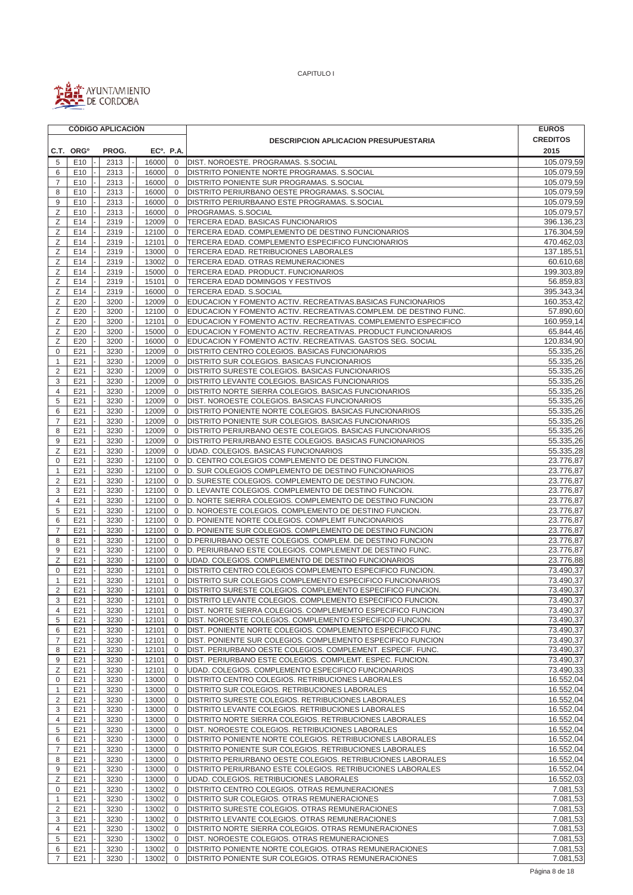

|                | <b>CÓDIGO APLICACIÓN</b> |  |              |  |                        |                            |                                                                                                         | <b>EUROS</b>           |  |
|----------------|--------------------------|--|--------------|--|------------------------|----------------------------|---------------------------------------------------------------------------------------------------------|------------------------|--|
|                |                          |  |              |  |                        |                            | <b>DESCRIPCION APLICACION PRESUPUESTARIA</b>                                                            |                        |  |
|                | C.T. ORG <sup>o</sup>    |  | PROG.        |  | EC <sup>o</sup> . P.A. |                            |                                                                                                         | 2015                   |  |
| 5              | E <sub>10</sub>          |  | 2313         |  | 16000                  | $\mathbf 0$                | DIST. NOROESTE. PROGRAMAS. S.SOCIAL                                                                     | 105.079,59             |  |
| 6              | E <sub>10</sub>          |  | 2313         |  | 16000                  | $\mathbf 0$                | DISTRITO PONIENTE NORTE PROGRAMAS. S.SOCIAL                                                             | 105.079,59             |  |
| $\overline{7}$ | E10                      |  | 2313         |  | 16000                  | $\mathbf{0}$               | DISTRITO PONIENTE SUR PROGRAMAS. S.SOCIAL                                                               | 105.079.59             |  |
| 8              | E10                      |  | 2313         |  | 16000                  | $\mathbf{0}$               | DISTRITO PERIURBANO OESTE PROGRAMAS. S.SOCIAL                                                           | 105.079,59             |  |
| 9              | E10                      |  | 2313         |  | 16000                  | $\mathbf 0$                | DISTRITO PERIURBAANO ESTE PROGRAMAS. S.SOCIAL                                                           | 105.079,59             |  |
| Ζ              | E10                      |  | 2313         |  | 16000                  | $\mathbf 0$                | PROGRAMAS. S.SOCIAL                                                                                     | 105.079,57             |  |
| Ζ              | E14                      |  | 2319         |  | 12009                  | $\mathbf{0}$               | TERCERA EDAD. BASICAS FUNCIONARIOS                                                                      | 396.136,23             |  |
| Ζ              | E14                      |  | 2319         |  | 12100                  | $\mathbf 0$                | TERCERA EDAD. COMPLEMENTO DE DESTINO FUNCIONARIOS                                                       | 176.304,59             |  |
| Ζ              | E14                      |  | 2319         |  | 12101                  | $\mathbf 0$                | TERCERA EDAD. COMPLEMENTO ESPECIFICO FUNCIONARIOS                                                       | 470.462,03             |  |
| Ζ              | E14                      |  | 2319         |  | 13000                  | $\mathbf 0$                | TERCERA EDAD. RETRIBUCIONES LABORALES                                                                   | 137.185,51             |  |
| Ζ              | E14                      |  | 2319         |  | 13002                  | $\mathbf 0$                | TERCERA EDAD. OTRAS REMUNERACIONES                                                                      | 60.610,68              |  |
| Ζ              | E14                      |  | 2319         |  | 15000                  | $\mathbf 0$                | TERCERA EDAD. PRODUCT. FUNCIONARIOS                                                                     | 199.303,89             |  |
| Ζ              | E14                      |  | 2319         |  | 15101                  | $\mathbf 0$                | TERCERA EDAD DOMINGOS Y FESTIVOS                                                                        | 56.859,83              |  |
| Ζ              | E14                      |  | 2319         |  | 16000                  | $\mathbf 0$                | TERCERA EDAD. S.SOCIAL                                                                                  | 395.343,34             |  |
| Ζ              | E20                      |  | 3200         |  | 12009                  | $\mathbf{0}$               | EDUCACION Y FOMENTO ACTIV. RECREATIVAS.BASICAS FUNCIONARIOS                                             | 160.353,42             |  |
| Ζ              | E20                      |  | 3200         |  | 12100                  | $\mathbf{0}$               | EDUCACION Y FOMENTO ACTIV. RECREATIVAS.COMPLEM. DE DESTINO FUNC.                                        | 57.890,60              |  |
| Ζ              | E20                      |  | 3200         |  | 12101                  | $\mathbf 0$                | EDUCACION Y FOMENTO ACTIV. RECREATIVAS. COMPLEMENTO ESPECIFICO                                          | 160.959,14             |  |
| Ζ              | E20                      |  | 3200         |  | 15000                  | $\mathbf 0$                | EDUCACION Y FOMENTO ACTIV. RECREATIVAS. PRODUCT FUNCIONARIOS                                            | 65.844,46              |  |
| Ζ              | E20                      |  | 3200         |  | 16000                  | $\mathbf 0$                | EDUCACION Y FOMENTO ACTIV. RECREATIVAS. GASTOS SEG. SOCIAL                                              | 120.834,90             |  |
| 0              | E21                      |  | 3230         |  | 12009                  | $\mathbf{0}$               | DISTRITO CENTRO COLEGIOS. BASICAS FUNCIONARIOS                                                          | 55.335,26              |  |
| 1              | E21                      |  | 3230         |  | 12009                  | $\mathbf 0$                | DISTRITO SUR COLEGIOS. BASICAS FUNCIONARIOS                                                             | 55.335,26              |  |
| $\overline{2}$ | E21                      |  | 3230         |  | 12009                  | $\mathbf 0$                | DISTRITO SURESTE COLEGIOS. BASICAS FUNCIONARIOS                                                         | 55.335,26              |  |
| 3              | E21                      |  | 3230         |  | 12009                  | $\mathbf{0}$               | DISTRITO LEVANTE COLEGIOS. BASICAS FUNCIONARIOS                                                         | 55.335,26              |  |
| 4              | E21                      |  | 3230         |  | 12009                  | $\mathbf 0$                | DISTRITO NORTE SIERRA COLEGIOS. BASICAS FUNCIONARIOS                                                    | 55.335,26<br>55.335,26 |  |
| 5<br>6         | E21<br>E21               |  | 3230<br>3230 |  | 12009<br>12009         | $\mathbf 0$<br>$\mathbf 0$ | DIST. NOROESTE COLEGIOS. BASICAS FUNCIONARIOS<br>DISTRITO PONIENTE NORTE COLEGIOS. BASICAS FUNCIONARIOS | 55.335,26              |  |
| $\overline{7}$ | E21                      |  | 3230         |  | 12009                  | $\mathbf 0$                | DISTRITO PONIENTE SUR COLEGIOS. BASICAS FUNCIONARIOS                                                    | 55.335,26              |  |
| 8              | E21                      |  | 3230         |  | 12009                  | $\mathbf 0$                | DISTRITO PERIURBANO OESTE COLEGIOS. BASICAS FUNCIONARIOS                                                | 55.335,26              |  |
| 9              | E21                      |  | 3230         |  | 12009                  | $\mathbf 0$                | DISTRITO PERIURBANO ESTE COLEGIOS. BASICAS FUNCIONARIOS                                                 | 55.335,26              |  |
| Ζ              | E21                      |  | 3230         |  | 12009                  | $\mathbf 0$                | UDAD. COLEGIOS. BASICAS FUNCIONARIOS                                                                    | 55.335,28              |  |
| 0              | E21                      |  | 3230         |  | 12100                  | $\mathbf{0}$               | D. CENTRO COLEGIOS COMPLEMENTO DE DESTINO FUNCION.                                                      | 23.776,87              |  |
| 1              | E21                      |  | 3230         |  | 12100                  | $\mathbf 0$                | D. SUR COLEGIOS COMPLEMENTO DE DESTINO FUNCIONARIOS                                                     | 23.776,87              |  |
| $\overline{2}$ | E21                      |  | 3230         |  | 12100                  | $\mathbf 0$                | D. SURESTE COLEGIOS. COMPLEMENTO DE DESTINO FUNCION.                                                    | 23.776,87              |  |
| 3              | E21                      |  | 3230         |  | 12100                  | $\mathbf 0$                | D. LEVANTE COLEGIOS. COMPLEMENTO DE DESTINO FUNCION.                                                    | 23.776,87              |  |
| 4              | E21                      |  | 3230         |  | 12100                  | $\mathbf 0$                | D. NORTE SIERRA COLEGIOS. COMPLEMENTO DE DESTINO FUNCION                                                | 23.776,87              |  |
| 5              | E21                      |  | 3230         |  | 12100                  | $\mathbf{0}$               | D. NOROESTE COLEGIOS. COMPLEMENTO DE DESTINO FUNCION.                                                   | 23.776,87              |  |
| 6              | E21                      |  | 3230         |  | 12100                  | $\mathbf{0}$               | D. PONIENTE NORTE COLEGIOS. COMPLEMT FUNCIONARIOS                                                       | 23.776,87              |  |
| 7              | E21                      |  | 3230         |  | 12100                  | $\overline{0}$             | D. PONIENTE SUR COLEGIOS. COMPLEMENTO DE DESTINO FUNCION                                                | 23.776,87              |  |
| 8              | E21                      |  | 3230         |  | 12100                  | $\overline{0}$             | D.PERIURBANO OESTE COLEGIOS. COMPLEM. DE DESTINO FUNCION                                                | 23.776,87              |  |
| 9              | E21                      |  | 3230         |  | 12100                  | $\mathbf{0}$               | D. PERIURBANO ESTE COLEGIOS. COMPLEMENT.DE DESTINO FUNC.                                                | 23.776,87              |  |
| Ζ              | E21                      |  | 3230         |  | 12100                  | $\mathbf 0$                | UDAD. COLEGIOS. COMPLEMENTO DE DESTINO FUNCIONARIOS                                                     | 23.776,88              |  |
| 0              | E21                      |  | 3230         |  | 12101                  | $\mathbf 0$                | DISTRITO CENTRO COLEGIOS COMPLEMENTO ESPECIFICO FUNCION.                                                | 73.490,37              |  |
| 1              | E21                      |  | 3230         |  | 12101                  | $\mathbf{0}$               | DISTRITO SUR COLEGIOS COMPLEMENTO ESPECIFICO FUNCIONARIOS                                               | 73.490,37              |  |
| $\overline{2}$ | E21                      |  | 3230         |  | 12101                  | $\mathbf 0$                | DISTRITO SURESTE COLEGIOS. COMPLEMENTO ESPECIFICO FUNCION.                                              | 73.490,37              |  |
| $\mathbf{3}$   | E21                      |  | 3230         |  | 12101                  | $\overline{0}$             | DISTRITO LEVANTE COLEGIOS. COMPLEMENTO ESPECIFICO FUNCION.                                              | 73.490,37              |  |
| 4              | E21                      |  | 3230         |  | 12101                  | $\mathbf 0$                | DIST. NORTE SIERRA COLEGIOS. COMPLEMEMTO ESPECIFICO FUNCION                                             | 73.490,37              |  |
| 5              | E21                      |  | 3230         |  | 12101                  | 0                          | DIST. NOROESTE COLEGIOS. COMPLEMENTO ESPECIFICO FUNCION.                                                | 73.490,37              |  |
| 6              | E21                      |  | 3230         |  | 12101                  | 0                          | DIST. PONIENTE NORTE COLEGIOS. COMPLEMENTO ESPECIFICO FUNC                                              | 73.490,37              |  |
| $\overline{7}$ | E21                      |  | 3230         |  | 12101                  | 0                          | DIST. PONIENTE SUR COLEGIOS. COMPLEMENTO ESPECIFICO FUNCION                                             | 73.490,37              |  |
| 8              | E21                      |  | 3230         |  | 12101                  | 0                          | DIST. PERIURBANO OESTE COLEGIOS. COMPLEMENT. ESPECIF. FUNC.                                             | 73.490,37              |  |
| 9              | E21                      |  | 3230         |  | 12101                  | 0                          | DIST. PERIURBANO ESTE COLEGIOS. COMPLEMT. ESPEC. FUNCION.                                               | 73.490,37              |  |
| Ζ              | E21                      |  | 3230         |  | 12101                  | $\mathbf 0$                | UDAD. COLEGIOS. COMPLEMENTO ESPECIFICO FUNCIONARIOS                                                     | 73.490,33              |  |
| 0              | E21                      |  | 3230         |  | 13000                  | $\mathbf{0}$               | DISTRITO CENTRO COLEGIOS. RETRIBUCIONES LABORALES                                                       | 16.552,04              |  |
| 1              | E21                      |  | 3230         |  | 13000                  | 0                          | DISTRITO SUR COLEGIOS. RETRIBUCIONES LABORALES                                                          | 16.552,04              |  |
| 2              | E21                      |  | 3230         |  | 13000                  | $\mathbf{0}$               | DISTRITO SURESTE COLEGIOS. RETRIBUCIONES LABORALES                                                      | 16.552,04              |  |
| 3              | E21                      |  | 3230         |  | 13000                  | 0                          | DISTRITO LEVANTE COLEGIOS. RETRIBUCIONES LABORALES                                                      | 16.552,04              |  |
| 4              | E21                      |  | 3230         |  | 13000                  | $\mathbf 0$                | DISTRITO NORTE SIERRA COLEGIOS. RETRIBUCIONES LABORALES                                                 | 16.552,04              |  |
| 5              | E21                      |  | 3230         |  | 13000                  | $\mathbf 0$                | DIST. NOROESTE COLEGIOS. RETRIBUCIONES LABORALES                                                        | 16.552,04              |  |
| 6              | E21                      |  | 3230         |  | 13000                  | 0                          | DISTRITO PONIENTE NORTE COLEGIOS. RETRIBUCIONES LABORALES                                               | 16.552,04              |  |
| 7              | E21                      |  | 3230         |  | 13000                  | $\mathbf 0$                | DISTRITO PONIENTE SUR COLEGIOS. RETRIBUCIONES LABORALES                                                 | 16.552,04              |  |
| 8              | E21                      |  | 3230         |  | 13000                  | $\mathbf 0$                | DISTRITO PERIURBANO OESTE COLEGIOS. RETRIBUCIONES LABORALES                                             | 16.552,04              |  |
| 9              | E21                      |  | 3230         |  | 13000                  | $\mathbf{0}$               | DISTRITO PERIURBANO ESTE COLEGIOS. RETRIBUCIONES LABORALES                                              | 16.552,04              |  |
| Ζ              | E21<br>E21               |  | 3230<br>3230 |  | 13000<br>13002         | $\mathbf 0$<br>$\mathbf 0$ | UDAD. COLEGIOS. RETRIBUCIONES LABORALES                                                                 | 16.552,03<br>7.081,53  |  |
| 0<br>1         | E21                      |  | 3230         |  | 13002                  | 0                          | DISTRITO CENTRO COLEGIOS. OTRAS REMUNERACIONES<br>DISTRITO SUR COLEGIOS. OTRAS REMUNERACIONES           | 7.081,53               |  |
| $\overline{2}$ | E21                      |  | 3230         |  | 13002                  | $\mathbf 0$                | DISTRITO SURESTE COLEGIOS. OTRAS REMUNERACIONES                                                         | 7.081,53               |  |
| 3              | E21                      |  | 3230         |  | 13002                  | 0                          | DISTRITO LEVANTE COLEGIOS. OTRAS REMUNERACIONES                                                         | 7.081,53               |  |
| 4              | E21                      |  | 3230         |  | 13002                  | $\mathbf 0$                | DISTRITO NORTE SIERRA COLEGIOS. OTRAS REMUNERACIONES                                                    | 7.081,53               |  |
| 5              | E21                      |  | 3230         |  | 13002                  | $\mathbf 0$                | DIST. NOROESTE COLEGIOS. OTRAS REMUNERACIONES                                                           | 7.081,53               |  |
| 6              | E21                      |  | 3230         |  | 13002                  | $\mathbf 0$                | DISTRITO PONIENTE NORTE COLEGIOS. OTRAS REMUNERACIONES                                                  | 7.081,53               |  |
| 7              | E21                      |  | 3230         |  | 13002                  | $\mathbf 0$                | DISTRITO PONIENTE SUR COLEGIOS. OTRAS REMUNERACIONES                                                    | 7.081,53               |  |
|                |                          |  |              |  |                        |                            |                                                                                                         |                        |  |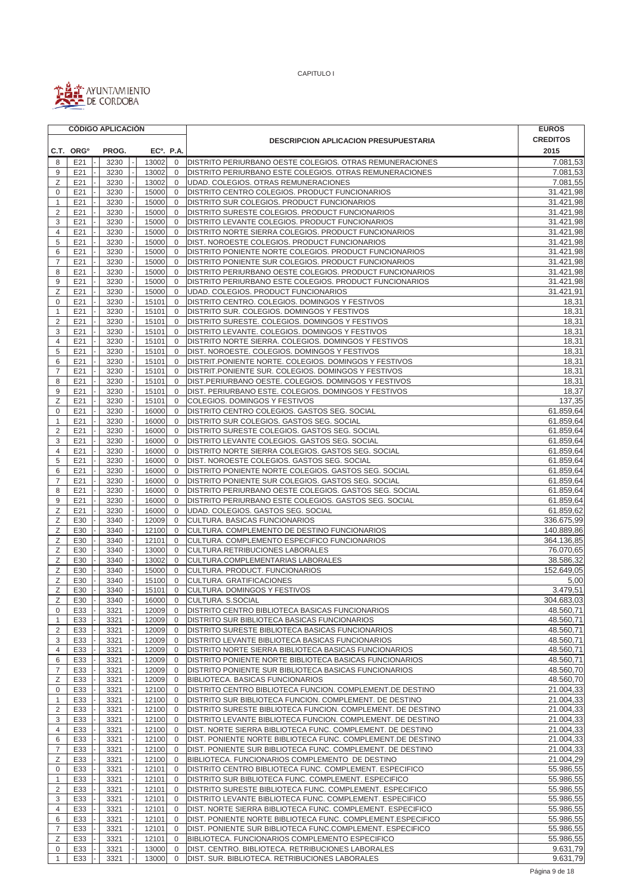

| <b>CREDITOS</b><br><b>DESCRIPCION APLICACION PRESUPUESTARIA</b><br>C.T. ORG <sup>o</sup><br>PROG.<br>EC <sup>o</sup> . P.A.<br>2015<br>E21<br>8<br>3230<br>13002<br>$\mathbf 0$<br>DISTRITO PERIURBANO OESTE COLEGIOS. OTRAS REMUNERACIONES<br>7.081,53<br>9<br>3230<br>13002<br>DISTRITO PERIURBANO ESTE COLEGIOS. OTRAS REMUNERACIONES<br>E21<br>$\mathbf 0$<br>Z<br>E21<br>3230<br>13002<br>$\mathbf{0}$<br>UDAD. COLEGIOS. OTRAS REMUNERACIONES<br>0<br>E21<br>3230<br>15000<br>$\mathbf 0$<br>DISTRITO CENTRO COLEGIOS. PRODUCT FUNCIONARIOS<br>E21<br>15000<br>1<br>3230<br>$\mathbf{0}$<br>DISTRITO SUR COLEGIOS. PRODUCT FUNCIONARIOS<br>$\overline{2}$<br>3230<br>15000<br>DISTRITO SURESTE COLEGIOS. PRODUCT FUNCIONARIOS<br>E21<br>$\mathbf{0}$<br>3<br>E21<br>3230<br>15000<br>$\mathbf 0$<br>DISTRITO LEVANTE COLEGIOS. PRODUCT FUNCIONARIOS<br>15000<br>DISTRITO NORTE SIERRA COLEGIOS. PRODUCT FUNCIONARIOS<br>4<br>E21<br>3230<br>$\mathbf 0$<br>DIST. NOROESTE COLEGIOS. PRODUCT FUNCIONARIOS<br>5<br>E21<br>3230<br>15000<br>$\mathbf 0$<br>E21<br>15000<br>DISTRITO PONIENTE NORTE COLEGIOS. PRODUCT FUNCIONARIOS<br>31.421,98<br>6<br>3230<br>$\mathbf 0$<br>$\overline{7}$<br>E21<br>3230<br>15000<br>$\mathbf 0$<br>DISTRITO PONIENTE SUR COLEGIOS. PRODUCT FUNCIONARIOS<br>8<br>E21<br>3230<br>15000<br>$\mathbf 0$<br>DISTRITO PERIURBANO OESTE COLEGIOS. PRODUCT FUNCIONARIOS<br>15000<br>31.421,98<br>9<br>E21<br>3230<br>$\mathbf{0}$<br>DISTRITO PERIURBANO ESTE COLEGIOS. PRODUCT FUNCIONARIOS<br>Ζ<br>E21<br>3230<br>15000<br>UDAD. COLEGIOS. PRODUCT FUNCIONARIOS<br>31.421,91<br>$\mathbf{0}$<br>DISTRITO CENTRO. COLEGIOS. DOMINGOS Y FESTIVOS<br>$\mathbf 0$<br>E21<br>3230<br>15101<br>$\mathbf 0$<br>18,31<br>3230<br>15101<br>DISTRITO SUR. COLEGIOS. DOMINGOS Y FESTIVOS<br>18,31<br>E21<br>$\mathbf 0$<br>1<br>2<br>E21<br>3230<br>15101<br>DISTRITO SURESTE. COLEGIOS. DOMINGOS Y FESTIVOS<br>18,31<br>$\mathbf 0$<br>3<br>E21<br>3230<br>15101<br>DISTRITO LEVANTE. COLEGIOS. DOMINGOS Y FESTIVOS<br>18,31<br>$\mathbf 0$<br>E21<br>3230<br>15101<br>DISTRITO NORTE SIERRA. COLEGIOS. DOMINGOS Y FESTIVOS<br>18,31<br>4<br>$\mathbf 0$<br>5<br>15101<br>$\mathbf{0}$<br>18,31<br>E21<br>3230<br>DIST. NOROESTE. COLEGIOS. DOMINGOS Y FESTIVOS<br>18,31<br>6<br>E21<br>3230<br>15101<br>$\mathbf 0$<br>DISTRIT.PONIENTE NORTE. COLEGIOS. DOMINGOS Y FESTIVOS<br>3230<br>15101<br>DISTRIT.PONIENTE SUR. COLEGIOS. DOMINGOS Y FESTIVOS<br>18,31<br>$\overline{7}$<br>E21<br>0<br>8<br>E21<br>3230<br>15101<br>$\mathbf{0}$<br>DIST.PERIURBANO OESTE. COLEGIOS. DOMINGOS Y FESTIVOS<br>18,31<br>9<br>15101<br>E21<br>3230<br>$\mathbf 0$<br>DIST. PERIURBANO ESTE. COLEGIOS. DOMINGOS Y FESTIVOS<br>18,37<br>Ζ<br>137,35<br>E21<br>3230<br>15101<br>$\mathbf 0$<br>COLEGIOS. DOMINGOS Y FESTIVOS<br>E21<br>3230<br>16000<br>DISTRITO CENTRO COLEGIOS. GASTOS SEG. SOCIAL<br>61.859,64<br>0<br>$\mathbf 0$<br>61.859,64<br>E21<br>3230<br>16000<br>$\mathbf 0$<br>DISTRITO SUR COLEGIOS. GASTOS SEG. SOCIAL<br>1<br>$\overline{2}$<br>E21<br>16000<br>61.859,64<br>3230<br>$\mathbf 0$<br>DISTRITO SURESTE COLEGIOS. GASTOS SEG. SOCIAL<br>3<br>E21<br>16000<br>$\mathbf 0$<br>DISTRITO LEVANTE COLEGIOS. GASTOS SEG. SOCIAL<br>61.859,64<br>3230<br>4<br>61.859,64<br>E21<br>3230<br>16000<br>$\mathbf 0$<br>DISTRITO NORTE SIERRA COLEGIOS. GASTOS SEG. SOCIAL<br>5<br>E21<br>3230<br>16000<br>DIST. NOROESTE COLEGIOS. GASTOS SEG. SOCIAL<br>61.859,64<br>$\mathbf 0$<br>6<br>E21<br>3230<br>16000<br>$\mathbf{0}$<br>DISTRITO PONIENTE NORTE COLEGIOS. GASTOS SEG. SOCIAL<br>61.859,64<br>$\overline{7}$<br>16000<br>$\mathbf{0}$<br>E21<br>3230<br>DISTRITO PONIENTE SUR COLEGIOS. GASTOS SEG. SOCIAL<br>61.859,64<br>61.859,64<br>8<br>E21<br>3230<br>16000<br>$\mathbf 0$<br>DISTRITO PERIURBANO OESTE COLEGIOS. GASTOS SEG. SOCIAL<br>9<br>E21<br>3230<br>16000<br>DISTRITO PERIURBANO ESTE COLEGIOS. GASTOS SEG. SOCIAL<br>61.859,64<br>$\mathbf 0$<br>Ζ<br>E21<br>3230<br>16000<br>$\mathbf{0}$<br>UDAD. COLEGIOS. GASTOS SEG. SOCIAL<br>Ζ<br>E30<br>3340<br>12009<br>CULTURA. BASICAS FUNCIONARIOS<br>$\mathbf 0$<br>Ζ<br>12100<br>E30<br>3340<br>$\mathbf 0$<br>CULTURA. COMPLEMENTO DE DESTINO FUNCIONARIOS<br>Ζ<br>E30<br>3340<br>12101<br>CULTURA. COMPLEMENTO ESPECIFICO FUNCIONARIOS<br>$\overline{0}$<br>Ζ<br>E30<br>13000<br>$\mathbf{0}$<br>CULTURA.RETRIBUCIONES LABORALES<br>3340<br>Ζ<br>E30<br>3340<br>13002<br>$\mathbf{0}$<br>CULTURA.COMPLEMENTARIAS LABORALES<br>Ζ<br>152.649,05<br>E30<br>3340<br>15000<br>$\mathbf 0$<br>CULTURA. PRODUCT. FUNCIONARIOS<br>Ζ<br>E30<br>3340<br>15100<br>$\mathbf{0}$<br>CULTURA. GRATIFICACIONES<br>Ζ<br>E30<br>3340<br>15101<br>$\mathbf{0}$<br>CULTURA. DOMINGOS Y FESTIVOS<br>$\mathsf Z$<br>E30<br>3340<br>16000<br>304.683,03<br>$\overline{0}$<br>CULTURA. S.SOCIAL<br>48.560,71<br>0<br>E33<br>3321<br>12009<br>DISTRITO CENTRO BIBLIOTECA BASICAS FUNCIONARIOS<br>$\mathbf 0$<br>48.560,71<br>E33<br>3321<br>12009<br>DISTRITO SUR BIBLIOTECA BASICAS FUNCIONARIOS<br>1<br>$\mathbf{0}$<br>$\overline{2}$<br>E33<br>3321<br>48.560,71<br>12009<br>$\mathbf 0$<br>DISTRITO SURESTE BIBLIOTECA BASICAS FUNCIONARIOS<br>12009<br>48.560,71<br>3<br>E33<br>3321<br>DISTRITO LEVANTE BIBLIOTECA BASICAS FUNCIONARIOS<br>0<br>48.560,71<br>4<br>E33<br>3321<br>12009<br>DISTRITO NORTE SIERRA BIBLIOTECA BASICAS FUNCIONARIOS<br>0<br>DISTRITO PONIENTE NORTE BIBLIOTECA BASICAS FUNCIONARIOS<br>48.560,71<br>6<br>E33<br>3321<br>12009<br>0<br>$\overline{7}$<br>E33<br>12009<br>DISTRITO PONIENTE SUR BIBLIOTECA BASICAS FUNCIONARIOS<br>48.560,70<br>3321<br>$\mathbf 0$<br>Ζ<br>E33<br>3321<br>12009<br>48.560,70<br>BIBLIOTECA. BASICAS FUNCIONARIOS<br>$\mathbf{0}$<br>12100<br>21.004,33<br>E33<br>3321<br>$\mathbf 0$<br>DISTRITO CENTRO BIBLIOTECA FUNCION. COMPLEMENT.DE DESTINO<br>0<br>21.004,33<br>E33<br>3321<br>12100<br>DISTRITO SUR BIBLIOTECA FUNCION. COMPLEMENT. DE DESTINO<br>1<br>$\mathbf{0}$<br>12100<br>21.004,33<br>$\overline{2}$<br>E33<br>3321<br>DISTRITO SURESTE BIBLIOTECA FUNCION. COMPLEMENT. DE DESTINO<br>0<br>21.004,33<br>3<br>E33<br>3321<br>12100<br>0<br>DISTRITO LEVANTE BIBLIOTECA FUNCION. COMPLEMENT. DE DESTINO<br>12100<br>21.004,33<br>4<br>E33<br>3321<br>0<br>DIST. NORTE SIERRA BIBLIOTECA FUNC. COMPLEMENT. DE DESTINO<br>21.004,33<br>6<br>E33<br>3321<br>12100<br>DIST. PONIENTE NORTE BIBLIOTECA FUNC. COMPLEMENT.DE DESTINO<br>0<br>DIST. PONIENTE SUR BIBLIOTECA FUNC. COMPLEMENT. DE DESTINO<br>21.004,33<br>7<br>E33<br>3321<br>12100<br>$\mathbf 0$<br>21.004,29<br>Ζ<br>E33<br>12100<br>BIBLIOTECA. FUNCIONARIOS COMPLEMENTO DE DESTINO<br>3321<br>0<br>0<br>E33<br>3321<br>12101<br>55.986,55<br>DISTRITO CENTRO BIBLIOTECA FUNC. COMPLEMENT. ESPECIFICO<br>$\mathbf{0}$<br>55.986,55<br>E33<br>3321<br>12101<br>0<br>DISTRITO SUR BIBLIOTECA FUNC. COMPLEMENT. ESPECIFICO<br>1<br>2<br>E33<br>3321<br>12101<br>DISTRITO SURESTE BIBLIOTECA FUNC. COMPLEMENT. ESPECIFICO<br>$\overline{0}$<br>3<br>E33<br>DISTRITO LEVANTE BIBLIOTECA FUNC. COMPLEMENT. ESPECIFICO<br>3321<br>12101<br>0<br>4<br>E33<br>3321<br>12101<br>0<br>DIST. NORTE SIERRA BIBLIOTECA FUNC. COMPLEMENT. ESPECIFICO<br>6<br>E33<br>3321<br>12101<br>DIST. PONIENTE NORTE BIBLIOTECA FUNC. COMPLEMENT.ESPECIFICO<br>0<br>$\overline{7}$<br>E33<br>DIST. PONIENTE SUR BIBLIOTECA FUNC.COMPLEMENT. ESPECIFICO<br>3321<br>12101<br>0<br>Ζ<br>E33<br>BIBLIOTECA. FUNCIONARIOS COMPLEMENTO ESPECIFICO<br>3321<br>12101<br>$\mathbf 0$<br>E33<br>13000<br>$\mathbf 0$<br>DIST. CENTRO. BIBLIOTECA. RETRIBUCIONES LABORALES<br>0<br>3321<br>E33<br>3321<br>13000<br>$\mathbf 0$<br>DIST. SUR. BIBLIOTECA. RETRIBUCIONES LABORALES<br>1 |  | <b>CÓDIGO APLICACIÓN</b> |  |  | <b>EUROS</b> |  |  |
|-----------------------------------------------------------------------------------------------------------------------------------------------------------------------------------------------------------------------------------------------------------------------------------------------------------------------------------------------------------------------------------------------------------------------------------------------------------------------------------------------------------------------------------------------------------------------------------------------------------------------------------------------------------------------------------------------------------------------------------------------------------------------------------------------------------------------------------------------------------------------------------------------------------------------------------------------------------------------------------------------------------------------------------------------------------------------------------------------------------------------------------------------------------------------------------------------------------------------------------------------------------------------------------------------------------------------------------------------------------------------------------------------------------------------------------------------------------------------------------------------------------------------------------------------------------------------------------------------------------------------------------------------------------------------------------------------------------------------------------------------------------------------------------------------------------------------------------------------------------------------------------------------------------------------------------------------------------------------------------------------------------------------------------------------------------------------------------------------------------------------------------------------------------------------------------------------------------------------------------------------------------------------------------------------------------------------------------------------------------------------------------------------------------------------------------------------------------------------------------------------------------------------------------------------------------------------------------------------------------------------------------------------------------------------------------------------------------------------------------------------------------------------------------------------------------------------------------------------------------------------------------------------------------------------------------------------------------------------------------------------------------------------------------------------------------------------------------------------------------------------------------------------------------------------------------------------------------------------------------------------------------------------------------------------------------------------------------------------------------------------------------------------------------------------------------------------------------------------------------------------------------------------------------------------------------------------------------------------------------------------------------------------------------------------------------------------------------------------------------------------------------------------------------------------------------------------------------------------------------------------------------------------------------------------------------------------------------------------------------------------------------------------------------------------------------------------------------------------------------------------------------------------------------------------------------------------------------------------------------------------------------------------------------------------------------------------------------------------------------------------------------------------------------------------------------------------------------------------------------------------------------------------------------------------------------------------------------------------------------------------------------------------------------------------------------------------------------------------------------------------------------------------------------------------------------------------------------------------------------------------------------------------------------------------------------------------------------------------------------------------------------------------------------------------------------------------------------------------------------------------------------------------------------------------------------------------------------------------------------------------------------------------------------------------------------------------------------------------------------------------------------------------------------------------------------------------------------------------------------------------------------------------------------------------------------------------------------------------------------------------------------------------------------------------------------------------------------------------------------------------------------------------------------------------------------------------------------------------------------------------------------------------------------------------------------------------------------------------------------------------------------------------------------------------------------------------------------------------------------------------------------------------------------------------------------------------------------------------------------------------------------------------------------------------------------------------------------------------------------------------------------------------------------------------------------------------------------------------------------------------------------------------------------------------------------------------------------------------------------------------------------------------------------------------------------------------------------------------------------------------------------------------------------------------------------------------------------------------------------------------------------------------------------------------------------------------------------------------------------------------------------------------------------------------------------------------------------------------------------------------------------------------------------------------------------------------------------------------------------------------------------------------------------------------------------------------------------------------------------------------------------------------------------------------------------------------------------------------------------------------------------------------------------------------------------------------------------------------------------------------------------------------------------------------------------------------------------------------------------------------------------------------|--|--------------------------|--|--|--------------|--|--|
|                                                                                                                                                                                                                                                                                                                                                                                                                                                                                                                                                                                                                                                                                                                                                                                                                                                                                                                                                                                                                                                                                                                                                                                                                                                                                                                                                                                                                                                                                                                                                                                                                                                                                                                                                                                                                                                                                                                                                                                                                                                                                                                                                                                                                                                                                                                                                                                                                                                                                                                                                                                                                                                                                                                                                                                                                                                                                                                                                                                                                                                                                                                                                                                                                                                                                                                                                                                                                                                                                                                                                                                                                                                                                                                                                                                                                                                                                                                                                                                                                                                                                                                                                                                                                                                                                                                                                                                                                                                                                                                                                                                                                                                                                                                                                                                                                                                                                                                                                                                                                                                                                                                                                                                                                                                                                                                                                                                                                                                                                                                                                                                                                                                                                                                                                                                                                                                                                                                                                                                                                                                                                                                                                                                                                                                                                                                                                                                                                                                                                                                                                                                                                                                                                                                                                                                                                                                                                                                                                                                                                                                                                                                                                                                                                                                                                                                                                                                                                                                                                                                                                                                                                                                                                                                                                                       |  |                          |  |  |              |  |  |
|                                                                                                                                                                                                                                                                                                                                                                                                                                                                                                                                                                                                                                                                                                                                                                                                                                                                                                                                                                                                                                                                                                                                                                                                                                                                                                                                                                                                                                                                                                                                                                                                                                                                                                                                                                                                                                                                                                                                                                                                                                                                                                                                                                                                                                                                                                                                                                                                                                                                                                                                                                                                                                                                                                                                                                                                                                                                                                                                                                                                                                                                                                                                                                                                                                                                                                                                                                                                                                                                                                                                                                                                                                                                                                                                                                                                                                                                                                                                                                                                                                                                                                                                                                                                                                                                                                                                                                                                                                                                                                                                                                                                                                                                                                                                                                                                                                                                                                                                                                                                                                                                                                                                                                                                                                                                                                                                                                                                                                                                                                                                                                                                                                                                                                                                                                                                                                                                                                                                                                                                                                                                                                                                                                                                                                                                                                                                                                                                                                                                                                                                                                                                                                                                                                                                                                                                                                                                                                                                                                                                                                                                                                                                                                                                                                                                                                                                                                                                                                                                                                                                                                                                                                                                                                                                                                       |  |                          |  |  |              |  |  |
|                                                                                                                                                                                                                                                                                                                                                                                                                                                                                                                                                                                                                                                                                                                                                                                                                                                                                                                                                                                                                                                                                                                                                                                                                                                                                                                                                                                                                                                                                                                                                                                                                                                                                                                                                                                                                                                                                                                                                                                                                                                                                                                                                                                                                                                                                                                                                                                                                                                                                                                                                                                                                                                                                                                                                                                                                                                                                                                                                                                                                                                                                                                                                                                                                                                                                                                                                                                                                                                                                                                                                                                                                                                                                                                                                                                                                                                                                                                                                                                                                                                                                                                                                                                                                                                                                                                                                                                                                                                                                                                                                                                                                                                                                                                                                                                                                                                                                                                                                                                                                                                                                                                                                                                                                                                                                                                                                                                                                                                                                                                                                                                                                                                                                                                                                                                                                                                                                                                                                                                                                                                                                                                                                                                                                                                                                                                                                                                                                                                                                                                                                                                                                                                                                                                                                                                                                                                                                                                                                                                                                                                                                                                                                                                                                                                                                                                                                                                                                                                                                                                                                                                                                                                                                                                                                                       |  |                          |  |  |              |  |  |
|                                                                                                                                                                                                                                                                                                                                                                                                                                                                                                                                                                                                                                                                                                                                                                                                                                                                                                                                                                                                                                                                                                                                                                                                                                                                                                                                                                                                                                                                                                                                                                                                                                                                                                                                                                                                                                                                                                                                                                                                                                                                                                                                                                                                                                                                                                                                                                                                                                                                                                                                                                                                                                                                                                                                                                                                                                                                                                                                                                                                                                                                                                                                                                                                                                                                                                                                                                                                                                                                                                                                                                                                                                                                                                                                                                                                                                                                                                                                                                                                                                                                                                                                                                                                                                                                                                                                                                                                                                                                                                                                                                                                                                                                                                                                                                                                                                                                                                                                                                                                                                                                                                                                                                                                                                                                                                                                                                                                                                                                                                                                                                                                                                                                                                                                                                                                                                                                                                                                                                                                                                                                                                                                                                                                                                                                                                                                                                                                                                                                                                                                                                                                                                                                                                                                                                                                                                                                                                                                                                                                                                                                                                                                                                                                                                                                                                                                                                                                                                                                                                                                                                                                                                                                                                                                                                       |  |                          |  |  | 7.081,53     |  |  |
|                                                                                                                                                                                                                                                                                                                                                                                                                                                                                                                                                                                                                                                                                                                                                                                                                                                                                                                                                                                                                                                                                                                                                                                                                                                                                                                                                                                                                                                                                                                                                                                                                                                                                                                                                                                                                                                                                                                                                                                                                                                                                                                                                                                                                                                                                                                                                                                                                                                                                                                                                                                                                                                                                                                                                                                                                                                                                                                                                                                                                                                                                                                                                                                                                                                                                                                                                                                                                                                                                                                                                                                                                                                                                                                                                                                                                                                                                                                                                                                                                                                                                                                                                                                                                                                                                                                                                                                                                                                                                                                                                                                                                                                                                                                                                                                                                                                                                                                                                                                                                                                                                                                                                                                                                                                                                                                                                                                                                                                                                                                                                                                                                                                                                                                                                                                                                                                                                                                                                                                                                                                                                                                                                                                                                                                                                                                                                                                                                                                                                                                                                                                                                                                                                                                                                                                                                                                                                                                                                                                                                                                                                                                                                                                                                                                                                                                                                                                                                                                                                                                                                                                                                                                                                                                                                                       |  |                          |  |  | 7.081,55     |  |  |
|                                                                                                                                                                                                                                                                                                                                                                                                                                                                                                                                                                                                                                                                                                                                                                                                                                                                                                                                                                                                                                                                                                                                                                                                                                                                                                                                                                                                                                                                                                                                                                                                                                                                                                                                                                                                                                                                                                                                                                                                                                                                                                                                                                                                                                                                                                                                                                                                                                                                                                                                                                                                                                                                                                                                                                                                                                                                                                                                                                                                                                                                                                                                                                                                                                                                                                                                                                                                                                                                                                                                                                                                                                                                                                                                                                                                                                                                                                                                                                                                                                                                                                                                                                                                                                                                                                                                                                                                                                                                                                                                                                                                                                                                                                                                                                                                                                                                                                                                                                                                                                                                                                                                                                                                                                                                                                                                                                                                                                                                                                                                                                                                                                                                                                                                                                                                                                                                                                                                                                                                                                                                                                                                                                                                                                                                                                                                                                                                                                                                                                                                                                                                                                                                                                                                                                                                                                                                                                                                                                                                                                                                                                                                                                                                                                                                                                                                                                                                                                                                                                                                                                                                                                                                                                                                                                       |  |                          |  |  | 31.421,98    |  |  |
|                                                                                                                                                                                                                                                                                                                                                                                                                                                                                                                                                                                                                                                                                                                                                                                                                                                                                                                                                                                                                                                                                                                                                                                                                                                                                                                                                                                                                                                                                                                                                                                                                                                                                                                                                                                                                                                                                                                                                                                                                                                                                                                                                                                                                                                                                                                                                                                                                                                                                                                                                                                                                                                                                                                                                                                                                                                                                                                                                                                                                                                                                                                                                                                                                                                                                                                                                                                                                                                                                                                                                                                                                                                                                                                                                                                                                                                                                                                                                                                                                                                                                                                                                                                                                                                                                                                                                                                                                                                                                                                                                                                                                                                                                                                                                                                                                                                                                                                                                                                                                                                                                                                                                                                                                                                                                                                                                                                                                                                                                                                                                                                                                                                                                                                                                                                                                                                                                                                                                                                                                                                                                                                                                                                                                                                                                                                                                                                                                                                                                                                                                                                                                                                                                                                                                                                                                                                                                                                                                                                                                                                                                                                                                                                                                                                                                                                                                                                                                                                                                                                                                                                                                                                                                                                                                                       |  |                          |  |  | 31.421,98    |  |  |
|                                                                                                                                                                                                                                                                                                                                                                                                                                                                                                                                                                                                                                                                                                                                                                                                                                                                                                                                                                                                                                                                                                                                                                                                                                                                                                                                                                                                                                                                                                                                                                                                                                                                                                                                                                                                                                                                                                                                                                                                                                                                                                                                                                                                                                                                                                                                                                                                                                                                                                                                                                                                                                                                                                                                                                                                                                                                                                                                                                                                                                                                                                                                                                                                                                                                                                                                                                                                                                                                                                                                                                                                                                                                                                                                                                                                                                                                                                                                                                                                                                                                                                                                                                                                                                                                                                                                                                                                                                                                                                                                                                                                                                                                                                                                                                                                                                                                                                                                                                                                                                                                                                                                                                                                                                                                                                                                                                                                                                                                                                                                                                                                                                                                                                                                                                                                                                                                                                                                                                                                                                                                                                                                                                                                                                                                                                                                                                                                                                                                                                                                                                                                                                                                                                                                                                                                                                                                                                                                                                                                                                                                                                                                                                                                                                                                                                                                                                                                                                                                                                                                                                                                                                                                                                                                                                       |  |                          |  |  | 31.421,98    |  |  |
|                                                                                                                                                                                                                                                                                                                                                                                                                                                                                                                                                                                                                                                                                                                                                                                                                                                                                                                                                                                                                                                                                                                                                                                                                                                                                                                                                                                                                                                                                                                                                                                                                                                                                                                                                                                                                                                                                                                                                                                                                                                                                                                                                                                                                                                                                                                                                                                                                                                                                                                                                                                                                                                                                                                                                                                                                                                                                                                                                                                                                                                                                                                                                                                                                                                                                                                                                                                                                                                                                                                                                                                                                                                                                                                                                                                                                                                                                                                                                                                                                                                                                                                                                                                                                                                                                                                                                                                                                                                                                                                                                                                                                                                                                                                                                                                                                                                                                                                                                                                                                                                                                                                                                                                                                                                                                                                                                                                                                                                                                                                                                                                                                                                                                                                                                                                                                                                                                                                                                                                                                                                                                                                                                                                                                                                                                                                                                                                                                                                                                                                                                                                                                                                                                                                                                                                                                                                                                                                                                                                                                                                                                                                                                                                                                                                                                                                                                                                                                                                                                                                                                                                                                                                                                                                                                                       |  |                          |  |  | 31.421,98    |  |  |
|                                                                                                                                                                                                                                                                                                                                                                                                                                                                                                                                                                                                                                                                                                                                                                                                                                                                                                                                                                                                                                                                                                                                                                                                                                                                                                                                                                                                                                                                                                                                                                                                                                                                                                                                                                                                                                                                                                                                                                                                                                                                                                                                                                                                                                                                                                                                                                                                                                                                                                                                                                                                                                                                                                                                                                                                                                                                                                                                                                                                                                                                                                                                                                                                                                                                                                                                                                                                                                                                                                                                                                                                                                                                                                                                                                                                                                                                                                                                                                                                                                                                                                                                                                                                                                                                                                                                                                                                                                                                                                                                                                                                                                                                                                                                                                                                                                                                                                                                                                                                                                                                                                                                                                                                                                                                                                                                                                                                                                                                                                                                                                                                                                                                                                                                                                                                                                                                                                                                                                                                                                                                                                                                                                                                                                                                                                                                                                                                                                                                                                                                                                                                                                                                                                                                                                                                                                                                                                                                                                                                                                                                                                                                                                                                                                                                                                                                                                                                                                                                                                                                                                                                                                                                                                                                                                       |  |                          |  |  | 31.421,98    |  |  |
|                                                                                                                                                                                                                                                                                                                                                                                                                                                                                                                                                                                                                                                                                                                                                                                                                                                                                                                                                                                                                                                                                                                                                                                                                                                                                                                                                                                                                                                                                                                                                                                                                                                                                                                                                                                                                                                                                                                                                                                                                                                                                                                                                                                                                                                                                                                                                                                                                                                                                                                                                                                                                                                                                                                                                                                                                                                                                                                                                                                                                                                                                                                                                                                                                                                                                                                                                                                                                                                                                                                                                                                                                                                                                                                                                                                                                                                                                                                                                                                                                                                                                                                                                                                                                                                                                                                                                                                                                                                                                                                                                                                                                                                                                                                                                                                                                                                                                                                                                                                                                                                                                                                                                                                                                                                                                                                                                                                                                                                                                                                                                                                                                                                                                                                                                                                                                                                                                                                                                                                                                                                                                                                                                                                                                                                                                                                                                                                                                                                                                                                                                                                                                                                                                                                                                                                                                                                                                                                                                                                                                                                                                                                                                                                                                                                                                                                                                                                                                                                                                                                                                                                                                                                                                                                                                                       |  |                          |  |  | 31.421,98    |  |  |
|                                                                                                                                                                                                                                                                                                                                                                                                                                                                                                                                                                                                                                                                                                                                                                                                                                                                                                                                                                                                                                                                                                                                                                                                                                                                                                                                                                                                                                                                                                                                                                                                                                                                                                                                                                                                                                                                                                                                                                                                                                                                                                                                                                                                                                                                                                                                                                                                                                                                                                                                                                                                                                                                                                                                                                                                                                                                                                                                                                                                                                                                                                                                                                                                                                                                                                                                                                                                                                                                                                                                                                                                                                                                                                                                                                                                                                                                                                                                                                                                                                                                                                                                                                                                                                                                                                                                                                                                                                                                                                                                                                                                                                                                                                                                                                                                                                                                                                                                                                                                                                                                                                                                                                                                                                                                                                                                                                                                                                                                                                                                                                                                                                                                                                                                                                                                                                                                                                                                                                                                                                                                                                                                                                                                                                                                                                                                                                                                                                                                                                                                                                                                                                                                                                                                                                                                                                                                                                                                                                                                                                                                                                                                                                                                                                                                                                                                                                                                                                                                                                                                                                                                                                                                                                                                                                       |  |                          |  |  |              |  |  |
|                                                                                                                                                                                                                                                                                                                                                                                                                                                                                                                                                                                                                                                                                                                                                                                                                                                                                                                                                                                                                                                                                                                                                                                                                                                                                                                                                                                                                                                                                                                                                                                                                                                                                                                                                                                                                                                                                                                                                                                                                                                                                                                                                                                                                                                                                                                                                                                                                                                                                                                                                                                                                                                                                                                                                                                                                                                                                                                                                                                                                                                                                                                                                                                                                                                                                                                                                                                                                                                                                                                                                                                                                                                                                                                                                                                                                                                                                                                                                                                                                                                                                                                                                                                                                                                                                                                                                                                                                                                                                                                                                                                                                                                                                                                                                                                                                                                                                                                                                                                                                                                                                                                                                                                                                                                                                                                                                                                                                                                                                                                                                                                                                                                                                                                                                                                                                                                                                                                                                                                                                                                                                                                                                                                                                                                                                                                                                                                                                                                                                                                                                                                                                                                                                                                                                                                                                                                                                                                                                                                                                                                                                                                                                                                                                                                                                                                                                                                                                                                                                                                                                                                                                                                                                                                                                                       |  |                          |  |  | 31.421,98    |  |  |
|                                                                                                                                                                                                                                                                                                                                                                                                                                                                                                                                                                                                                                                                                                                                                                                                                                                                                                                                                                                                                                                                                                                                                                                                                                                                                                                                                                                                                                                                                                                                                                                                                                                                                                                                                                                                                                                                                                                                                                                                                                                                                                                                                                                                                                                                                                                                                                                                                                                                                                                                                                                                                                                                                                                                                                                                                                                                                                                                                                                                                                                                                                                                                                                                                                                                                                                                                                                                                                                                                                                                                                                                                                                                                                                                                                                                                                                                                                                                                                                                                                                                                                                                                                                                                                                                                                                                                                                                                                                                                                                                                                                                                                                                                                                                                                                                                                                                                                                                                                                                                                                                                                                                                                                                                                                                                                                                                                                                                                                                                                                                                                                                                                                                                                                                                                                                                                                                                                                                                                                                                                                                                                                                                                                                                                                                                                                                                                                                                                                                                                                                                                                                                                                                                                                                                                                                                                                                                                                                                                                                                                                                                                                                                                                                                                                                                                                                                                                                                                                                                                                                                                                                                                                                                                                                                                       |  |                          |  |  | 31.421,98    |  |  |
|                                                                                                                                                                                                                                                                                                                                                                                                                                                                                                                                                                                                                                                                                                                                                                                                                                                                                                                                                                                                                                                                                                                                                                                                                                                                                                                                                                                                                                                                                                                                                                                                                                                                                                                                                                                                                                                                                                                                                                                                                                                                                                                                                                                                                                                                                                                                                                                                                                                                                                                                                                                                                                                                                                                                                                                                                                                                                                                                                                                                                                                                                                                                                                                                                                                                                                                                                                                                                                                                                                                                                                                                                                                                                                                                                                                                                                                                                                                                                                                                                                                                                                                                                                                                                                                                                                                                                                                                                                                                                                                                                                                                                                                                                                                                                                                                                                                                                                                                                                                                                                                                                                                                                                                                                                                                                                                                                                                                                                                                                                                                                                                                                                                                                                                                                                                                                                                                                                                                                                                                                                                                                                                                                                                                                                                                                                                                                                                                                                                                                                                                                                                                                                                                                                                                                                                                                                                                                                                                                                                                                                                                                                                                                                                                                                                                                                                                                                                                                                                                                                                                                                                                                                                                                                                                                                       |  |                          |  |  |              |  |  |
|                                                                                                                                                                                                                                                                                                                                                                                                                                                                                                                                                                                                                                                                                                                                                                                                                                                                                                                                                                                                                                                                                                                                                                                                                                                                                                                                                                                                                                                                                                                                                                                                                                                                                                                                                                                                                                                                                                                                                                                                                                                                                                                                                                                                                                                                                                                                                                                                                                                                                                                                                                                                                                                                                                                                                                                                                                                                                                                                                                                                                                                                                                                                                                                                                                                                                                                                                                                                                                                                                                                                                                                                                                                                                                                                                                                                                                                                                                                                                                                                                                                                                                                                                                                                                                                                                                                                                                                                                                                                                                                                                                                                                                                                                                                                                                                                                                                                                                                                                                                                                                                                                                                                                                                                                                                                                                                                                                                                                                                                                                                                                                                                                                                                                                                                                                                                                                                                                                                                                                                                                                                                                                                                                                                                                                                                                                                                                                                                                                                                                                                                                                                                                                                                                                                                                                                                                                                                                                                                                                                                                                                                                                                                                                                                                                                                                                                                                                                                                                                                                                                                                                                                                                                                                                                                                                       |  |                          |  |  |              |  |  |
|                                                                                                                                                                                                                                                                                                                                                                                                                                                                                                                                                                                                                                                                                                                                                                                                                                                                                                                                                                                                                                                                                                                                                                                                                                                                                                                                                                                                                                                                                                                                                                                                                                                                                                                                                                                                                                                                                                                                                                                                                                                                                                                                                                                                                                                                                                                                                                                                                                                                                                                                                                                                                                                                                                                                                                                                                                                                                                                                                                                                                                                                                                                                                                                                                                                                                                                                                                                                                                                                                                                                                                                                                                                                                                                                                                                                                                                                                                                                                                                                                                                                                                                                                                                                                                                                                                                                                                                                                                                                                                                                                                                                                                                                                                                                                                                                                                                                                                                                                                                                                                                                                                                                                                                                                                                                                                                                                                                                                                                                                                                                                                                                                                                                                                                                                                                                                                                                                                                                                                                                                                                                                                                                                                                                                                                                                                                                                                                                                                                                                                                                                                                                                                                                                                                                                                                                                                                                                                                                                                                                                                                                                                                                                                                                                                                                                                                                                                                                                                                                                                                                                                                                                                                                                                                                                                       |  |                          |  |  |              |  |  |
|                                                                                                                                                                                                                                                                                                                                                                                                                                                                                                                                                                                                                                                                                                                                                                                                                                                                                                                                                                                                                                                                                                                                                                                                                                                                                                                                                                                                                                                                                                                                                                                                                                                                                                                                                                                                                                                                                                                                                                                                                                                                                                                                                                                                                                                                                                                                                                                                                                                                                                                                                                                                                                                                                                                                                                                                                                                                                                                                                                                                                                                                                                                                                                                                                                                                                                                                                                                                                                                                                                                                                                                                                                                                                                                                                                                                                                                                                                                                                                                                                                                                                                                                                                                                                                                                                                                                                                                                                                                                                                                                                                                                                                                                                                                                                                                                                                                                                                                                                                                                                                                                                                                                                                                                                                                                                                                                                                                                                                                                                                                                                                                                                                                                                                                                                                                                                                                                                                                                                                                                                                                                                                                                                                                                                                                                                                                                                                                                                                                                                                                                                                                                                                                                                                                                                                                                                                                                                                                                                                                                                                                                                                                                                                                                                                                                                                                                                                                                                                                                                                                                                                                                                                                                                                                                                                       |  |                          |  |  |              |  |  |
|                                                                                                                                                                                                                                                                                                                                                                                                                                                                                                                                                                                                                                                                                                                                                                                                                                                                                                                                                                                                                                                                                                                                                                                                                                                                                                                                                                                                                                                                                                                                                                                                                                                                                                                                                                                                                                                                                                                                                                                                                                                                                                                                                                                                                                                                                                                                                                                                                                                                                                                                                                                                                                                                                                                                                                                                                                                                                                                                                                                                                                                                                                                                                                                                                                                                                                                                                                                                                                                                                                                                                                                                                                                                                                                                                                                                                                                                                                                                                                                                                                                                                                                                                                                                                                                                                                                                                                                                                                                                                                                                                                                                                                                                                                                                                                                                                                                                                                                                                                                                                                                                                                                                                                                                                                                                                                                                                                                                                                                                                                                                                                                                                                                                                                                                                                                                                                                                                                                                                                                                                                                                                                                                                                                                                                                                                                                                                                                                                                                                                                                                                                                                                                                                                                                                                                                                                                                                                                                                                                                                                                                                                                                                                                                                                                                                                                                                                                                                                                                                                                                                                                                                                                                                                                                                                                       |  |                          |  |  |              |  |  |
|                                                                                                                                                                                                                                                                                                                                                                                                                                                                                                                                                                                                                                                                                                                                                                                                                                                                                                                                                                                                                                                                                                                                                                                                                                                                                                                                                                                                                                                                                                                                                                                                                                                                                                                                                                                                                                                                                                                                                                                                                                                                                                                                                                                                                                                                                                                                                                                                                                                                                                                                                                                                                                                                                                                                                                                                                                                                                                                                                                                                                                                                                                                                                                                                                                                                                                                                                                                                                                                                                                                                                                                                                                                                                                                                                                                                                                                                                                                                                                                                                                                                                                                                                                                                                                                                                                                                                                                                                                                                                                                                                                                                                                                                                                                                                                                                                                                                                                                                                                                                                                                                                                                                                                                                                                                                                                                                                                                                                                                                                                                                                                                                                                                                                                                                                                                                                                                                                                                                                                                                                                                                                                                                                                                                                                                                                                                                                                                                                                                                                                                                                                                                                                                                                                                                                                                                                                                                                                                                                                                                                                                                                                                                                                                                                                                                                                                                                                                                                                                                                                                                                                                                                                                                                                                                                                       |  |                          |  |  |              |  |  |
|                                                                                                                                                                                                                                                                                                                                                                                                                                                                                                                                                                                                                                                                                                                                                                                                                                                                                                                                                                                                                                                                                                                                                                                                                                                                                                                                                                                                                                                                                                                                                                                                                                                                                                                                                                                                                                                                                                                                                                                                                                                                                                                                                                                                                                                                                                                                                                                                                                                                                                                                                                                                                                                                                                                                                                                                                                                                                                                                                                                                                                                                                                                                                                                                                                                                                                                                                                                                                                                                                                                                                                                                                                                                                                                                                                                                                                                                                                                                                                                                                                                                                                                                                                                                                                                                                                                                                                                                                                                                                                                                                                                                                                                                                                                                                                                                                                                                                                                                                                                                                                                                                                                                                                                                                                                                                                                                                                                                                                                                                                                                                                                                                                                                                                                                                                                                                                                                                                                                                                                                                                                                                                                                                                                                                                                                                                                                                                                                                                                                                                                                                                                                                                                                                                                                                                                                                                                                                                                                                                                                                                                                                                                                                                                                                                                                                                                                                                                                                                                                                                                                                                                                                                                                                                                                                                       |  |                          |  |  |              |  |  |
|                                                                                                                                                                                                                                                                                                                                                                                                                                                                                                                                                                                                                                                                                                                                                                                                                                                                                                                                                                                                                                                                                                                                                                                                                                                                                                                                                                                                                                                                                                                                                                                                                                                                                                                                                                                                                                                                                                                                                                                                                                                                                                                                                                                                                                                                                                                                                                                                                                                                                                                                                                                                                                                                                                                                                                                                                                                                                                                                                                                                                                                                                                                                                                                                                                                                                                                                                                                                                                                                                                                                                                                                                                                                                                                                                                                                                                                                                                                                                                                                                                                                                                                                                                                                                                                                                                                                                                                                                                                                                                                                                                                                                                                                                                                                                                                                                                                                                                                                                                                                                                                                                                                                                                                                                                                                                                                                                                                                                                                                                                                                                                                                                                                                                                                                                                                                                                                                                                                                                                                                                                                                                                                                                                                                                                                                                                                                                                                                                                                                                                                                                                                                                                                                                                                                                                                                                                                                                                                                                                                                                                                                                                                                                                                                                                                                                                                                                                                                                                                                                                                                                                                                                                                                                                                                                                       |  |                          |  |  |              |  |  |
|                                                                                                                                                                                                                                                                                                                                                                                                                                                                                                                                                                                                                                                                                                                                                                                                                                                                                                                                                                                                                                                                                                                                                                                                                                                                                                                                                                                                                                                                                                                                                                                                                                                                                                                                                                                                                                                                                                                                                                                                                                                                                                                                                                                                                                                                                                                                                                                                                                                                                                                                                                                                                                                                                                                                                                                                                                                                                                                                                                                                                                                                                                                                                                                                                                                                                                                                                                                                                                                                                                                                                                                                                                                                                                                                                                                                                                                                                                                                                                                                                                                                                                                                                                                                                                                                                                                                                                                                                                                                                                                                                                                                                                                                                                                                                                                                                                                                                                                                                                                                                                                                                                                                                                                                                                                                                                                                                                                                                                                                                                                                                                                                                                                                                                                                                                                                                                                                                                                                                                                                                                                                                                                                                                                                                                                                                                                                                                                                                                                                                                                                                                                                                                                                                                                                                                                                                                                                                                                                                                                                                                                                                                                                                                                                                                                                                                                                                                                                                                                                                                                                                                                                                                                                                                                                                                       |  |                          |  |  |              |  |  |
|                                                                                                                                                                                                                                                                                                                                                                                                                                                                                                                                                                                                                                                                                                                                                                                                                                                                                                                                                                                                                                                                                                                                                                                                                                                                                                                                                                                                                                                                                                                                                                                                                                                                                                                                                                                                                                                                                                                                                                                                                                                                                                                                                                                                                                                                                                                                                                                                                                                                                                                                                                                                                                                                                                                                                                                                                                                                                                                                                                                                                                                                                                                                                                                                                                                                                                                                                                                                                                                                                                                                                                                                                                                                                                                                                                                                                                                                                                                                                                                                                                                                                                                                                                                                                                                                                                                                                                                                                                                                                                                                                                                                                                                                                                                                                                                                                                                                                                                                                                                                                                                                                                                                                                                                                                                                                                                                                                                                                                                                                                                                                                                                                                                                                                                                                                                                                                                                                                                                                                                                                                                                                                                                                                                                                                                                                                                                                                                                                                                                                                                                                                                                                                                                                                                                                                                                                                                                                                                                                                                                                                                                                                                                                                                                                                                                                                                                                                                                                                                                                                                                                                                                                                                                                                                                                                       |  |                          |  |  |              |  |  |
|                                                                                                                                                                                                                                                                                                                                                                                                                                                                                                                                                                                                                                                                                                                                                                                                                                                                                                                                                                                                                                                                                                                                                                                                                                                                                                                                                                                                                                                                                                                                                                                                                                                                                                                                                                                                                                                                                                                                                                                                                                                                                                                                                                                                                                                                                                                                                                                                                                                                                                                                                                                                                                                                                                                                                                                                                                                                                                                                                                                                                                                                                                                                                                                                                                                                                                                                                                                                                                                                                                                                                                                                                                                                                                                                                                                                                                                                                                                                                                                                                                                                                                                                                                                                                                                                                                                                                                                                                                                                                                                                                                                                                                                                                                                                                                                                                                                                                                                                                                                                                                                                                                                                                                                                                                                                                                                                                                                                                                                                                                                                                                                                                                                                                                                                                                                                                                                                                                                                                                                                                                                                                                                                                                                                                                                                                                                                                                                                                                                                                                                                                                                                                                                                                                                                                                                                                                                                                                                                                                                                                                                                                                                                                                                                                                                                                                                                                                                                                                                                                                                                                                                                                                                                                                                                                                       |  |                          |  |  |              |  |  |
|                                                                                                                                                                                                                                                                                                                                                                                                                                                                                                                                                                                                                                                                                                                                                                                                                                                                                                                                                                                                                                                                                                                                                                                                                                                                                                                                                                                                                                                                                                                                                                                                                                                                                                                                                                                                                                                                                                                                                                                                                                                                                                                                                                                                                                                                                                                                                                                                                                                                                                                                                                                                                                                                                                                                                                                                                                                                                                                                                                                                                                                                                                                                                                                                                                                                                                                                                                                                                                                                                                                                                                                                                                                                                                                                                                                                                                                                                                                                                                                                                                                                                                                                                                                                                                                                                                                                                                                                                                                                                                                                                                                                                                                                                                                                                                                                                                                                                                                                                                                                                                                                                                                                                                                                                                                                                                                                                                                                                                                                                                                                                                                                                                                                                                                                                                                                                                                                                                                                                                                                                                                                                                                                                                                                                                                                                                                                                                                                                                                                                                                                                                                                                                                                                                                                                                                                                                                                                                                                                                                                                                                                                                                                                                                                                                                                                                                                                                                                                                                                                                                                                                                                                                                                                                                                                                       |  |                          |  |  |              |  |  |
|                                                                                                                                                                                                                                                                                                                                                                                                                                                                                                                                                                                                                                                                                                                                                                                                                                                                                                                                                                                                                                                                                                                                                                                                                                                                                                                                                                                                                                                                                                                                                                                                                                                                                                                                                                                                                                                                                                                                                                                                                                                                                                                                                                                                                                                                                                                                                                                                                                                                                                                                                                                                                                                                                                                                                                                                                                                                                                                                                                                                                                                                                                                                                                                                                                                                                                                                                                                                                                                                                                                                                                                                                                                                                                                                                                                                                                                                                                                                                                                                                                                                                                                                                                                                                                                                                                                                                                                                                                                                                                                                                                                                                                                                                                                                                                                                                                                                                                                                                                                                                                                                                                                                                                                                                                                                                                                                                                                                                                                                                                                                                                                                                                                                                                                                                                                                                                                                                                                                                                                                                                                                                                                                                                                                                                                                                                                                                                                                                                                                                                                                                                                                                                                                                                                                                                                                                                                                                                                                                                                                                                                                                                                                                                                                                                                                                                                                                                                                                                                                                                                                                                                                                                                                                                                                                                       |  |                          |  |  |              |  |  |
|                                                                                                                                                                                                                                                                                                                                                                                                                                                                                                                                                                                                                                                                                                                                                                                                                                                                                                                                                                                                                                                                                                                                                                                                                                                                                                                                                                                                                                                                                                                                                                                                                                                                                                                                                                                                                                                                                                                                                                                                                                                                                                                                                                                                                                                                                                                                                                                                                                                                                                                                                                                                                                                                                                                                                                                                                                                                                                                                                                                                                                                                                                                                                                                                                                                                                                                                                                                                                                                                                                                                                                                                                                                                                                                                                                                                                                                                                                                                                                                                                                                                                                                                                                                                                                                                                                                                                                                                                                                                                                                                                                                                                                                                                                                                                                                                                                                                                                                                                                                                                                                                                                                                                                                                                                                                                                                                                                                                                                                                                                                                                                                                                                                                                                                                                                                                                                                                                                                                                                                                                                                                                                                                                                                                                                                                                                                                                                                                                                                                                                                                                                                                                                                                                                                                                                                                                                                                                                                                                                                                                                                                                                                                                                                                                                                                                                                                                                                                                                                                                                                                                                                                                                                                                                                                                                       |  |                          |  |  |              |  |  |
|                                                                                                                                                                                                                                                                                                                                                                                                                                                                                                                                                                                                                                                                                                                                                                                                                                                                                                                                                                                                                                                                                                                                                                                                                                                                                                                                                                                                                                                                                                                                                                                                                                                                                                                                                                                                                                                                                                                                                                                                                                                                                                                                                                                                                                                                                                                                                                                                                                                                                                                                                                                                                                                                                                                                                                                                                                                                                                                                                                                                                                                                                                                                                                                                                                                                                                                                                                                                                                                                                                                                                                                                                                                                                                                                                                                                                                                                                                                                                                                                                                                                                                                                                                                                                                                                                                                                                                                                                                                                                                                                                                                                                                                                                                                                                                                                                                                                                                                                                                                                                                                                                                                                                                                                                                                                                                                                                                                                                                                                                                                                                                                                                                                                                                                                                                                                                                                                                                                                                                                                                                                                                                                                                                                                                                                                                                                                                                                                                                                                                                                                                                                                                                                                                                                                                                                                                                                                                                                                                                                                                                                                                                                                                                                                                                                                                                                                                                                                                                                                                                                                                                                                                                                                                                                                                                       |  |                          |  |  |              |  |  |
|                                                                                                                                                                                                                                                                                                                                                                                                                                                                                                                                                                                                                                                                                                                                                                                                                                                                                                                                                                                                                                                                                                                                                                                                                                                                                                                                                                                                                                                                                                                                                                                                                                                                                                                                                                                                                                                                                                                                                                                                                                                                                                                                                                                                                                                                                                                                                                                                                                                                                                                                                                                                                                                                                                                                                                                                                                                                                                                                                                                                                                                                                                                                                                                                                                                                                                                                                                                                                                                                                                                                                                                                                                                                                                                                                                                                                                                                                                                                                                                                                                                                                                                                                                                                                                                                                                                                                                                                                                                                                                                                                                                                                                                                                                                                                                                                                                                                                                                                                                                                                                                                                                                                                                                                                                                                                                                                                                                                                                                                                                                                                                                                                                                                                                                                                                                                                                                                                                                                                                                                                                                                                                                                                                                                                                                                                                                                                                                                                                                                                                                                                                                                                                                                                                                                                                                                                                                                                                                                                                                                                                                                                                                                                                                                                                                                                                                                                                                                                                                                                                                                                                                                                                                                                                                                                                       |  |                          |  |  |              |  |  |
|                                                                                                                                                                                                                                                                                                                                                                                                                                                                                                                                                                                                                                                                                                                                                                                                                                                                                                                                                                                                                                                                                                                                                                                                                                                                                                                                                                                                                                                                                                                                                                                                                                                                                                                                                                                                                                                                                                                                                                                                                                                                                                                                                                                                                                                                                                                                                                                                                                                                                                                                                                                                                                                                                                                                                                                                                                                                                                                                                                                                                                                                                                                                                                                                                                                                                                                                                                                                                                                                                                                                                                                                                                                                                                                                                                                                                                                                                                                                                                                                                                                                                                                                                                                                                                                                                                                                                                                                                                                                                                                                                                                                                                                                                                                                                                                                                                                                                                                                                                                                                                                                                                                                                                                                                                                                                                                                                                                                                                                                                                                                                                                                                                                                                                                                                                                                                                                                                                                                                                                                                                                                                                                                                                                                                                                                                                                                                                                                                                                                                                                                                                                                                                                                                                                                                                                                                                                                                                                                                                                                                                                                                                                                                                                                                                                                                                                                                                                                                                                                                                                                                                                                                                                                                                                                                                       |  |                          |  |  |              |  |  |
|                                                                                                                                                                                                                                                                                                                                                                                                                                                                                                                                                                                                                                                                                                                                                                                                                                                                                                                                                                                                                                                                                                                                                                                                                                                                                                                                                                                                                                                                                                                                                                                                                                                                                                                                                                                                                                                                                                                                                                                                                                                                                                                                                                                                                                                                                                                                                                                                                                                                                                                                                                                                                                                                                                                                                                                                                                                                                                                                                                                                                                                                                                                                                                                                                                                                                                                                                                                                                                                                                                                                                                                                                                                                                                                                                                                                                                                                                                                                                                                                                                                                                                                                                                                                                                                                                                                                                                                                                                                                                                                                                                                                                                                                                                                                                                                                                                                                                                                                                                                                                                                                                                                                                                                                                                                                                                                                                                                                                                                                                                                                                                                                                                                                                                                                                                                                                                                                                                                                                                                                                                                                                                                                                                                                                                                                                                                                                                                                                                                                                                                                                                                                                                                                                                                                                                                                                                                                                                                                                                                                                                                                                                                                                                                                                                                                                                                                                                                                                                                                                                                                                                                                                                                                                                                                                                       |  |                          |  |  |              |  |  |
|                                                                                                                                                                                                                                                                                                                                                                                                                                                                                                                                                                                                                                                                                                                                                                                                                                                                                                                                                                                                                                                                                                                                                                                                                                                                                                                                                                                                                                                                                                                                                                                                                                                                                                                                                                                                                                                                                                                                                                                                                                                                                                                                                                                                                                                                                                                                                                                                                                                                                                                                                                                                                                                                                                                                                                                                                                                                                                                                                                                                                                                                                                                                                                                                                                                                                                                                                                                                                                                                                                                                                                                                                                                                                                                                                                                                                                                                                                                                                                                                                                                                                                                                                                                                                                                                                                                                                                                                                                                                                                                                                                                                                                                                                                                                                                                                                                                                                                                                                                                                                                                                                                                                                                                                                                                                                                                                                                                                                                                                                                                                                                                                                                                                                                                                                                                                                                                                                                                                                                                                                                                                                                                                                                                                                                                                                                                                                                                                                                                                                                                                                                                                                                                                                                                                                                                                                                                                                                                                                                                                                                                                                                                                                                                                                                                                                                                                                                                                                                                                                                                                                                                                                                                                                                                                                                       |  |                          |  |  |              |  |  |
|                                                                                                                                                                                                                                                                                                                                                                                                                                                                                                                                                                                                                                                                                                                                                                                                                                                                                                                                                                                                                                                                                                                                                                                                                                                                                                                                                                                                                                                                                                                                                                                                                                                                                                                                                                                                                                                                                                                                                                                                                                                                                                                                                                                                                                                                                                                                                                                                                                                                                                                                                                                                                                                                                                                                                                                                                                                                                                                                                                                                                                                                                                                                                                                                                                                                                                                                                                                                                                                                                                                                                                                                                                                                                                                                                                                                                                                                                                                                                                                                                                                                                                                                                                                                                                                                                                                                                                                                                                                                                                                                                                                                                                                                                                                                                                                                                                                                                                                                                                                                                                                                                                                                                                                                                                                                                                                                                                                                                                                                                                                                                                                                                                                                                                                                                                                                                                                                                                                                                                                                                                                                                                                                                                                                                                                                                                                                                                                                                                                                                                                                                                                                                                                                                                                                                                                                                                                                                                                                                                                                                                                                                                                                                                                                                                                                                                                                                                                                                                                                                                                                                                                                                                                                                                                                                                       |  |                          |  |  |              |  |  |
|                                                                                                                                                                                                                                                                                                                                                                                                                                                                                                                                                                                                                                                                                                                                                                                                                                                                                                                                                                                                                                                                                                                                                                                                                                                                                                                                                                                                                                                                                                                                                                                                                                                                                                                                                                                                                                                                                                                                                                                                                                                                                                                                                                                                                                                                                                                                                                                                                                                                                                                                                                                                                                                                                                                                                                                                                                                                                                                                                                                                                                                                                                                                                                                                                                                                                                                                                                                                                                                                                                                                                                                                                                                                                                                                                                                                                                                                                                                                                                                                                                                                                                                                                                                                                                                                                                                                                                                                                                                                                                                                                                                                                                                                                                                                                                                                                                                                                                                                                                                                                                                                                                                                                                                                                                                                                                                                                                                                                                                                                                                                                                                                                                                                                                                                                                                                                                                                                                                                                                                                                                                                                                                                                                                                                                                                                                                                                                                                                                                                                                                                                                                                                                                                                                                                                                                                                                                                                                                                                                                                                                                                                                                                                                                                                                                                                                                                                                                                                                                                                                                                                                                                                                                                                                                                                                       |  |                          |  |  |              |  |  |
|                                                                                                                                                                                                                                                                                                                                                                                                                                                                                                                                                                                                                                                                                                                                                                                                                                                                                                                                                                                                                                                                                                                                                                                                                                                                                                                                                                                                                                                                                                                                                                                                                                                                                                                                                                                                                                                                                                                                                                                                                                                                                                                                                                                                                                                                                                                                                                                                                                                                                                                                                                                                                                                                                                                                                                                                                                                                                                                                                                                                                                                                                                                                                                                                                                                                                                                                                                                                                                                                                                                                                                                                                                                                                                                                                                                                                                                                                                                                                                                                                                                                                                                                                                                                                                                                                                                                                                                                                                                                                                                                                                                                                                                                                                                                                                                                                                                                                                                                                                                                                                                                                                                                                                                                                                                                                                                                                                                                                                                                                                                                                                                                                                                                                                                                                                                                                                                                                                                                                                                                                                                                                                                                                                                                                                                                                                                                                                                                                                                                                                                                                                                                                                                                                                                                                                                                                                                                                                                                                                                                                                                                                                                                                                                                                                                                                                                                                                                                                                                                                                                                                                                                                                                                                                                                                                       |  |                          |  |  |              |  |  |
|                                                                                                                                                                                                                                                                                                                                                                                                                                                                                                                                                                                                                                                                                                                                                                                                                                                                                                                                                                                                                                                                                                                                                                                                                                                                                                                                                                                                                                                                                                                                                                                                                                                                                                                                                                                                                                                                                                                                                                                                                                                                                                                                                                                                                                                                                                                                                                                                                                                                                                                                                                                                                                                                                                                                                                                                                                                                                                                                                                                                                                                                                                                                                                                                                                                                                                                                                                                                                                                                                                                                                                                                                                                                                                                                                                                                                                                                                                                                                                                                                                                                                                                                                                                                                                                                                                                                                                                                                                                                                                                                                                                                                                                                                                                                                                                                                                                                                                                                                                                                                                                                                                                                                                                                                                                                                                                                                                                                                                                                                                                                                                                                                                                                                                                                                                                                                                                                                                                                                                                                                                                                                                                                                                                                                                                                                                                                                                                                                                                                                                                                                                                                                                                                                                                                                                                                                                                                                                                                                                                                                                                                                                                                                                                                                                                                                                                                                                                                                                                                                                                                                                                                                                                                                                                                                                       |  |                          |  |  | 61.859,62    |  |  |
|                                                                                                                                                                                                                                                                                                                                                                                                                                                                                                                                                                                                                                                                                                                                                                                                                                                                                                                                                                                                                                                                                                                                                                                                                                                                                                                                                                                                                                                                                                                                                                                                                                                                                                                                                                                                                                                                                                                                                                                                                                                                                                                                                                                                                                                                                                                                                                                                                                                                                                                                                                                                                                                                                                                                                                                                                                                                                                                                                                                                                                                                                                                                                                                                                                                                                                                                                                                                                                                                                                                                                                                                                                                                                                                                                                                                                                                                                                                                                                                                                                                                                                                                                                                                                                                                                                                                                                                                                                                                                                                                                                                                                                                                                                                                                                                                                                                                                                                                                                                                                                                                                                                                                                                                                                                                                                                                                                                                                                                                                                                                                                                                                                                                                                                                                                                                                                                                                                                                                                                                                                                                                                                                                                                                                                                                                                                                                                                                                                                                                                                                                                                                                                                                                                                                                                                                                                                                                                                                                                                                                                                                                                                                                                                                                                                                                                                                                                                                                                                                                                                                                                                                                                                                                                                                                                       |  |                          |  |  | 336.675,99   |  |  |
|                                                                                                                                                                                                                                                                                                                                                                                                                                                                                                                                                                                                                                                                                                                                                                                                                                                                                                                                                                                                                                                                                                                                                                                                                                                                                                                                                                                                                                                                                                                                                                                                                                                                                                                                                                                                                                                                                                                                                                                                                                                                                                                                                                                                                                                                                                                                                                                                                                                                                                                                                                                                                                                                                                                                                                                                                                                                                                                                                                                                                                                                                                                                                                                                                                                                                                                                                                                                                                                                                                                                                                                                                                                                                                                                                                                                                                                                                                                                                                                                                                                                                                                                                                                                                                                                                                                                                                                                                                                                                                                                                                                                                                                                                                                                                                                                                                                                                                                                                                                                                                                                                                                                                                                                                                                                                                                                                                                                                                                                                                                                                                                                                                                                                                                                                                                                                                                                                                                                                                                                                                                                                                                                                                                                                                                                                                                                                                                                                                                                                                                                                                                                                                                                                                                                                                                                                                                                                                                                                                                                                                                                                                                                                                                                                                                                                                                                                                                                                                                                                                                                                                                                                                                                                                                                                                       |  |                          |  |  | 140.889,86   |  |  |
|                                                                                                                                                                                                                                                                                                                                                                                                                                                                                                                                                                                                                                                                                                                                                                                                                                                                                                                                                                                                                                                                                                                                                                                                                                                                                                                                                                                                                                                                                                                                                                                                                                                                                                                                                                                                                                                                                                                                                                                                                                                                                                                                                                                                                                                                                                                                                                                                                                                                                                                                                                                                                                                                                                                                                                                                                                                                                                                                                                                                                                                                                                                                                                                                                                                                                                                                                                                                                                                                                                                                                                                                                                                                                                                                                                                                                                                                                                                                                                                                                                                                                                                                                                                                                                                                                                                                                                                                                                                                                                                                                                                                                                                                                                                                                                                                                                                                                                                                                                                                                                                                                                                                                                                                                                                                                                                                                                                                                                                                                                                                                                                                                                                                                                                                                                                                                                                                                                                                                                                                                                                                                                                                                                                                                                                                                                                                                                                                                                                                                                                                                                                                                                                                                                                                                                                                                                                                                                                                                                                                                                                                                                                                                                                                                                                                                                                                                                                                                                                                                                                                                                                                                                                                                                                                                                       |  |                          |  |  | 364.136,85   |  |  |
|                                                                                                                                                                                                                                                                                                                                                                                                                                                                                                                                                                                                                                                                                                                                                                                                                                                                                                                                                                                                                                                                                                                                                                                                                                                                                                                                                                                                                                                                                                                                                                                                                                                                                                                                                                                                                                                                                                                                                                                                                                                                                                                                                                                                                                                                                                                                                                                                                                                                                                                                                                                                                                                                                                                                                                                                                                                                                                                                                                                                                                                                                                                                                                                                                                                                                                                                                                                                                                                                                                                                                                                                                                                                                                                                                                                                                                                                                                                                                                                                                                                                                                                                                                                                                                                                                                                                                                                                                                                                                                                                                                                                                                                                                                                                                                                                                                                                                                                                                                                                                                                                                                                                                                                                                                                                                                                                                                                                                                                                                                                                                                                                                                                                                                                                                                                                                                                                                                                                                                                                                                                                                                                                                                                                                                                                                                                                                                                                                                                                                                                                                                                                                                                                                                                                                                                                                                                                                                                                                                                                                                                                                                                                                                                                                                                                                                                                                                                                                                                                                                                                                                                                                                                                                                                                                                       |  |                          |  |  | 76.070,65    |  |  |
|                                                                                                                                                                                                                                                                                                                                                                                                                                                                                                                                                                                                                                                                                                                                                                                                                                                                                                                                                                                                                                                                                                                                                                                                                                                                                                                                                                                                                                                                                                                                                                                                                                                                                                                                                                                                                                                                                                                                                                                                                                                                                                                                                                                                                                                                                                                                                                                                                                                                                                                                                                                                                                                                                                                                                                                                                                                                                                                                                                                                                                                                                                                                                                                                                                                                                                                                                                                                                                                                                                                                                                                                                                                                                                                                                                                                                                                                                                                                                                                                                                                                                                                                                                                                                                                                                                                                                                                                                                                                                                                                                                                                                                                                                                                                                                                                                                                                                                                                                                                                                                                                                                                                                                                                                                                                                                                                                                                                                                                                                                                                                                                                                                                                                                                                                                                                                                                                                                                                                                                                                                                                                                                                                                                                                                                                                                                                                                                                                                                                                                                                                                                                                                                                                                                                                                                                                                                                                                                                                                                                                                                                                                                                                                                                                                                                                                                                                                                                                                                                                                                                                                                                                                                                                                                                                                       |  |                          |  |  | 38.586,32    |  |  |
|                                                                                                                                                                                                                                                                                                                                                                                                                                                                                                                                                                                                                                                                                                                                                                                                                                                                                                                                                                                                                                                                                                                                                                                                                                                                                                                                                                                                                                                                                                                                                                                                                                                                                                                                                                                                                                                                                                                                                                                                                                                                                                                                                                                                                                                                                                                                                                                                                                                                                                                                                                                                                                                                                                                                                                                                                                                                                                                                                                                                                                                                                                                                                                                                                                                                                                                                                                                                                                                                                                                                                                                                                                                                                                                                                                                                                                                                                                                                                                                                                                                                                                                                                                                                                                                                                                                                                                                                                                                                                                                                                                                                                                                                                                                                                                                                                                                                                                                                                                                                                                                                                                                                                                                                                                                                                                                                                                                                                                                                                                                                                                                                                                                                                                                                                                                                                                                                                                                                                                                                                                                                                                                                                                                                                                                                                                                                                                                                                                                                                                                                                                                                                                                                                                                                                                                                                                                                                                                                                                                                                                                                                                                                                                                                                                                                                                                                                                                                                                                                                                                                                                                                                                                                                                                                                                       |  |                          |  |  |              |  |  |
|                                                                                                                                                                                                                                                                                                                                                                                                                                                                                                                                                                                                                                                                                                                                                                                                                                                                                                                                                                                                                                                                                                                                                                                                                                                                                                                                                                                                                                                                                                                                                                                                                                                                                                                                                                                                                                                                                                                                                                                                                                                                                                                                                                                                                                                                                                                                                                                                                                                                                                                                                                                                                                                                                                                                                                                                                                                                                                                                                                                                                                                                                                                                                                                                                                                                                                                                                                                                                                                                                                                                                                                                                                                                                                                                                                                                                                                                                                                                                                                                                                                                                                                                                                                                                                                                                                                                                                                                                                                                                                                                                                                                                                                                                                                                                                                                                                                                                                                                                                                                                                                                                                                                                                                                                                                                                                                                                                                                                                                                                                                                                                                                                                                                                                                                                                                                                                                                                                                                                                                                                                                                                                                                                                                                                                                                                                                                                                                                                                                                                                                                                                                                                                                                                                                                                                                                                                                                                                                                                                                                                                                                                                                                                                                                                                                                                                                                                                                                                                                                                                                                                                                                                                                                                                                                                                       |  |                          |  |  | 5,00         |  |  |
|                                                                                                                                                                                                                                                                                                                                                                                                                                                                                                                                                                                                                                                                                                                                                                                                                                                                                                                                                                                                                                                                                                                                                                                                                                                                                                                                                                                                                                                                                                                                                                                                                                                                                                                                                                                                                                                                                                                                                                                                                                                                                                                                                                                                                                                                                                                                                                                                                                                                                                                                                                                                                                                                                                                                                                                                                                                                                                                                                                                                                                                                                                                                                                                                                                                                                                                                                                                                                                                                                                                                                                                                                                                                                                                                                                                                                                                                                                                                                                                                                                                                                                                                                                                                                                                                                                                                                                                                                                                                                                                                                                                                                                                                                                                                                                                                                                                                                                                                                                                                                                                                                                                                                                                                                                                                                                                                                                                                                                                                                                                                                                                                                                                                                                                                                                                                                                                                                                                                                                                                                                                                                                                                                                                                                                                                                                                                                                                                                                                                                                                                                                                                                                                                                                                                                                                                                                                                                                                                                                                                                                                                                                                                                                                                                                                                                                                                                                                                                                                                                                                                                                                                                                                                                                                                                                       |  |                          |  |  | 3.479,51     |  |  |
|                                                                                                                                                                                                                                                                                                                                                                                                                                                                                                                                                                                                                                                                                                                                                                                                                                                                                                                                                                                                                                                                                                                                                                                                                                                                                                                                                                                                                                                                                                                                                                                                                                                                                                                                                                                                                                                                                                                                                                                                                                                                                                                                                                                                                                                                                                                                                                                                                                                                                                                                                                                                                                                                                                                                                                                                                                                                                                                                                                                                                                                                                                                                                                                                                                                                                                                                                                                                                                                                                                                                                                                                                                                                                                                                                                                                                                                                                                                                                                                                                                                                                                                                                                                                                                                                                                                                                                                                                                                                                                                                                                                                                                                                                                                                                                                                                                                                                                                                                                                                                                                                                                                                                                                                                                                                                                                                                                                                                                                                                                                                                                                                                                                                                                                                                                                                                                                                                                                                                                                                                                                                                                                                                                                                                                                                                                                                                                                                                                                                                                                                                                                                                                                                                                                                                                                                                                                                                                                                                                                                                                                                                                                                                                                                                                                                                                                                                                                                                                                                                                                                                                                                                                                                                                                                                                       |  |                          |  |  |              |  |  |
|                                                                                                                                                                                                                                                                                                                                                                                                                                                                                                                                                                                                                                                                                                                                                                                                                                                                                                                                                                                                                                                                                                                                                                                                                                                                                                                                                                                                                                                                                                                                                                                                                                                                                                                                                                                                                                                                                                                                                                                                                                                                                                                                                                                                                                                                                                                                                                                                                                                                                                                                                                                                                                                                                                                                                                                                                                                                                                                                                                                                                                                                                                                                                                                                                                                                                                                                                                                                                                                                                                                                                                                                                                                                                                                                                                                                                                                                                                                                                                                                                                                                                                                                                                                                                                                                                                                                                                                                                                                                                                                                                                                                                                                                                                                                                                                                                                                                                                                                                                                                                                                                                                                                                                                                                                                                                                                                                                                                                                                                                                                                                                                                                                                                                                                                                                                                                                                                                                                                                                                                                                                                                                                                                                                                                                                                                                                                                                                                                                                                                                                                                                                                                                                                                                                                                                                                                                                                                                                                                                                                                                                                                                                                                                                                                                                                                                                                                                                                                                                                                                                                                                                                                                                                                                                                                                       |  |                          |  |  |              |  |  |
|                                                                                                                                                                                                                                                                                                                                                                                                                                                                                                                                                                                                                                                                                                                                                                                                                                                                                                                                                                                                                                                                                                                                                                                                                                                                                                                                                                                                                                                                                                                                                                                                                                                                                                                                                                                                                                                                                                                                                                                                                                                                                                                                                                                                                                                                                                                                                                                                                                                                                                                                                                                                                                                                                                                                                                                                                                                                                                                                                                                                                                                                                                                                                                                                                                                                                                                                                                                                                                                                                                                                                                                                                                                                                                                                                                                                                                                                                                                                                                                                                                                                                                                                                                                                                                                                                                                                                                                                                                                                                                                                                                                                                                                                                                                                                                                                                                                                                                                                                                                                                                                                                                                                                                                                                                                                                                                                                                                                                                                                                                                                                                                                                                                                                                                                                                                                                                                                                                                                                                                                                                                                                                                                                                                                                                                                                                                                                                                                                                                                                                                                                                                                                                                                                                                                                                                                                                                                                                                                                                                                                                                                                                                                                                                                                                                                                                                                                                                                                                                                                                                                                                                                                                                                                                                                                                       |  |                          |  |  |              |  |  |
|                                                                                                                                                                                                                                                                                                                                                                                                                                                                                                                                                                                                                                                                                                                                                                                                                                                                                                                                                                                                                                                                                                                                                                                                                                                                                                                                                                                                                                                                                                                                                                                                                                                                                                                                                                                                                                                                                                                                                                                                                                                                                                                                                                                                                                                                                                                                                                                                                                                                                                                                                                                                                                                                                                                                                                                                                                                                                                                                                                                                                                                                                                                                                                                                                                                                                                                                                                                                                                                                                                                                                                                                                                                                                                                                                                                                                                                                                                                                                                                                                                                                                                                                                                                                                                                                                                                                                                                                                                                                                                                                                                                                                                                                                                                                                                                                                                                                                                                                                                                                                                                                                                                                                                                                                                                                                                                                                                                                                                                                                                                                                                                                                                                                                                                                                                                                                                                                                                                                                                                                                                                                                                                                                                                                                                                                                                                                                                                                                                                                                                                                                                                                                                                                                                                                                                                                                                                                                                                                                                                                                                                                                                                                                                                                                                                                                                                                                                                                                                                                                                                                                                                                                                                                                                                                                                       |  |                          |  |  |              |  |  |
|                                                                                                                                                                                                                                                                                                                                                                                                                                                                                                                                                                                                                                                                                                                                                                                                                                                                                                                                                                                                                                                                                                                                                                                                                                                                                                                                                                                                                                                                                                                                                                                                                                                                                                                                                                                                                                                                                                                                                                                                                                                                                                                                                                                                                                                                                                                                                                                                                                                                                                                                                                                                                                                                                                                                                                                                                                                                                                                                                                                                                                                                                                                                                                                                                                                                                                                                                                                                                                                                                                                                                                                                                                                                                                                                                                                                                                                                                                                                                                                                                                                                                                                                                                                                                                                                                                                                                                                                                                                                                                                                                                                                                                                                                                                                                                                                                                                                                                                                                                                                                                                                                                                                                                                                                                                                                                                                                                                                                                                                                                                                                                                                                                                                                                                                                                                                                                                                                                                                                                                                                                                                                                                                                                                                                                                                                                                                                                                                                                                                                                                                                                                                                                                                                                                                                                                                                                                                                                                                                                                                                                                                                                                                                                                                                                                                                                                                                                                                                                                                                                                                                                                                                                                                                                                                                                       |  |                          |  |  |              |  |  |
|                                                                                                                                                                                                                                                                                                                                                                                                                                                                                                                                                                                                                                                                                                                                                                                                                                                                                                                                                                                                                                                                                                                                                                                                                                                                                                                                                                                                                                                                                                                                                                                                                                                                                                                                                                                                                                                                                                                                                                                                                                                                                                                                                                                                                                                                                                                                                                                                                                                                                                                                                                                                                                                                                                                                                                                                                                                                                                                                                                                                                                                                                                                                                                                                                                                                                                                                                                                                                                                                                                                                                                                                                                                                                                                                                                                                                                                                                                                                                                                                                                                                                                                                                                                                                                                                                                                                                                                                                                                                                                                                                                                                                                                                                                                                                                                                                                                                                                                                                                                                                                                                                                                                                                                                                                                                                                                                                                                                                                                                                                                                                                                                                                                                                                                                                                                                                                                                                                                                                                                                                                                                                                                                                                                                                                                                                                                                                                                                                                                                                                                                                                                                                                                                                                                                                                                                                                                                                                                                                                                                                                                                                                                                                                                                                                                                                                                                                                                                                                                                                                                                                                                                                                                                                                                                                                       |  |                          |  |  |              |  |  |
|                                                                                                                                                                                                                                                                                                                                                                                                                                                                                                                                                                                                                                                                                                                                                                                                                                                                                                                                                                                                                                                                                                                                                                                                                                                                                                                                                                                                                                                                                                                                                                                                                                                                                                                                                                                                                                                                                                                                                                                                                                                                                                                                                                                                                                                                                                                                                                                                                                                                                                                                                                                                                                                                                                                                                                                                                                                                                                                                                                                                                                                                                                                                                                                                                                                                                                                                                                                                                                                                                                                                                                                                                                                                                                                                                                                                                                                                                                                                                                                                                                                                                                                                                                                                                                                                                                                                                                                                                                                                                                                                                                                                                                                                                                                                                                                                                                                                                                                                                                                                                                                                                                                                                                                                                                                                                                                                                                                                                                                                                                                                                                                                                                                                                                                                                                                                                                                                                                                                                                                                                                                                                                                                                                                                                                                                                                                                                                                                                                                                                                                                                                                                                                                                                                                                                                                                                                                                                                                                                                                                                                                                                                                                                                                                                                                                                                                                                                                                                                                                                                                                                                                                                                                                                                                                                                       |  |                          |  |  |              |  |  |
|                                                                                                                                                                                                                                                                                                                                                                                                                                                                                                                                                                                                                                                                                                                                                                                                                                                                                                                                                                                                                                                                                                                                                                                                                                                                                                                                                                                                                                                                                                                                                                                                                                                                                                                                                                                                                                                                                                                                                                                                                                                                                                                                                                                                                                                                                                                                                                                                                                                                                                                                                                                                                                                                                                                                                                                                                                                                                                                                                                                                                                                                                                                                                                                                                                                                                                                                                                                                                                                                                                                                                                                                                                                                                                                                                                                                                                                                                                                                                                                                                                                                                                                                                                                                                                                                                                                                                                                                                                                                                                                                                                                                                                                                                                                                                                                                                                                                                                                                                                                                                                                                                                                                                                                                                                                                                                                                                                                                                                                                                                                                                                                                                                                                                                                                                                                                                                                                                                                                                                                                                                                                                                                                                                                                                                                                                                                                                                                                                                                                                                                                                                                                                                                                                                                                                                                                                                                                                                                                                                                                                                                                                                                                                                                                                                                                                                                                                                                                                                                                                                                                                                                                                                                                                                                                                                       |  |                          |  |  |              |  |  |
|                                                                                                                                                                                                                                                                                                                                                                                                                                                                                                                                                                                                                                                                                                                                                                                                                                                                                                                                                                                                                                                                                                                                                                                                                                                                                                                                                                                                                                                                                                                                                                                                                                                                                                                                                                                                                                                                                                                                                                                                                                                                                                                                                                                                                                                                                                                                                                                                                                                                                                                                                                                                                                                                                                                                                                                                                                                                                                                                                                                                                                                                                                                                                                                                                                                                                                                                                                                                                                                                                                                                                                                                                                                                                                                                                                                                                                                                                                                                                                                                                                                                                                                                                                                                                                                                                                                                                                                                                                                                                                                                                                                                                                                                                                                                                                                                                                                                                                                                                                                                                                                                                                                                                                                                                                                                                                                                                                                                                                                                                                                                                                                                                                                                                                                                                                                                                                                                                                                                                                                                                                                                                                                                                                                                                                                                                                                                                                                                                                                                                                                                                                                                                                                                                                                                                                                                                                                                                                                                                                                                                                                                                                                                                                                                                                                                                                                                                                                                                                                                                                                                                                                                                                                                                                                                                                       |  |                          |  |  |              |  |  |
|                                                                                                                                                                                                                                                                                                                                                                                                                                                                                                                                                                                                                                                                                                                                                                                                                                                                                                                                                                                                                                                                                                                                                                                                                                                                                                                                                                                                                                                                                                                                                                                                                                                                                                                                                                                                                                                                                                                                                                                                                                                                                                                                                                                                                                                                                                                                                                                                                                                                                                                                                                                                                                                                                                                                                                                                                                                                                                                                                                                                                                                                                                                                                                                                                                                                                                                                                                                                                                                                                                                                                                                                                                                                                                                                                                                                                                                                                                                                                                                                                                                                                                                                                                                                                                                                                                                                                                                                                                                                                                                                                                                                                                                                                                                                                                                                                                                                                                                                                                                                                                                                                                                                                                                                                                                                                                                                                                                                                                                                                                                                                                                                                                                                                                                                                                                                                                                                                                                                                                                                                                                                                                                                                                                                                                                                                                                                                                                                                                                                                                                                                                                                                                                                                                                                                                                                                                                                                                                                                                                                                                                                                                                                                                                                                                                                                                                                                                                                                                                                                                                                                                                                                                                                                                                                                                       |  |                          |  |  |              |  |  |
|                                                                                                                                                                                                                                                                                                                                                                                                                                                                                                                                                                                                                                                                                                                                                                                                                                                                                                                                                                                                                                                                                                                                                                                                                                                                                                                                                                                                                                                                                                                                                                                                                                                                                                                                                                                                                                                                                                                                                                                                                                                                                                                                                                                                                                                                                                                                                                                                                                                                                                                                                                                                                                                                                                                                                                                                                                                                                                                                                                                                                                                                                                                                                                                                                                                                                                                                                                                                                                                                                                                                                                                                                                                                                                                                                                                                                                                                                                                                                                                                                                                                                                                                                                                                                                                                                                                                                                                                                                                                                                                                                                                                                                                                                                                                                                                                                                                                                                                                                                                                                                                                                                                                                                                                                                                                                                                                                                                                                                                                                                                                                                                                                                                                                                                                                                                                                                                                                                                                                                                                                                                                                                                                                                                                                                                                                                                                                                                                                                                                                                                                                                                                                                                                                                                                                                                                                                                                                                                                                                                                                                                                                                                                                                                                                                                                                                                                                                                                                                                                                                                                                                                                                                                                                                                                                                       |  |                          |  |  |              |  |  |
|                                                                                                                                                                                                                                                                                                                                                                                                                                                                                                                                                                                                                                                                                                                                                                                                                                                                                                                                                                                                                                                                                                                                                                                                                                                                                                                                                                                                                                                                                                                                                                                                                                                                                                                                                                                                                                                                                                                                                                                                                                                                                                                                                                                                                                                                                                                                                                                                                                                                                                                                                                                                                                                                                                                                                                                                                                                                                                                                                                                                                                                                                                                                                                                                                                                                                                                                                                                                                                                                                                                                                                                                                                                                                                                                                                                                                                                                                                                                                                                                                                                                                                                                                                                                                                                                                                                                                                                                                                                                                                                                                                                                                                                                                                                                                                                                                                                                                                                                                                                                                                                                                                                                                                                                                                                                                                                                                                                                                                                                                                                                                                                                                                                                                                                                                                                                                                                                                                                                                                                                                                                                                                                                                                                                                                                                                                                                                                                                                                                                                                                                                                                                                                                                                                                                                                                                                                                                                                                                                                                                                                                                                                                                                                                                                                                                                                                                                                                                                                                                                                                                                                                                                                                                                                                                                                       |  |                          |  |  |              |  |  |
|                                                                                                                                                                                                                                                                                                                                                                                                                                                                                                                                                                                                                                                                                                                                                                                                                                                                                                                                                                                                                                                                                                                                                                                                                                                                                                                                                                                                                                                                                                                                                                                                                                                                                                                                                                                                                                                                                                                                                                                                                                                                                                                                                                                                                                                                                                                                                                                                                                                                                                                                                                                                                                                                                                                                                                                                                                                                                                                                                                                                                                                                                                                                                                                                                                                                                                                                                                                                                                                                                                                                                                                                                                                                                                                                                                                                                                                                                                                                                                                                                                                                                                                                                                                                                                                                                                                                                                                                                                                                                                                                                                                                                                                                                                                                                                                                                                                                                                                                                                                                                                                                                                                                                                                                                                                                                                                                                                                                                                                                                                                                                                                                                                                                                                                                                                                                                                                                                                                                                                                                                                                                                                                                                                                                                                                                                                                                                                                                                                                                                                                                                                                                                                                                                                                                                                                                                                                                                                                                                                                                                                                                                                                                                                                                                                                                                                                                                                                                                                                                                                                                                                                                                                                                                                                                                                       |  |                          |  |  |              |  |  |
|                                                                                                                                                                                                                                                                                                                                                                                                                                                                                                                                                                                                                                                                                                                                                                                                                                                                                                                                                                                                                                                                                                                                                                                                                                                                                                                                                                                                                                                                                                                                                                                                                                                                                                                                                                                                                                                                                                                                                                                                                                                                                                                                                                                                                                                                                                                                                                                                                                                                                                                                                                                                                                                                                                                                                                                                                                                                                                                                                                                                                                                                                                                                                                                                                                                                                                                                                                                                                                                                                                                                                                                                                                                                                                                                                                                                                                                                                                                                                                                                                                                                                                                                                                                                                                                                                                                                                                                                                                                                                                                                                                                                                                                                                                                                                                                                                                                                                                                                                                                                                                                                                                                                                                                                                                                                                                                                                                                                                                                                                                                                                                                                                                                                                                                                                                                                                                                                                                                                                                                                                                                                                                                                                                                                                                                                                                                                                                                                                                                                                                                                                                                                                                                                                                                                                                                                                                                                                                                                                                                                                                                                                                                                                                                                                                                                                                                                                                                                                                                                                                                                                                                                                                                                                                                                                                       |  |                          |  |  |              |  |  |
|                                                                                                                                                                                                                                                                                                                                                                                                                                                                                                                                                                                                                                                                                                                                                                                                                                                                                                                                                                                                                                                                                                                                                                                                                                                                                                                                                                                                                                                                                                                                                                                                                                                                                                                                                                                                                                                                                                                                                                                                                                                                                                                                                                                                                                                                                                                                                                                                                                                                                                                                                                                                                                                                                                                                                                                                                                                                                                                                                                                                                                                                                                                                                                                                                                                                                                                                                                                                                                                                                                                                                                                                                                                                                                                                                                                                                                                                                                                                                                                                                                                                                                                                                                                                                                                                                                                                                                                                                                                                                                                                                                                                                                                                                                                                                                                                                                                                                                                                                                                                                                                                                                                                                                                                                                                                                                                                                                                                                                                                                                                                                                                                                                                                                                                                                                                                                                                                                                                                                                                                                                                                                                                                                                                                                                                                                                                                                                                                                                                                                                                                                                                                                                                                                                                                                                                                                                                                                                                                                                                                                                                                                                                                                                                                                                                                                                                                                                                                                                                                                                                                                                                                                                                                                                                                                                       |  |                          |  |  |              |  |  |
|                                                                                                                                                                                                                                                                                                                                                                                                                                                                                                                                                                                                                                                                                                                                                                                                                                                                                                                                                                                                                                                                                                                                                                                                                                                                                                                                                                                                                                                                                                                                                                                                                                                                                                                                                                                                                                                                                                                                                                                                                                                                                                                                                                                                                                                                                                                                                                                                                                                                                                                                                                                                                                                                                                                                                                                                                                                                                                                                                                                                                                                                                                                                                                                                                                                                                                                                                                                                                                                                                                                                                                                                                                                                                                                                                                                                                                                                                                                                                                                                                                                                                                                                                                                                                                                                                                                                                                                                                                                                                                                                                                                                                                                                                                                                                                                                                                                                                                                                                                                                                                                                                                                                                                                                                                                                                                                                                                                                                                                                                                                                                                                                                                                                                                                                                                                                                                                                                                                                                                                                                                                                                                                                                                                                                                                                                                                                                                                                                                                                                                                                                                                                                                                                                                                                                                                                                                                                                                                                                                                                                                                                                                                                                                                                                                                                                                                                                                                                                                                                                                                                                                                                                                                                                                                                                                       |  |                          |  |  |              |  |  |
|                                                                                                                                                                                                                                                                                                                                                                                                                                                                                                                                                                                                                                                                                                                                                                                                                                                                                                                                                                                                                                                                                                                                                                                                                                                                                                                                                                                                                                                                                                                                                                                                                                                                                                                                                                                                                                                                                                                                                                                                                                                                                                                                                                                                                                                                                                                                                                                                                                                                                                                                                                                                                                                                                                                                                                                                                                                                                                                                                                                                                                                                                                                                                                                                                                                                                                                                                                                                                                                                                                                                                                                                                                                                                                                                                                                                                                                                                                                                                                                                                                                                                                                                                                                                                                                                                                                                                                                                                                                                                                                                                                                                                                                                                                                                                                                                                                                                                                                                                                                                                                                                                                                                                                                                                                                                                                                                                                                                                                                                                                                                                                                                                                                                                                                                                                                                                                                                                                                                                                                                                                                                                                                                                                                                                                                                                                                                                                                                                                                                                                                                                                                                                                                                                                                                                                                                                                                                                                                                                                                                                                                                                                                                                                                                                                                                                                                                                                                                                                                                                                                                                                                                                                                                                                                                                                       |  |                          |  |  |              |  |  |
|                                                                                                                                                                                                                                                                                                                                                                                                                                                                                                                                                                                                                                                                                                                                                                                                                                                                                                                                                                                                                                                                                                                                                                                                                                                                                                                                                                                                                                                                                                                                                                                                                                                                                                                                                                                                                                                                                                                                                                                                                                                                                                                                                                                                                                                                                                                                                                                                                                                                                                                                                                                                                                                                                                                                                                                                                                                                                                                                                                                                                                                                                                                                                                                                                                                                                                                                                                                                                                                                                                                                                                                                                                                                                                                                                                                                                                                                                                                                                                                                                                                                                                                                                                                                                                                                                                                                                                                                                                                                                                                                                                                                                                                                                                                                                                                                                                                                                                                                                                                                                                                                                                                                                                                                                                                                                                                                                                                                                                                                                                                                                                                                                                                                                                                                                                                                                                                                                                                                                                                                                                                                                                                                                                                                                                                                                                                                                                                                                                                                                                                                                                                                                                                                                                                                                                                                                                                                                                                                                                                                                                                                                                                                                                                                                                                                                                                                                                                                                                                                                                                                                                                                                                                                                                                                                                       |  |                          |  |  |              |  |  |
|                                                                                                                                                                                                                                                                                                                                                                                                                                                                                                                                                                                                                                                                                                                                                                                                                                                                                                                                                                                                                                                                                                                                                                                                                                                                                                                                                                                                                                                                                                                                                                                                                                                                                                                                                                                                                                                                                                                                                                                                                                                                                                                                                                                                                                                                                                                                                                                                                                                                                                                                                                                                                                                                                                                                                                                                                                                                                                                                                                                                                                                                                                                                                                                                                                                                                                                                                                                                                                                                                                                                                                                                                                                                                                                                                                                                                                                                                                                                                                                                                                                                                                                                                                                                                                                                                                                                                                                                                                                                                                                                                                                                                                                                                                                                                                                                                                                                                                                                                                                                                                                                                                                                                                                                                                                                                                                                                                                                                                                                                                                                                                                                                                                                                                                                                                                                                                                                                                                                                                                                                                                                                                                                                                                                                                                                                                                                                                                                                                                                                                                                                                                                                                                                                                                                                                                                                                                                                                                                                                                                                                                                                                                                                                                                                                                                                                                                                                                                                                                                                                                                                                                                                                                                                                                                                                       |  |                          |  |  | 55.986,55    |  |  |
|                                                                                                                                                                                                                                                                                                                                                                                                                                                                                                                                                                                                                                                                                                                                                                                                                                                                                                                                                                                                                                                                                                                                                                                                                                                                                                                                                                                                                                                                                                                                                                                                                                                                                                                                                                                                                                                                                                                                                                                                                                                                                                                                                                                                                                                                                                                                                                                                                                                                                                                                                                                                                                                                                                                                                                                                                                                                                                                                                                                                                                                                                                                                                                                                                                                                                                                                                                                                                                                                                                                                                                                                                                                                                                                                                                                                                                                                                                                                                                                                                                                                                                                                                                                                                                                                                                                                                                                                                                                                                                                                                                                                                                                                                                                                                                                                                                                                                                                                                                                                                                                                                                                                                                                                                                                                                                                                                                                                                                                                                                                                                                                                                                                                                                                                                                                                                                                                                                                                                                                                                                                                                                                                                                                                                                                                                                                                                                                                                                                                                                                                                                                                                                                                                                                                                                                                                                                                                                                                                                                                                                                                                                                                                                                                                                                                                                                                                                                                                                                                                                                                                                                                                                                                                                                                                                       |  |                          |  |  | 55.986,55    |  |  |
|                                                                                                                                                                                                                                                                                                                                                                                                                                                                                                                                                                                                                                                                                                                                                                                                                                                                                                                                                                                                                                                                                                                                                                                                                                                                                                                                                                                                                                                                                                                                                                                                                                                                                                                                                                                                                                                                                                                                                                                                                                                                                                                                                                                                                                                                                                                                                                                                                                                                                                                                                                                                                                                                                                                                                                                                                                                                                                                                                                                                                                                                                                                                                                                                                                                                                                                                                                                                                                                                                                                                                                                                                                                                                                                                                                                                                                                                                                                                                                                                                                                                                                                                                                                                                                                                                                                                                                                                                                                                                                                                                                                                                                                                                                                                                                                                                                                                                                                                                                                                                                                                                                                                                                                                                                                                                                                                                                                                                                                                                                                                                                                                                                                                                                                                                                                                                                                                                                                                                                                                                                                                                                                                                                                                                                                                                                                                                                                                                                                                                                                                                                                                                                                                                                                                                                                                                                                                                                                                                                                                                                                                                                                                                                                                                                                                                                                                                                                                                                                                                                                                                                                                                                                                                                                                                                       |  |                          |  |  | 55.986,55    |  |  |
|                                                                                                                                                                                                                                                                                                                                                                                                                                                                                                                                                                                                                                                                                                                                                                                                                                                                                                                                                                                                                                                                                                                                                                                                                                                                                                                                                                                                                                                                                                                                                                                                                                                                                                                                                                                                                                                                                                                                                                                                                                                                                                                                                                                                                                                                                                                                                                                                                                                                                                                                                                                                                                                                                                                                                                                                                                                                                                                                                                                                                                                                                                                                                                                                                                                                                                                                                                                                                                                                                                                                                                                                                                                                                                                                                                                                                                                                                                                                                                                                                                                                                                                                                                                                                                                                                                                                                                                                                                                                                                                                                                                                                                                                                                                                                                                                                                                                                                                                                                                                                                                                                                                                                                                                                                                                                                                                                                                                                                                                                                                                                                                                                                                                                                                                                                                                                                                                                                                                                                                                                                                                                                                                                                                                                                                                                                                                                                                                                                                                                                                                                                                                                                                                                                                                                                                                                                                                                                                                                                                                                                                                                                                                                                                                                                                                                                                                                                                                                                                                                                                                                                                                                                                                                                                                                                       |  |                          |  |  | 55.986,55    |  |  |
|                                                                                                                                                                                                                                                                                                                                                                                                                                                                                                                                                                                                                                                                                                                                                                                                                                                                                                                                                                                                                                                                                                                                                                                                                                                                                                                                                                                                                                                                                                                                                                                                                                                                                                                                                                                                                                                                                                                                                                                                                                                                                                                                                                                                                                                                                                                                                                                                                                                                                                                                                                                                                                                                                                                                                                                                                                                                                                                                                                                                                                                                                                                                                                                                                                                                                                                                                                                                                                                                                                                                                                                                                                                                                                                                                                                                                                                                                                                                                                                                                                                                                                                                                                                                                                                                                                                                                                                                                                                                                                                                                                                                                                                                                                                                                                                                                                                                                                                                                                                                                                                                                                                                                                                                                                                                                                                                                                                                                                                                                                                                                                                                                                                                                                                                                                                                                                                                                                                                                                                                                                                                                                                                                                                                                                                                                                                                                                                                                                                                                                                                                                                                                                                                                                                                                                                                                                                                                                                                                                                                                                                                                                                                                                                                                                                                                                                                                                                                                                                                                                                                                                                                                                                                                                                                                                       |  |                          |  |  | 55.986,55    |  |  |
|                                                                                                                                                                                                                                                                                                                                                                                                                                                                                                                                                                                                                                                                                                                                                                                                                                                                                                                                                                                                                                                                                                                                                                                                                                                                                                                                                                                                                                                                                                                                                                                                                                                                                                                                                                                                                                                                                                                                                                                                                                                                                                                                                                                                                                                                                                                                                                                                                                                                                                                                                                                                                                                                                                                                                                                                                                                                                                                                                                                                                                                                                                                                                                                                                                                                                                                                                                                                                                                                                                                                                                                                                                                                                                                                                                                                                                                                                                                                                                                                                                                                                                                                                                                                                                                                                                                                                                                                                                                                                                                                                                                                                                                                                                                                                                                                                                                                                                                                                                                                                                                                                                                                                                                                                                                                                                                                                                                                                                                                                                                                                                                                                                                                                                                                                                                                                                                                                                                                                                                                                                                                                                                                                                                                                                                                                                                                                                                                                                                                                                                                                                                                                                                                                                                                                                                                                                                                                                                                                                                                                                                                                                                                                                                                                                                                                                                                                                                                                                                                                                                                                                                                                                                                                                                                                                       |  |                          |  |  | 55.986,55    |  |  |
|                                                                                                                                                                                                                                                                                                                                                                                                                                                                                                                                                                                                                                                                                                                                                                                                                                                                                                                                                                                                                                                                                                                                                                                                                                                                                                                                                                                                                                                                                                                                                                                                                                                                                                                                                                                                                                                                                                                                                                                                                                                                                                                                                                                                                                                                                                                                                                                                                                                                                                                                                                                                                                                                                                                                                                                                                                                                                                                                                                                                                                                                                                                                                                                                                                                                                                                                                                                                                                                                                                                                                                                                                                                                                                                                                                                                                                                                                                                                                                                                                                                                                                                                                                                                                                                                                                                                                                                                                                                                                                                                                                                                                                                                                                                                                                                                                                                                                                                                                                                                                                                                                                                                                                                                                                                                                                                                                                                                                                                                                                                                                                                                                                                                                                                                                                                                                                                                                                                                                                                                                                                                                                                                                                                                                                                                                                                                                                                                                                                                                                                                                                                                                                                                                                                                                                                                                                                                                                                                                                                                                                                                                                                                                                                                                                                                                                                                                                                                                                                                                                                                                                                                                                                                                                                                                                       |  |                          |  |  | 9.631,79     |  |  |
|                                                                                                                                                                                                                                                                                                                                                                                                                                                                                                                                                                                                                                                                                                                                                                                                                                                                                                                                                                                                                                                                                                                                                                                                                                                                                                                                                                                                                                                                                                                                                                                                                                                                                                                                                                                                                                                                                                                                                                                                                                                                                                                                                                                                                                                                                                                                                                                                                                                                                                                                                                                                                                                                                                                                                                                                                                                                                                                                                                                                                                                                                                                                                                                                                                                                                                                                                                                                                                                                                                                                                                                                                                                                                                                                                                                                                                                                                                                                                                                                                                                                                                                                                                                                                                                                                                                                                                                                                                                                                                                                                                                                                                                                                                                                                                                                                                                                                                                                                                                                                                                                                                                                                                                                                                                                                                                                                                                                                                                                                                                                                                                                                                                                                                                                                                                                                                                                                                                                                                                                                                                                                                                                                                                                                                                                                                                                                                                                                                                                                                                                                                                                                                                                                                                                                                                                                                                                                                                                                                                                                                                                                                                                                                                                                                                                                                                                                                                                                                                                                                                                                                                                                                                                                                                                                                       |  |                          |  |  | 9.631,79     |  |  |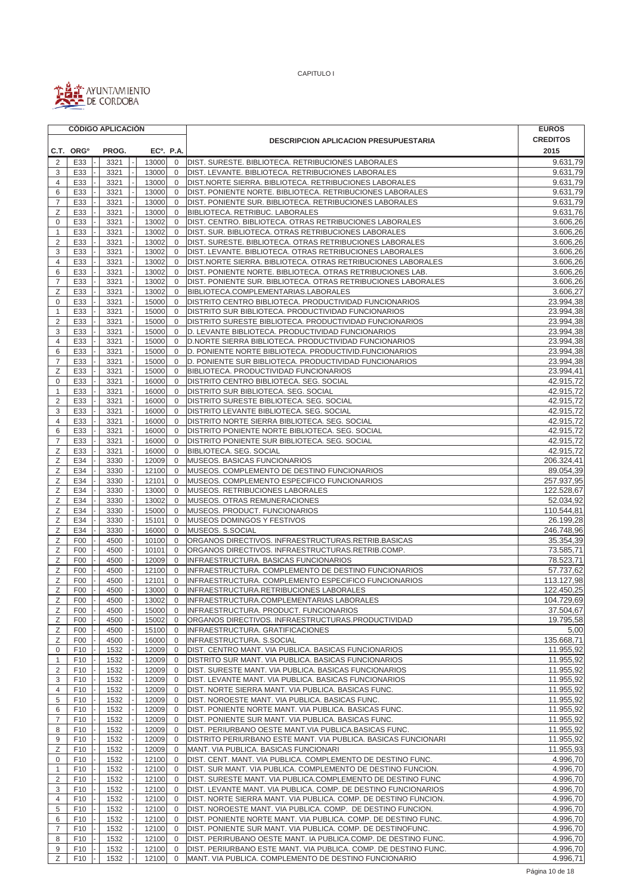

|                           |                       | <b>CÓDIGO APLICACIÓN</b> |                        |                               |                                                                 | <b>EUROS</b>            |
|---------------------------|-----------------------|--------------------------|------------------------|-------------------------------|-----------------------------------------------------------------|-------------------------|
|                           |                       |                          |                        |                               | <b>DESCRIPCION APLICACION PRESUPUESTARIA</b>                    | <b>CREDITOS</b>         |
|                           | C.T. ORG <sup>o</sup> | PROG.                    | EC <sup>o</sup> . P.A. |                               |                                                                 | 2015                    |
| 2                         | E33                   | 3321                     | 13000                  | $\mathbf 0$                   | DIST. SURESTE. BIBLIOTECA. RETRIBUCIONES LABORALES              | 9.631,79                |
| 3                         | E33                   | 3321                     | 13000                  | $\mathbf 0$                   | DIST. LEVANTE. BIBLIOTECA. RETRIBUCIONES LABORALES              | 9.631,79                |
| 4                         | E33                   | 3321                     | 13000                  | $\Omega$                      | DIST.NORTE SIERRA. BIBLIOTECA. RETRIBUCIONES LABORALES          | 9.631,79                |
| 6                         | E33                   | 3321                     | 13000                  | $\mathbf 0$                   | DIST. PONIENTE NORTE. BIBLIOTECA. RETRIBUCIONES LABORALES       | 9.631,79                |
| 7                         | E33                   | 3321                     | 13000                  | $\mathbf{0}$                  | DIST. PONIENTE SUR. BIBLIOTECA. RETRIBUCIONES LABORALES         | 9.631,79                |
| Ζ                         | E33                   | 3321                     | 13000                  | $\mathbf 0$                   | BIBLIOTECA. RETRIBUC. LABORALES                                 | 9.631,76                |
| 0                         | E33                   | 3321                     | 13002                  | $\mathbf 0$                   | DIST. CENTRO. BIBLIOTECA. OTRAS RETRIBUCIONES LABORALES         | 3.606,26                |
| $\mathbf{1}$              | E33                   | 3321                     | 13002                  | $\mathbf{0}$                  | DIST. SUR. BIBLIOTECA. OTRAS RETRIBUCIONES LABORALES            | 3.606,26                |
| $\overline{2}$            | E33                   | 3321                     | 13002                  | $\mathbf 0$                   | DIST. SURESTE. BIBLIOTECA. OTRAS RETRIBUCIONES LABORALES        | 3.606,26                |
| 3                         | E33                   | 3321                     | 13002                  | $\mathbf 0$                   | DIST. LEVANTE. BIBLIOTECA. OTRAS RETRIBUCIONES LABORALES        | 3.606,26                |
| $\overline{4}$            | E33                   | 3321                     | 13002                  | $\mathbf 0$                   | DIST.NORTE SIERRA. BIBLIOTECA. OTRAS RETRIBUCIONES LABORALES    | 3.606,26                |
| 6                         | E33                   | 3321                     | 13002                  | $\Omega$                      | DIST. PONIENTE NORTE. BIBLIOTECA. OTRAS RETRIBUCIONES LAB.      | 3.606,26                |
| 7                         | E33                   | 3321                     | 13002                  | 0                             | DIST. PONIENTE SUR. BIBLIOTECA. OTRAS RETRIBUCIONES LABORALES   | 3.606,26                |
| Ζ                         | E33                   | 3321                     | 13002                  | $\mathbf 0$                   | BIBLIOTECA.COMPLEMENTARIAS.LABORALES                            | 3.606,27                |
| 0                         | E33                   | 3321                     | 15000                  | $\overline{0}$                | DISTRITO CENTRO BIBLIOTECA. PRODUCTIVIDAD FUNCIONARIOS          | 23.994,38               |
| $\mathbf{1}$              | E33                   | 3321                     | 15000                  | $\overline{0}$                | DISTRITO SUR BIBLIOTECA. PRODUCTIVIDAD FUNCIONARIOS             | 23.994,38               |
| 2                         | E33                   | 3321                     | 15000                  | $\overline{0}$                | DISTRITO SURESTE BIBLIOTECA. PRODUCTIVIDAD FUNCIONARIOS         | 23.994,38               |
| $\ensuremath{\mathsf{3}}$ | E33                   | 3321                     | 15000                  | $\mathbf 0$                   | D. LEVANTE BIBLIOTECA. PRODUCTIVIDAD FUNCIONARIOS               | 23.994,38               |
| 4                         | E33                   | 3321                     | 15000                  | $\Omega$                      | D.NORTE SIERRA BIBLIOTECA. PRODUCTIVIDAD FUNCIONARIOS           | 23.994,38               |
| 6                         | E33                   | 3321                     | 15000                  | $\mathbf 0$                   | D. PONIENTE NORTE BIBLIOTECA. PRODUCTIVID. FUNCIONARIOS         | 23.994,38               |
| 7                         | E33                   | 3321                     | 15000                  | $\mathbf 0$                   | D. PONIENTE SUR BIBLIOTECA. PRODUCTIVIDAD FUNCIONARIOS          | 23.994,38               |
| Ζ                         | E33                   | 3321                     | 15000                  | 0                             | BIBLIOTECA. PRODUCTIVIDAD FUNCIONARIOS                          | 23.994,41               |
| 0                         | E33                   | 3321                     | 16000                  | $\overline{0}$                | DISTRITO CENTRO BIBLIOTECA. SEG. SOCIAL                         | 42.915,72               |
| $\mathbf{1}$              | E33                   | 3321                     | 16000                  | $\overline{0}$                | DISTRITO SUR BIBLIOTECA. SEG. SOCIAL                            | 42.915,72               |
| 2                         | E33                   | 3321                     | 16000                  | $\mathbf 0$                   | DISTRITO SURESTE BIBLIOTECA. SEG. SOCIAL                        | 42.915,72               |
| 3                         | E33                   | 3321                     | 16000                  | $\mathbf 0$                   | DISTRITO LEVANTE BIBLIOTECA. SEG. SOCIAL                        | 42.915.72               |
| $\overline{4}$            | E33                   | 3321                     | 16000                  | $\mathbf 0$                   | DISTRITO NORTE SIERRA BIBLIOTECA. SEG. SOCIAL                   | 42.915,72               |
| 6                         | E33                   | 3321                     | 16000                  | $\Omega$                      | DISTRITO PONIENTE NORTE BIBLIOTECA. SEG. SOCIAL                 | 42.915.72               |
| $\overline{7}$            | E33                   | 3321                     | 16000                  | $\mathbf 0$                   | DISTRITO PONIENTE SUR BIBLIOTECA. SEG. SOCIAL                   | 42.915,72               |
| Ζ                         | E33                   | 3321                     | 16000                  | $\overline{0}$                | BIBLIOTECA. SEG. SOCIAL                                         | 42.915,72               |
| Ζ                         | E34                   | 3330                     | 12009                  | 0                             | MUSEOS. BASICAS FUNCIONARIOS                                    | 206.324,41              |
| Ζ                         | E34                   | 3330                     | 12100                  | $\overline{0}$                | MUSEOS. COMPLEMENTO DE DESTINO FUNCIONARIOS                     | 89.054,39               |
| Ζ                         | E34                   | 3330                     | 12101                  | $\overline{0}$                | MUSEOS. COMPLEMENTO ESPECIFICO FUNCIONARIOS                     | 257.937,95              |
| Ζ                         | E34<br>E34            | 3330                     | 13000<br>13002         | $\mathbf 0$<br>$\overline{0}$ | MUSEOS. RETRIBUCIONES LABORALES                                 | 122.528,67<br>52.034,92 |
| Ζ<br>Ζ                    | E34                   | 3330<br>3330             | 15000                  | $\mathbf 0$                   | MUSEOS. OTRAS REMUNERACIONES<br>MUSEOS. PRODUCT. FUNCIONARIOS   | 110.544,81              |
| Ζ                         | E34                   | 3330                     | 15101                  | $\Omega$                      | MUSEOS DOMINGOS Y FESTIVOS                                      | 26.199,28               |
| Ζ                         | E34                   | 3330                     | 16000                  | $\mathbf 0$                   | MUSEOS. S.SOCIAL                                                | 246.748,96              |
| Ζ                         | F00                   | 4500                     | 10100                  | $\overline{0}$                | ORGANOS DIRECTIVOS. INFRAESTRUCTURAS.RETRIB.BASICAS             | 35.354,39               |
| Ζ                         | F <sub>0</sub>        | 4500                     | 10101                  | $\overline{0}$                | ORGANOS DIRECTIVOS. INFRAESTRUCTURAS.RETRIB.COMP.               | 73.585,71               |
| Ζ                         | F00                   | 4500                     | 12009                  | $\mathbf 0$                   | INFRAESTRUCTURA. BASICAS FUNCIONARIOS                           | 78.523,71               |
| Ζ                         | F <sub>0</sub>        | 4500                     | 12100                  | $\overline{0}$                | INFRAESTRUCTURA. COMPLEMENTO DE DESTINO FUNCIONARIOS            | 57.737,62               |
| Ζ                         | F <sub>00</sub>       | 4500                     | 12101                  | $\overline{0}$                | INFRAESTRUCTURA. COMPLEMENTO ESPECIFICO FUNCIONARIOS            | 113.127,98              |
| Ζ                         | F00                   | 4500                     | 13000                  | $\Omega$                      | INFRAESTRUCTURA.RETRIBUCIONES LABORALES                         | 122.450,25              |
| Ζ                         | F <sub>0</sub>        | 4500                     | 13002                  | $\overline{0}$                | INFRAESTRUCTURA.COMPLEMENTARIAS LABORALES                       | 104.729,69              |
| Ζ                         | F <sub>00</sub>       | 4500                     | 15000                  | $\mathbf 0$                   | INFRAESTRUCTURA. PRODUCT. FUNCIONARIOS                          | 37.504,67               |
| Ζ                         | F <sub>0</sub>        | 4500                     | 15002                  | 0                             | ORGANOS DIRECTIVOS. INFRAESTRUCTURAS.PRODUCTIVIDAD              | 19.795,58               |
| Ζ                         | F <sub>00</sub>       | 4500                     | 15100                  | 0                             | INFRAESTRUCTURA. GRATIFICACIONES                                | 5,00                    |
| Ζ                         | F <sub>0</sub>        | 4500                     | 16000                  | 0                             | INFRAESTRUCTURA. S.SOCIAL                                       | 135.668,71              |
| 0                         | F <sub>10</sub>       | 1532                     | 12009                  | 0                             | DIST. CENTRO MANT. VIA PUBLICA. BASICAS FUNCIONARIOS            | 11.955,92               |
| $\mathbf{1}$              | F10                   | 1532                     | 12009                  | 0                             | DISTRITO SUR MANT. VIA PUBLICA. BASICAS FUNCIONARIOS            | 11.955,92               |
| $\overline{2}$            | F10                   | 1532                     | 12009                  | $\overline{0}$                | DIST. SURESTE MANT. VIA PUBLICA. BASICAS FUNCIONARIOS           | 11.955,92               |
| 3                         | F10                   | 1532                     | 12009                  | $\Omega$                      | DIST. LEVANTE MANT. VIA PUBLICA. BASICAS FUNCIONARIOS           | 11.955,92               |
| 4                         | F10                   | 1532                     | 12009                  | 0                             | DIST. NORTE SIERRA MANT. VIA PUBLICA. BASICAS FUNC.             | 11.955,92               |
| 5                         | F <sub>10</sub>       | 1532                     | 12009                  | $\mathbf 0$                   | DIST. NOROESTE MANT. VIA PUBLICA. BASICAS FUNC.                 | 11.955,92               |
| 6                         | F10                   | 1532                     | 12009                  | 0                             | DIST. PONIENTE NORTE MANT. VIA PUBLICA. BASICAS FUNC.           | 11.955,92               |
| $\overline{7}$            | F <sub>10</sub>       | 1532                     | 12009                  | 0                             | DIST. PONIENTE SUR MANT. VIA PUBLICA. BASICAS FUNC.             | 11.955,92               |
| 8                         | F10                   | 1532                     | 12009                  | 0                             | DIST. PERIURBANO OESTE MANT. VIA PUBLICA. BASICAS FUNC.         | 11.955,92               |
| 9                         | F <sub>10</sub>       | 1532                     | 12009                  | 0                             | DISTRITO PERIURBANO ESTE MANT. VIA PUBLICA. BASICAS FUNCIONARI  | 11.955,92               |
| Ζ                         | F10                   | 1532                     | 12009                  | 0                             | MANT. VIA PUBLICA. BASICAS FUNCIONARI                           | 11.955,93               |
| 0                         | F10                   | 1532                     | 12100                  | $\overline{0}$                | DIST. CENT. MANT. VIA PUBLICA. COMPLEMENTO DE DESTINO FUNC.     | 4.996,70                |
| $\mathbf{1}$              | F <sub>10</sub>       | 1532                     | 12100                  | $\overline{0}$                | DIST. SUR MANT. VIA PUBLICA. COMPLEMENTO DE DESTINO FUNCION.    | 4.996,70                |
| 2                         | F10                   | 1532                     | 12100                  | 0                             | DIST. SURESTE MANT. VIA PUBLICA.COMPLEMENTO DE DESTINO FUNC     | 4.996,70                |
| 3                         | F <sub>10</sub>       | 1532                     | 12100                  | 0                             | DIST. LEVANTE MANT. VIA PUBLICA. COMP. DE DESTINO FUNCIONARIOS  | 4.996,70                |
| 4                         | F10                   | 1532                     | 12100                  | $\overline{0}$                | DIST. NORTE SIERRA MANT. VIA PUBLICA. COMP. DE DESTINO FUNCION. | 4.996,70                |
| 5                         | F <sub>10</sub>       | 1532                     | 12100                  | $\overline{0}$                | DIST. NOROESTE MANT. VIA PUBLICA. COMP. DE DESTINO FUNCION.     | 4.996,70                |
| 6                         | F10                   | 1532                     | 12100                  | 0                             | DIST. PONIENTE NORTE MANT. VIA PUBLICA. COMP. DE DESTINO FUNC.  | 4.996,70                |
| $\overline{7}$            | F <sub>10</sub>       | 1532                     | 12100                  | 0                             | DIST. PONIENTE SUR MANT. VIA PUBLICA. COMP. DE DESTINOFUNC.     | 4.996,70                |
| 8                         | F <sub>10</sub>       | 1532                     | 12100                  | $\mathbf 0$                   | DIST. PERIRUBANO OESTE MANT. IA PUBLICA.COMP. DE DESTINO FUNC.  | 4.996,70                |
| 9                         | F10                   | 1532                     | 12100                  | $\overline{0}$                | DIST. PERIURBANO ESTE MANT. VIA PUBLICA. COMP. DE DESTINO FUNC. | 4.996,70                |
| Ζ                         | F10                   | 1532                     | 12100                  | $\mathbf 0$                   | MANT. VIA PUBLICA. COMPLEMENTO DE DESTINO FUNCIONARIO           | 4.996,71                |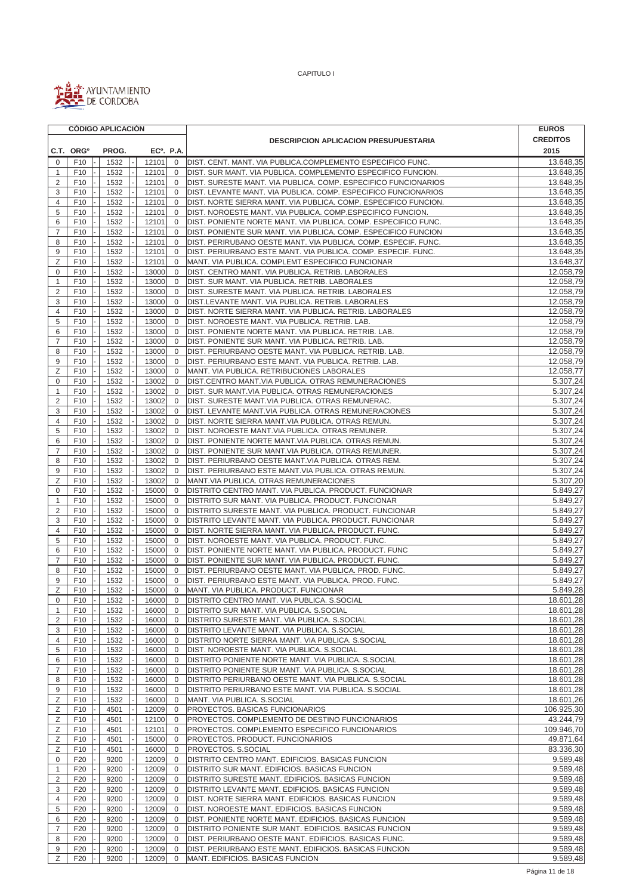

|                | <b>CODIGO APLICACION</b>           |              |              |          |                        |                               |                                                                                                                                 | <b>EUROS</b>           |
|----------------|------------------------------------|--------------|--------------|----------|------------------------|-------------------------------|---------------------------------------------------------------------------------------------------------------------------------|------------------------|
|                |                                    |              |              |          |                        |                               | <b>DESCRIPCION APLICACION PRESUPUESTARIA</b>                                                                                    | <b>CREDITOS</b>        |
|                | C.T. ORG <sup>o</sup>              |              | PROG.        |          | EC <sup>o</sup> . P.A. |                               |                                                                                                                                 | 2015                   |
| $\mathbf 0$    | F <sub>10</sub>                    |              | 1532         |          | 12101                  | $\mathbf 0$                   | DIST. CENT. MANT. VIA PUBLICA.COMPLEMENTO ESPECIFICO FUNC.                                                                      | 13.648,35              |
| $\mathbf{1}$   | F <sub>10</sub>                    | 1532         |              |          | 12101                  | $\overline{0}$                | DIST. SUR MANT. VIA PUBLICA. COMPLEMENTO ESPECIFICO FUNCION.                                                                    | 13.648,35              |
| 2              | F <sub>10</sub>                    | 1532         |              |          | 12101                  | $\overline{0}$                | DIST. SURESTE MANT. VIA PUBLICA. COMP. ESPECIFICO FUNCIONARIOS                                                                  | 13.648,35              |
| 3              | F <sub>10</sub>                    | 1532         |              |          | 12101                  | $\Omega$                      | DIST. LEVANTE MANT. VIA PUBLICA. COMP. ESPECIFICO FUNCIONARIOS                                                                  | 13.648,35              |
| $\overline{4}$ | F10                                | 1532         |              |          | 12101                  | $\overline{0}$                | DIST. NORTE SIERRA MANT. VIA PUBLICA. COMP. ESPECIFICO FUNCION.                                                                 | 13.648,35              |
| 5              | F <sub>10</sub>                    | 1532         |              |          | 12101                  | $\mathbf 0$                   | DIST. NOROESTE MANT. VIA PUBLICA. COMP.ESPECIFICO FUNCION.                                                                      | 13.648,35              |
| 6              | F <sub>10</sub>                    | 1532         |              |          | 12101                  | $\mathbf 0$                   | DIST. PONIENTE NORTE MANT. VIA PUBLICA. COMP. ESPECIFICO FUNC.                                                                  | 13.648,35              |
| $\overline{7}$ | F <sub>10</sub>                    | 1532         |              |          | 12101                  | $\mathbf 0$                   | DIST. PONIENTE SUR MANT. VIA PUBLICA. COMP. ESPECIFICO FUNCION                                                                  | 13.648,35<br>13.648,35 |
| 8<br>9         | F <sub>10</sub><br>F <sub>10</sub> | 1532<br>1532 |              |          | 12101<br>12101         | $\mathbf 0$<br>$\mathbf 0$    | DIST. PERIRUBANO OESTE MANT. VIA PUBLICA. COMP. ESPECIF. FUNC.<br>DIST. PERIURBANO ESTE MANT. VIA PUBLICA. COMP. ESPECIF. FUNC. | 13.648,35              |
| Ζ              | F <sub>10</sub>                    | 1532         |              |          | 12101                  | $\mathbf 0$                   | MANT. VIA PUBLICA. COMPLEMT ESPECIFICO FUNCIONAR                                                                                | 13.648,37              |
| $\mathbf 0$    | F <sub>10</sub>                    |              | 1532         |          | 13000                  | $\overline{0}$                | DIST. CENTRO MANT. VIA PUBLICA. RETRIB. LABORALES                                                                               | 12.058,79              |
| $\mathbf{1}$   | F10                                | 1532         |              |          | 13000                  | $\Omega$                      | DIST. SUR MANT. VIA PUBLICA. RETRIB. LABORALES                                                                                  | 12.058,79              |
| 2              | F <sub>10</sub>                    |              | 1532         |          | 13000                  | $\mathbf 0$                   | DIST. SURESTE MANT. VIA PUBLICA. RETRIB. LABORALES                                                                              | 12.058,79              |
| 3              | F <sub>10</sub>                    | 1532         |              |          | 13000                  | $\overline{0}$                | DIST.LEVANTE MANT. VIA PUBLICA. RETRIB. LABORALES                                                                               | 12.058,79              |
| 4              | F <sub>10</sub>                    | 1532         |              |          | 13000                  | $\overline{0}$                | DIST. NORTE SIERRA MANT. VIA PUBLICA. RETRIB. LABORALES                                                                         | 12.058,79              |
| 5              | F <sub>10</sub>                    | 1532         |              |          | 13000                  | $\mathbf 0$                   | DIST. NOROESTE MANT. VIA PUBLICA. RETRIB. LAB.                                                                                  | 12.058,79              |
| 6              | F <sub>10</sub>                    | 1532         |              |          | 13000                  | $\mathbf 0$                   | DIST. PONIENTE NORTE MANT. VIA PUBLICA. RETRIB. LAB.                                                                            | 12.058,79              |
| $\overline{7}$ | F <sub>10</sub>                    | 1532         |              |          | 13000                  | $\overline{0}$                | DIST. PONIENTE SUR MANT. VIA PUBLICA. RETRIB. LAB.                                                                              | 12.058,79              |
| 8              | F <sub>10</sub>                    |              | 1532         |          | 13000                  | $\Omega$                      | DIST. PERIURBANO OESTE MANT. VIA PUBLICA. RETRIB. LAB.                                                                          | 12.058,79              |
| 9              | F10                                |              | 1532         |          | 13000                  | $\mathbf{0}$                  | DIST. PERIURBANO ESTE MANT. VIA PUBLICA. RETRIB. LAB.                                                                           | 12.058,79              |
| Ζ              | F <sub>10</sub>                    |              | 1532         |          | 13000                  | $\mathbf 0$                   | MANT. VIA PUBLICA. RETRIBUCIONES LABORALES                                                                                      | 12.058,77              |
| 0              | F <sub>10</sub>                    | 1532         |              |          | 13002                  | $\mathbf 0$                   | DIST.CENTRO MANT.VIA PUBLICA. OTRAS REMUNERACIONES                                                                              | 5.307,24               |
| $\mathbf{1}$   | F <sub>10</sub>                    | 1532         |              |          | 13002                  | $\overline{0}$                | DIST. SUR MANT. VIA PUBLICA. OTRAS REMUNERACIONES                                                                               | 5.307,24               |
| 2              | F <sub>10</sub>                    |              | 1532         |          | 13002                  | $\mathbf 0$                   | DIST. SURESTE MANT.VIA PUBLICA. OTRAS REMUNERAC.                                                                                | 5.307,24               |
| 3              | F <sub>10</sub>                    | 1532         |              |          | 13002                  | $\mathbf 0$                   | DIST. LEVANTE MANT.VIA PUBLICA. OTRAS REMUNERACIONES                                                                            | 5.307,24               |
| 4              | F <sub>10</sub>                    | 1532         |              |          | 13002                  | $\mathbf 0$                   | DIST. NORTE SIERRA MANT.VIA PUBLICA. OTRAS REMUN.                                                                               | 5.307,24               |
| 5              | F <sub>10</sub>                    | 1532         |              |          | 13002                  | $\overline{0}$                | DIST. NOROESTE MANT.VIA PUBLICA. OTRAS REMUNER.                                                                                 | 5.307,24               |
| 6              | F <sub>10</sub>                    |              | 1532         |          | 13002                  | $\Omega$                      | DIST. PONIENTE NORTE MANT.VIA PUBLICA. OTRAS REMUN.                                                                             | 5.307,24               |
| $\overline{7}$ | F10                                |              | 1532         |          | 13002                  | $\mathbf 0$                   | DIST. PONIENTE SUR MANT. VIA PUBLICA. OTRAS REMUNER.                                                                            | 5.307,24               |
| 8              | F <sub>10</sub>                    |              | 1532         |          | 13002                  | $\Omega$                      | DIST. PERIURBANO OESTE MANT. VIA PUBLICA. OTRAS REM.                                                                            | 5.307,24               |
| 9<br>Z         | F <sub>10</sub><br>F <sub>10</sub> | 1532         |              |          | 13002                  | $\mathbf 0$                   | DIST. PERIURBANO ESTE MANT. VIA PUBLICA. OTRAS REMUN.                                                                           | 5.307,24               |
| 0              | F <sub>10</sub>                    | 1532<br>1532 |              |          | 13002<br>15000         | $\overline{0}$<br>$\mathbf 0$ | MANT.VIA PUBLICA. OTRAS REMUNERACIONES<br>DISTRITO CENTRO MANT. VIA PUBLICA. PRODUCT. FUNCIONAR                                 | 5.307,20<br>5.849,27   |
| $\mathbf{1}$   | F <sub>10</sub>                    | 1532         |              |          | 15000                  | $\mathbf 0$                   | DISTRITO SUR MANT. VIA PUBLICA. PRODUCT. FUNCIONAR                                                                              | 5.849,27               |
| $\overline{2}$ | F <sub>10</sub>                    | 1532         |              |          | 15000                  | $\overline{0}$                | DISTRITO SURESTE MANT. VIA PUBLICA. PRODUCT. FUNCIONAR                                                                          | 5.849,27               |
| 3              | F <sub>10</sub>                    | 1532         |              |          | 15000                  | $\overline{0}$                | DISTRITO LEVANTE MANT. VIA PUBLICA. PRODUCT. FUNCIONAR                                                                          | 5.849,27               |
| $\overline{4}$ | F10                                | 1532         |              |          | 15000                  | $\Omega$                      | DIST. NORTE SIERRA MANT. VIA PUBLICA. PRODUCT. FUNC.                                                                            | 5.849,27               |
| 5              | F <sub>10</sub>                    |              | 1532         |          | 15000                  | $\overline{0}$                | DIST. NOROESTE MANT. VIA PUBLICA. PRODUCT. FUNC.                                                                                | 5.849,27               |
| 6              | F <sub>10</sub>                    |              | 1532         |          | 15000                  | $\overline{0}$                | DIST. PONIENTE NORTE MANT. VIA PUBLICA. PRODUCT. FUNC                                                                           | 5.849,27               |
| $\overline{7}$ | F <sub>10</sub>                    | 1532         |              |          | 15000                  | $\overline{0}$                | DIST. PONIENTE SUR MANT. VIA PUBLICA. PRODUCT. FUNC.                                                                            | 5.849,27               |
| 8              | F <sub>10</sub>                    | 1532         |              |          | 15000                  | $\overline{0}$                | DIST. PERIURBANO OESTE MANT. VIA PUBLICA. PROD. FUNC.                                                                           | 5.849,27               |
| 9              | F <sub>10</sub>                    | 1532         |              |          | 15000                  | $\mathbf 0$                   | DIST. PERIURBANO ESTE MANT. VIA PUBLICA. PROD. FUNC.                                                                            | 5.849.27               |
| Z              | F <sub>10</sub>                    | 1532         |              |          | 15000                  | $\overline{0}$                | MANT. VIA PUBLICA. PRODUCT. FUNCIONAR                                                                                           | 5.849,28               |
| $\mathbf 0$    | F <sub>10</sub>                    | 1532         |              | $\omega$ | 16000                  | $\mathbf{0}$                  | DISTRITO CENTRO MANT. VIA PUBLICA. S.SOCIAL                                                                                     | 18.601,28              |
| $\mathbf{1}$   | F10                                |              | 1532         |          | 16000                  | $\overline{0}$                | DISTRITO SUR MANT. VIA PUBLICA. S.SOCIAL                                                                                        | 18.601,28              |
| $\overline{2}$ | F <sub>10</sub>                    |              | 1532         |          | 16000                  | $\overline{0}$                | DISTRITO SURESTE MANT. VIA PUBLICA. S.SOCIAL                                                                                    | 18.601,28              |
| 3              | F10                                | 1532         |              |          | 16000                  | $\overline{0}$                | DISTRITO LEVANTE MANT. VIA PUBLICA. S.SOCIAL                                                                                    | 18.601,28              |
| 4              | F <sub>10</sub>                    | 1532         |              |          | 16000                  | $\overline{0}$                | DISTRITO NORTE SIERRA MANT. VIA PUBLICA. S.SOCIAL                                                                               | 18.601,28              |
| 5              | F <sub>10</sub>                    | 1532         |              |          | 16000                  | $\overline{0}$                | DIST. NOROESTE MANT. VIA PUBLICA. S.SOCIAL                                                                                      | 18.601,28              |
| 6              | F <sub>10</sub>                    | 1532         |              |          | 16000                  | $\overline{0}$                | DISTRITO PONIENTE NORTE MANT. VIA PUBLICA. S.SOCIAL                                                                             | 18.601,28              |
| 7<br>8         | F <sub>10</sub><br>F <sub>10</sub> |              | 1532<br>1532 |          | 16000<br>16000         | $\mathbf 0$<br>$\overline{0}$ | DISTRITO PONIENTE SUR MANT. VIA PUBLICA. S.SOCIAL<br>DISTRITO PERIURBANO OESTE MANT. VIA PUBLICA. S.SOCIAL                      | 18.601,28<br>18.601,28 |
| 9              | F10                                |              | 1532         |          | 16000                  | $\overline{0}$                | DISTRITO PERIURBANO ESTE MANT. VIA PUBLICA. S.SOCIAL                                                                            | 18.601,28              |
| Ζ              | F10                                |              | 1532         |          | 16000                  | $\overline{0}$                | MANT. VIA PUBLICA. S.SOCIAL                                                                                                     | 18.601,26              |
| Ζ              | F10                                | 4501         |              |          | 12009                  | $\overline{0}$                | <b>PROYECTOS. BASICAS FUNCIONARIOS</b>                                                                                          | 106.925,30             |
| Ζ              | F10                                | 4501         |              |          | 12100                  | $\overline{0}$                | PROYECTOS. COMPLEMENTO DE DESTINO FUNCIONARIOS                                                                                  | 43.244,79              |
| Ζ              | F <sub>10</sub>                    | 4501         |              |          | 12101                  | $\overline{0}$                | PROYECTOS. COMPLEMENTO ESPECIFICO FUNCIONARIOS                                                                                  | 109.946,70             |
| Ζ              | F <sub>10</sub>                    | 4501         |              |          | 15000                  | $\overline{0}$                | PROYECTOS. PRODUCT. FUNCIONARIOS                                                                                                | 49.871,64              |
| Ζ              | F <sub>10</sub>                    | 4501         |              |          | 16000                  | $\overline{0}$                | PROYECTOS. S.SOCIAL                                                                                                             | 83.336,30              |
| 0              | F <sub>20</sub>                    | 9200         |              |          | 12009                  | $\overline{0}$                | DISTRITO CENTRO MANT. EDIFICIOS. BASICAS FUNCION                                                                                | 9.589,48               |
| $\mathbf{1}$   | F <sub>20</sub>                    |              | 9200         |          | 12009                  | $\overline{0}$                | DISTRITO SUR MANT. EDIFICIOS. BASICAS FUNCION                                                                                   | 9.589,48               |
| $\sqrt{2}$     | F20                                |              | 9200         |          | 12009                  | $\overline{0}$                | DISTRITO SURESTE MANT. EDIFICIOS. BASICAS FUNCION                                                                               | 9.589,48               |
| 3              | F <sub>20</sub>                    |              | 9200         |          | 12009                  | $\overline{0}$                | DISTRITO LEVANTE MANT. EDIFICIOS. BASICAS FUNCION                                                                               | 9.589,48               |
| $\overline{4}$ | F <sub>20</sub>                    |              | 9200         |          | 12009                  | $\mathbf{0}$                  | DIST. NORTE SIERRA MANT. EDIFICIOS. BASICAS FUNCION                                                                             | 9.589,48               |
| 5              | F <sub>20</sub>                    |              | 9200         |          | 12009                  | $\overline{0}$                | DIST. NOROESTE MANT. EDIFICIOS. BASICAS FUNCION                                                                                 | 9.589,48               |
| 6              | F <sub>20</sub>                    |              | 9200         |          | 12009                  | $\overline{0}$                | DIST. PONIENTE NORTE MANT. EDIFICIOS. BASICAS FUNCION                                                                           | 9.589,48               |
| $\overline{7}$ | F <sub>20</sub>                    |              | 9200         |          | 12009                  | $\overline{0}$                | DISTRITO PONIENTE SUR MANT. EDIFICIOS. BASICAS FUNCION                                                                          | 9.589,48               |
| 8              | F <sub>20</sub>                    | 9200         |              |          | 12009                  | $\overline{0}$                | DIST. PERIURBANO OESTE MANT. EDIFICIOS. BASICAS FUNC.                                                                           | 9.589,48               |
| 9              | F <sub>20</sub>                    |              | 9200         |          | 12009                  | $\overline{0}$                | DIST. PERIURBANO ESTE MANT. EDIFICIOS. BASICAS FUNCION                                                                          | 9.589,48               |
| Ζ              | F <sub>20</sub>                    |              | 9200         |          | 12009                  | $\overline{0}$                | MANT. EDIFICIOS. BASICAS FUNCION                                                                                                | 9.589,48               |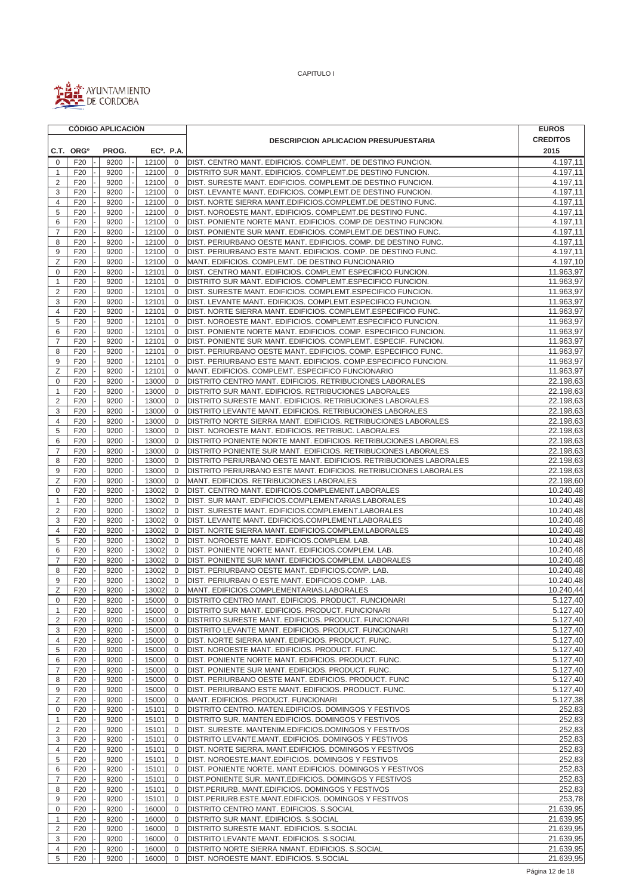

|                     | <b>CÓDIGO APLICACIÓN</b> |              |                        |                             |                                                                                                                            | <b>EUROS</b>           |
|---------------------|--------------------------|--------------|------------------------|-----------------------------|----------------------------------------------------------------------------------------------------------------------------|------------------------|
|                     |                          |              |                        |                             | <b>DESCRIPCION APLICACION PRESUPUESTARIA</b>                                                                               | <b>CREDITOS</b>        |
|                     | C.T. ORG <sup>o</sup>    | PROG.        | EC <sup>o</sup> . P.A. |                             |                                                                                                                            | 2015                   |
| 0                   | F <sub>20</sub>          | 9200         | 12100                  | $\mathbf 0$                 | DIST. CENTRO MANT. EDIFICIOS. COMPLEMT. DE DESTINO FUNCION.                                                                | 4.197,11               |
| $\mathbf{1}$        | F <sub>20</sub>          | 9200         | 12100                  | $\mathbf{0}$                | DISTRITO SUR MANT. EDIFICIOS. COMPLEMT.DE DESTINO FUNCION.                                                                 | 4.197,11               |
| $\overline{2}$      | F20                      | 9200         | 12100                  | $\mathbf{0}$                | DIST. SURESTE MANT. EDIFICIOS. COMPLEMT.DE DESTINO FUNCION.                                                                | 4.197,11               |
| 3                   | F <sub>20</sub>          | 9200         | 12100                  | $\mathbf 0$                 | DIST. LEVANTE MANT. EDIFICIOS. COMPLEMT.DE DESTINO FUNCION.                                                                | 4.197,11               |
| 4                   | F20                      | 9200         | 12100                  | $\mathbf 0$                 | DIST. NORTE SIERRA MANT.EDIFICIOS.COMPLEMT.DE DESTINO FUNC.                                                                | 4.197,11               |
| 5                   | F20                      | 9200         | 12100                  | $\mathbf{0}$                | DIST. NOROESTE MANT. EDIFICIOS. COMPLEMT.DE DESTINO FUNC.                                                                  | 4.197,11               |
| 6                   | F20                      | 9200         | 12100                  | $\mathbf{0}$                | DIST. PONIENTE NORTE MANT. EDIFICIOS. COMP.DE DESTINO FUNCION.                                                             | 4.197,11               |
| $\overline{7}$      | F20                      | 9200         | 12100                  | $\mathbf 0$                 | DIST. PONIENTE SUR MANT. EDIFICIOS. COMPLEMT.DE DESTINO FUNC.                                                              | 4.197,11               |
| 8                   | F20                      | 9200         | 12100                  | $\mathbf{0}$                | DIST. PERIURBANO OESTE MANT. EDIFICIOS. COMP. DE DESTINO FUNC.                                                             | 4.197,11               |
| 9                   | F20                      | 9200         | 12100                  | $\mathbf 0$                 | DIST. PERIURBANO ESTE MANT. EDIFICIOS. COMP. DE DESTINO FUNC.                                                              | 4.197,11               |
| Ζ                   | F20                      | 9200         | 12100                  | $\mathbf{0}$                | MANT. EDIFICIOS. COMPLEMT. DE DESTINO FUNCIONARIO                                                                          | 4.197,10               |
| 0                   | F20                      | 9200         | 12101                  | $\mathbf{0}$                | DIST. CENTRO MANT. EDIFICIOS. COMPLEMT ESPECIFICO FUNCION.                                                                 | 11.963,97              |
| 1                   | F <sub>20</sub>          | 9200         | 12101                  | $\mathbf 0$                 | DISTRITO SUR MANT. EDIFICIOS. COMPLEMT.ESPECIFICO FUNCION.                                                                 | 11.963,97<br>11.963,97 |
| $\overline{2}$<br>3 | F20<br>F20               | 9200<br>9200 | 12101<br>12101         | $\mathbf 0$<br>$\mathbf{0}$ | DIST. SURESTE MANT. EDIFICIOS. COMPLEMT.ESPECIFICO FUNCION.<br>DIST. LEVANTE MANT. EDIFICIOS. COMPLEMT.ESPECIFICO FUNCION. | 11.963,97              |
| 4                   | F20                      | 9200         | 12101                  | $\mathbf 0$                 | DIST. NORTE SIERRA MANT. EDIFICIOS. COMPLEMT.ESPECIFICO FUNC.                                                              | 11.963,97              |
| 5                   | F20                      | 9200         | 12101                  | $\mathbf 0$                 | DIST. NOROESTE MANT. EDIFICIOS. COMPLEMT.ESPECIFICO FUNCION.                                                               | 11.963,97              |
| 6                   | F20                      | 9200         | 12101                  | $\mathbf 0$                 | DIST. PONIENTE NORTE MANT. EDIFICIOS. COMP. ESPECIFICO FUNCION.                                                            | 11.963,97              |
| $\overline{7}$      | F20                      | 9200         | 12101                  | $\mathbf 0$                 | DIST. PONIENTE SUR MANT. EDIFICIOS. COMPLEMT. ESPECIF. FUNCION.                                                            | 11.963,97              |
| 8                   | F20                      | 9200         | 12101                  | $\mathbf 0$                 | DIST. PERIURBANO OESTE MANT. EDIFICIOS. COMP. ESPECIFICO FUNC.                                                             | 11.963,97              |
| 9                   | F20                      | 9200         | 12101                  | $\mathbf 0$                 | DIST. PERIURBANO ESTE MANT. EDIFICIOS. COMP.ESPECIFICO FUNCION.                                                            | 11.963,97              |
| Ζ                   | F20                      | 9200         | 12101                  | $\mathbf 0$                 | MANT. EDIFICIOS. COMPLEMT. ESPECIFICO FUNCIONARIO                                                                          | 11.963,97              |
| $\mathbf 0$         | F20                      | 9200         | 13000                  | $\mathbf{0}$                | DISTRITO CENTRO MANT. EDIFICIOS. RETRIBUCIONES LABORALES                                                                   | 22.198,63              |
| $\mathbf{1}$        | F20                      | 9200         | 13000                  | $\mathbf 0$                 | DISTRITO SUR MANT. EDIFICIOS. RETRIBUCIONES LABORALES                                                                      | 22.198,63              |
| $\overline{2}$      | F20                      | 9200         | 13000                  | $\mathbf 0$                 | DISTRITO SURESTE MANT. EDIFICIOS. RETRIBUCIONES LABORALES                                                                  | 22.198,63              |
| 3                   | F20                      | 9200         | 13000                  | $\mathbf 0$                 | DISTRITO LEVANTE MANT. EDIFICIOS. RETRIBUCIONES LABORALES                                                                  | 22.198,63              |
| 4                   | F20                      | 9200         | 13000                  | $\mathsf{O}\xspace$         | DISTRITO NORTE SIERRA MANT. EDIFICIOS. RETRIBUCIONES LABORALES                                                             | 22.198,63              |
| 5                   | F20                      | 9200         | 13000                  | $\mathbf 0$                 | DIST. NOROESTE MANT. EDIFICIOS. RETRIBUC. LABORALES                                                                        | 22.198,63              |
| 6                   | F <sub>20</sub>          | 9200         | 13000                  | $\mathbf{0}$                | DISTRITO PONIENTE NORTE MANT. EDIFICIOS. RETRIBUCIONES LABORALES                                                           | 22.198,63              |
| $\overline{7}$      | F <sub>20</sub>          | 9200         | 13000                  | $\mathbf 0$                 | DISTRITO PONIENTE SUR MANT. EDIFICIOS. RETRIBUCIONES LABORALES                                                             | 22.198,63              |
| 8                   | F <sub>20</sub>          | 9200         | 13000                  | $\mathbf 0$                 | DISTRITO PERIURBANO OESTE MANT. EDIFICIOS. RETRIBUCIONES LABORALES                                                         | 22.198,63              |
| 9                   | F20                      | 9200         | 13000                  | $\mathbf 0$                 | DISTRITO PERIURBANO ESTE MANT. EDIFICIOS. RETRIBUCIONES LABORALES                                                          | 22.198,63              |
| Ζ                   | F20                      | 9200         | 13000                  | $\mathbf 0$                 | MANT. EDIFICIOS. RETRIBUCIONES LABORALES                                                                                   | 22.198,60              |
| 0                   | F20                      | 9200         | 13002                  | $\mathbf 0$                 | DIST. CENTRO MANT. EDIFICIOS.COMPLEMENT.LABORALES                                                                          | 10.240,48              |
| 1                   | F20                      | 9200         | 13002                  | $\mathbf 0$                 | DIST. SUR MANT. EDIFICIOS.COMPLEMENTARIAS.LABORALES                                                                        | 10.240,48              |
| $\overline{2}$      | F20                      | 9200         | 13002                  | $\mathbf 0$                 | DIST. SURESTE MANT. EDIFICIOS.COMPLEMENT.LABORALES                                                                         | 10.240,48              |
| 3<br>4              | F20                      | 9200         | 13002<br>13002         | $\mathbf{0}$<br>$\mathbf 0$ | DIST. LEVANTE MANT. EDIFICIOS.COMPLEMENT.LABORALES                                                                         | 10.240,48<br>10.240,48 |
| 5                   | F <sub>20</sub><br>F20   | 9200<br>9200 | 13002                  | $\mathbf{0}$                | DIST. NORTE SIERRA MANT. EDIFICIOS.COMPLEM.LABORALES<br>DIST. NOROESTE MANT. EDIFICIOS.COMPLEM. LAB.                       | 10.240,48              |
| 6                   | F20                      | 9200         | 13002                  | $\mathbf{0}$                | DIST. PONIENTE NORTE MANT. EDIFICIOS.COMPLEM. LAB.                                                                         | 10.240,48              |
| $\overline{7}$      | F20                      | 9200         | 13002                  | $\mathbf 0$                 | DIST. PONIENTE SUR MANT. EDIFICIOS.COMPLEM. LABORALES                                                                      | 10.240,48              |
| 8                   | F20                      | 9200         | 13002                  | $\mathbf 0$                 | DIST. PERIURBANO OESTE MANT. EDIFICIOS.COMP. LAB.                                                                          | 10.240,48              |
| 9                   | F <sub>20</sub>          | 9200         | 13002                  | $\mathbf 0$                 | DIST. PERIURBAN O ESTE MANT. EDIFICIOS.COMP. .LAB.                                                                         | 10.240,48              |
| Ζ                   | F20                      | 9200         | 13002                  | $\mathbf 0$                 | MANT. EDIFICIOS.COMPLEMENTARIAS.LABORALES                                                                                  | 10.240,44              |
| 0                   | F20                      | 9200         | 15000                  | $\mathbf{0}$                | DISTRITO CENTRO MANT. EDIFICIOS. PRODUCT. FUNCIONARI                                                                       | 5.127,40               |
| $\mathbf{1}$        | F <sub>20</sub>          | 9200         | 15000                  | 0                           | DISTRITO SUR MANT. EDIFICIOS. PRODUCT. FUNCIONARI                                                                          | $\overline{5.127,40}$  |
| 2                   | F <sub>20</sub>          | 9200         | 15000                  | 0                           | DISTRITO SURESTE MANT. EDIFICIOS. PRODUCT. FUNCIONARI                                                                      | 5.127,40               |
| 3                   | F20                      | 9200         | 15000                  | 0                           | DISTRITO LEVANTE MANT. EDIFICIOS. PRODUCT. FUNCIONARI                                                                      | 5.127,40               |
| 4                   | F20                      | 9200         | 15000                  | $\mathbf 0$                 | DIST. NORTE SIERRA MANT. EDIFICIOS. PRODUCT. FUNC.                                                                         | 5.127,40               |
| 5                   | F <sub>20</sub>          | 9200         | 15000                  | 0                           | DIST. NOROESTE MANT. EDIFICIOS. PRODUCT. FUNC.                                                                             | 5.127,40               |
| 6                   | F20                      | 9200         | 15000                  | $\mathbf{0}$                | DIST. PONIENTE NORTE MANT. EDIFICIOS. PRODUCT. FUNC.                                                                       | 5.127,40               |
| $\overline{7}$      | F20                      | 9200         | 15000                  | $\mathbf 0$                 | DIST. PONIENTE SUR MANT. EDIFICIOS. PRODUCT. FUNC.                                                                         | 5.127,40               |
| 8                   | F20                      | 9200         | 15000                  | 0                           | DIST. PERIURBANO OESTE MANT. EDIFICIOS. PRODUCT. FUNC                                                                      | 5.127,40               |
| 9                   | F <sub>20</sub>          | 9200         | 15000                  | 0                           | DIST. PERIURBANO ESTE MANT. EDIFICIOS. PRODUCT. FUNC.                                                                      | 5.127,40               |
| Ζ                   | F <sub>20</sub>          | 9200         | 15000                  | 0                           | MANT. EDIFICIOS. PRODUCT. FUNCIONARI                                                                                       | 5.127,38               |
| 0                   | F <sub>20</sub>          | 9200         | 15101                  | $\mathbf 0$                 | DISTRITO CENTRO. MATEN.EDIFICIOS. DOMINGOS Y FESTIVOS                                                                      | 252,83                 |
| 1                   | F20                      | 9200         | 15101                  | $\mathbf 0$                 | DISTRITO SUR. MANTEN.EDIFICIOS. DOMINGOS Y FESTIVOS                                                                        | 252,83                 |
| 2<br>3              | F20<br>F20               | 9200<br>9200 | 15101<br>15101         | $\mathbf{0}$<br>0           | DIST. SURESTE. MANTENIM.EDIFICIOS.DOMINGOS Y FESTIVOS<br>DISTRITO LEVANTE.MANT. EDIFICIOS. DOMINGOS Y FESTIVOS             | 252,83<br>252,83       |
| 4                   | F20                      | 9200         | 15101                  | $\mathbf 0$                 | DIST. NORTE SIERRA. MANT.EDIFICIOS. DOMINGOS Y FESTIVOS                                                                    | 252,83                 |
| 5                   | F20                      | 9200         | 15101                  | $\mathbf 0$                 | DIST. NOROESTE.MANT.EDIFICIOS. DOMINGOS Y FESTIVOS                                                                         | 252,83                 |
| 6                   | F20                      | 9200         | 15101                  | $\mathbf 0$                 | DIST. PONIENTE NORTE. MANT.EDIFICIOS. DOMINGOS Y FESTIVOS                                                                  | 252,83                 |
| $\overline{7}$      | F <sub>20</sub>          | 9200         | 15101                  | 0                           | DIST. PONIENTE SUR. MANT. EDIFICIOS. DOMINGOS Y FESTIVOS                                                                   | 252,83                 |
| 8                   | F <sub>20</sub>          | 9200         | 15101                  | $\mathbf 0$                 | DIST.PERIURB. MANT.EDIFICIOS. DOMINGOS Y FESTIVOS                                                                          | 252,83                 |
| 9                   | F <sub>20</sub>          | 9200         | 15101                  | $\mathbf 0$                 | DIST.PERIURB.ESTE.MANT.EDIFICIOS. DOMINGOS Y FESTIVOS                                                                      | 253,78                 |
| 0                   | F20                      | 9200         | 16000                  | $\mathbf 0$                 | DISTRITO CENTRO MANT. EDIFICIOS. S.SOCIAL                                                                                  | 21.639,95              |
| 1                   | F20                      | 9200         | 16000                  | $\mathbf 0$                 | DISTRITO SUR MANT. EDIFICIOS. S.SOCIAL                                                                                     | 21.639,95              |
| $\overline{2}$      | F <sub>20</sub>          | 9200         | 16000                  | $\mathbf 0$                 | DISTRITO SURESTE MANT. EDIFICIOS. S.SOCIAL                                                                                 | 21.639,95              |
| 3                   | F20                      | 9200         | 16000                  | $\mathbf{0}$                | DISTRITO LEVANTE MANT. EDIFICIOS. S.SOCIAL                                                                                 | 21.639,95              |
| 4                   | F <sub>20</sub>          | 9200         | 16000                  | $\mathbf 0$                 | DISTRITO NORTE SIERRA NMANT. EDIFICIOS. S.SOCIAL                                                                           | 21.639,95              |
| 5                   | F <sub>20</sub>          | 9200         | 16000                  | $\mathbf 0$                 | DIST. NOROESTE MANT. EDIFICIOS. S.SOCIAL                                                                                   | 21.639,95              |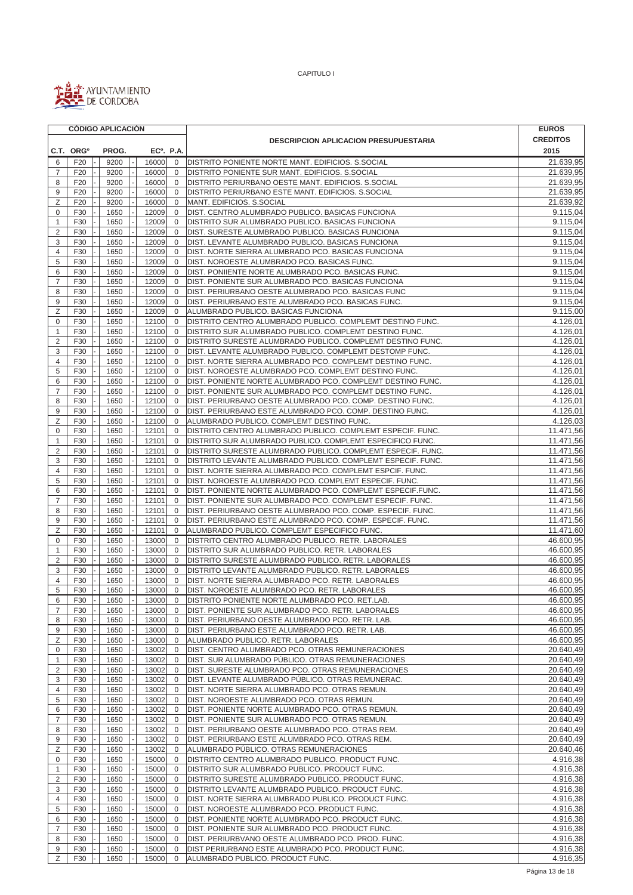

 $\blacksquare$ 

CAPITULO I

|                |                       | <b>CÓDIGO APLICACIÓN</b> |                        |                |                                                             | <b>EUROS</b>    |
|----------------|-----------------------|--------------------------|------------------------|----------------|-------------------------------------------------------------|-----------------|
|                |                       |                          |                        |                | <b>DESCRIPCION APLICACION PRESUPUESTARIA</b>                | <b>CREDITOS</b> |
|                | C.T. ORG <sup>o</sup> | PROG.                    | EC <sup>o</sup> . P.A. |                |                                                             | 2015            |
| 6              | F <sub>20</sub>       | 9200                     | 16000                  | $\mathbf{0}$   | DISTRITO PONIENTE NORTE MANT. EDIFICIOS. S.SOCIAL           | 21.639,95       |
| 7              | F <sub>20</sub>       | 9200                     | 16000                  | $\overline{0}$ | DISTRITO PONIENTE SUR MANT. EDIFICIOS. S.SOCIAL             | 21.639,95       |
| 8              | F <sub>20</sub>       | 9200                     | 16000                  | $\overline{0}$ | DISTRITO PERIURBANO OESTE MANT. EDIFICIOS. S.SOCIAL         | 21.639,95       |
| 9              | F <sub>20</sub>       | 9200                     | 16000                  | $\overline{0}$ | DISTRITO PERIURBANO ESTE MANT. EDIFICIOS. S.SOCIAL          | 21.639,95       |
| Ζ              | F20                   | 9200                     | 16000                  | $\overline{0}$ | MANT. EDIFICIOS. S.SOCIAL                                   | 21.639,92       |
| 0              | F30                   | 1650                     | 12009                  | $\mathbf 0$    | DIST. CENTRO ALUMBRADO PUBLICO. BASICAS FUNCIONA            | 9.115,04        |
| 1              | F30                   | 1650                     | 12009                  | $\mathbf 0$    | DISTRITO SUR ALUMBRADO PUBLICO. BASICAS FUNCIONA            | 9.115,04        |
| $\overline{2}$ | F30                   | 1650                     | 12009                  | $\overline{0}$ | DIST. SURESTE ALUMBRADO PUBLICO. BASICAS FUNCIONA           | 9.115,04        |
| 3              | F30                   | 1650                     | 12009                  | $\overline{0}$ | DIST. LEVANTE ALUMBRADO PUBLICO. BASICAS FUNCIONA           | 9.115,04        |
| $\overline{4}$ | F30                   | 1650                     | 12009                  | $\overline{0}$ | DIST. NORTE SIERRA ALUMBRADO PCO. BASICAS FUNCIONA          | 9.115,04        |
| 5              | F30                   | 1650                     | 12009                  | $\mathbf 0$    | DIST. NOROESTE ALUMBRADO PCO. BASICAS FUNC.                 | 9.115,04        |
| 6              | F30                   | 1650                     | 12009                  | $\mathbf 0$    | DIST. PONIIENTE NORTE ALUMBRADO PCO. BASICAS FUNC.          | 9.115,04        |
| $\overline{7}$ | F30                   | 1650                     | 12009                  | $\Omega$       | DIST. PONIENTE SUR ALUMBRADO PCO. BASICAS FUNCIONA          | 9.115,04        |
| 8              | F30                   | 1650                     | 12009                  | $\overline{0}$ | DIST. PERIURBANO OESTE ALUMBRADO PCO. BASICAS FUNC          | 9.115,04        |
| 9              | F30                   | 1650                     | 12009                  | $\mathbf 0$    | DIST. PERIURBANO ESTE ALUMBRADO PCO. BASICAS FUNC.          | 9.115,04        |
| Ζ              | F30                   | 1650                     | 12009                  | 0              | ALUMBRADO PUBLICO. BASICAS FUNCIONA                         | 9.115,00        |
| 0              | F30                   | 1650                     | 12100                  | $\overline{0}$ | DISTRITO CENTRO ALUMBRADO PUBLICO. COMPLEMT DESTINO FUNC.   | 4.126,01        |
| 1              | F30                   | 1650                     | 12100                  | $\overline{0}$ | DISTRITO SUR ALUMBRADO PUBLICO. COMPLEMT DESTINO FUNC.      | 4.126,01        |
| $\overline{2}$ | F30                   | 1650                     | 12100                  | $\overline{0}$ | DISTRITO SURESTE ALUMBRADO PUBLICO. COMPLEMT DESTINO FUNC.  | 4.126,01        |
| 3              | F30                   | 1650                     | 12100                  | $\overline{0}$ | DIST. LEVANTE ALUMBRADO PUBLICO. COMPLEMT DESTOMP FUNC.     | 4.126,01        |
| 4              | F30                   | 1650                     | 12100                  | $\overline{0}$ | DIST. NORTE SIERRA ALUMBRADO PCO. COMPLEMT DESTINO FUNC.    | 4.126,01        |
| 5              | F30                   | 1650                     | 12100                  | $\Omega$       | DIST. NOROESTE ALUMBRADO PCO. COMPLEMT DESTINO FUNC.        | 4.126,01        |
| 6              | F30                   | 1650                     | 12100                  | $\overline{0}$ | DIST. PONIENTE NORTE ALUMBRADO PCO. COMPLEMT DESTINO FUNC.  | 4.126,01        |
| $\overline{7}$ | F30                   | 1650                     | 12100                  | $\overline{0}$ | DIST. PONIENTE SUR ALUMBRADO PCO. COMPLEMT DESTINO FUNC.    | 4.126,01        |
| 8              | F30                   | 1650                     | 12100                  | $\overline{0}$ | DIST. PERIURBANO OESTE ALUMBRADO PCO. COMP. DESTINO FUNC.   | 4.126,01        |
| 9              | F30                   | 1650                     | 12100                  | $\overline{0}$ | DIST. PERIURBANO ESTE ALUMBRADO PCO. COMP. DESTINO FUNC.    | 4.126,01        |
| Ζ              | F30                   | 1650                     | 12100                  | $\overline{0}$ | ALUMBRADO PUBLICO. COMPLEMT DESTINO FUNC.                   | 4.126,03        |
| 0              | F30                   | 1650                     | 12101                  | 0              | DISTRITO CENTRO ALUMBRADO PUBLICO. COMPLEMT ESPECIF. FUNC.  | 11.471,56       |
| 1              | F30                   | 1650                     | 12101                  | $\mathbf 0$    | DISTRITO SUR ALUMBRADO PUBLICO. COMPLEMT ESPECIFICO FUNC.   | 11.471,56       |
| $\overline{2}$ | F30                   | 1650                     | 12101                  | $\overline{0}$ | DISTRITO SURESTE ALUMBRADO PUBLICO. COMPLEMT ESPECIF. FUNC. | 11.471,56       |
| 3              | F30                   | 1650                     | 12101                  | $\Omega$       | DISTRITO LEVANTE ALUMBRADO PUBLICO. COMPLEMT ESPECIF. FUNC. | 11.471,56       |
| 4              | F30                   | 1650                     | 12101                  | 0              | DIST. NORTE SIERRA ALUMBRADO PCO. COMPLEMT ESPCIF. FUNC.    | 11.471,56       |
| 5              | F30                   | 1650                     | 12101                  | $\mathbf 0$    | DIST. NOROESTE ALUMBRADO PCO. COMPLEMT ESPECIF. FUNC.       | 11.471,56       |
| 6              | F30                   | 1650                     | 12101                  | $\overline{0}$ | DIST. PONIENTE NORTE ALUMBRADO PCO. COMPLEMT ESPECIF.FUNC.  | 11.471,56       |
| $\overline{7}$ | F30                   | 1650                     | 12101                  | $\overline{0}$ | DIST. PONIENTE SUR ALUMBRADO PCO. COMPLEMT ESPECIF. FUNC.   | 11.471,56       |
| 8              | F30                   | 1650                     | 12101                  | $\mathbf 0$    | DIST. PERIURBANO OESTE ALUMBRADO PCO. COMP. ESPECIF. FUNC.  | 11.471,56       |
| 9              | F30                   | 1650                     | 12101                  | $\mathbf 0$    | DIST. PERIURBANO ESTE ALUMBRADO PCO. COMP. ESPECIF. FUNC.   | 11.471,56       |
| Ζ              | F30                   | 1650                     | 12101                  | $\Omega$       | ALUMBRADO PUBLICO. COMPLEMT ESPECIFICO FUNC.                | 11.471,60       |
| 0              | F30                   | 1650                     | 13000                  | $\overline{0}$ | DISTRITO CENTRO ALUMBRADO PUBLICO. RETR. LABORALES          | 46.600,95       |
| $\mathbf{1}$   | F30                   | 1650                     | 13000                  | $\overline{0}$ | DISTRITO SUR ALUMBRADO PUBLICO. RETR. LABORALES             | 46.600,95       |
| 2              | F30                   | 1650                     | 13000                  | $\overline{0}$ | DISTRITO SURESTE ALUMBRADO PUBLICO. RETR. LABORALES         | 46.600,95       |
| 3              | F30                   | 1650                     | 13000                  | $\overline{0}$ | DISTRITO LEVANTE ALUMBRADO PUBLICO. RETR. LABORALES         | 46.600,95       |
| $\overline{4}$ | F30                   | 1650                     | 13000                  | $\overline{0}$ | DIST. NORTE SIERRA ALUMBRADO PCO. RETR. LABORALES           | 46.600,95       |
| 5              | F30                   | 1650                     | 13000                  | $\mathbf{0}$   | DIST. NOROESTE ALUMBRADO PCO. RETR. LABORALES               | 46.600,95       |
| 6              | F30                   | 1650                     | 13000                  | $\overline{0}$ | DISTRITO PONIENTE NORTE ALUMBRADO PCO. RET.LAB.             | 46.600,95       |
| $\overline{7}$ | F30                   | 1650                     | 13000                  | $\overline{0}$ | DIST. PONIENTE SUR ALUMBRADO PCO. RETR. LABORALES           | 46.600,95       |
| 8              | F30                   | 1650                     | 13000                  | $\overline{0}$ | DIST. PERIURBANO OESTE ALUMBRADO PCO. RETR. LAB.            | 46.600,95       |
| 9              | F30                   | 1650                     | 13000                  | $\overline{0}$ | DIST. PERIURBANO ESTE ALUMBRADO PCO. RETR. LAB.             | 46.600,95       |
| Ζ              | F30                   | 1650                     | 13000                  | $\overline{0}$ | ALUMBRADO PUBLICO. RETR. LABORALES                          | 46.600,95       |
| 0              | F30                   | 1650                     | 13002                  | $\overline{0}$ | DIST. CENTRO ALUMBRADO PCO. OTRAS REMUNERACIONES            | 20.640,49       |
| $\mathbf{1}$   | F30                   | 1650                     | 13002                  | $\overline{0}$ | DIST. SUR ALUMBRADO PÚBLICO. OTRAS REMUNERACIONES           | 20.640,49       |
| $\overline{2}$ | F30                   | 1650                     | 13002                  | 0              | DIST. SURESTE ALUMBRADO PCO. OTRAS REMUNERACIONES           | 20.640,49       |
| 3              | F30                   | 1650                     | 13002                  | $\mathbf 0$    | DIST. LEVANTE ALUMBRADO PÚBLICO. OTRAS REMUNERAC.           | 20.640,49       |
| 4              | F30                   | 1650                     | 13002                  | $\mathbf{0}$   | DIST. NORTE SIERRA ALUMBRADO PCO. OTRAS REMUN.              | 20.640,49       |
| 5              | F30                   | 1650                     | 13002                  | 0              | DIST. NOROESTE ALUMBRADO PCO. OTRAS REMUN.                  | 20.640,49       |
| 6              | F30                   | 1650                     | 13002                  | $\mathbf{0}$   | DIST. PONIENTE NORTE ALUMBRADO PCO. OTRAS REMUN.            | 20.640,49       |
| 7              | F30                   | 1650                     | 13002                  | 0              | DIST. PONIENTE SUR ALUMBRADO PCO. OTRAS REMUN.              | 20.640,49       |
| 8              | F30                   | 1650                     | 13002                  | $\mathbf 0$    | DIST. PERIURBANO OESTE ALUMBRADO PCO. OTRAS REM.            | 20.640,49       |
| 9              | F30                   | 1650                     | 13002                  | $\mathbf 0$    | DIST. PERIURBANO ESTE ALUMBRADO PCO. OTRAS REM.             | 20.640,49       |
| Ζ              | F30                   | 1650                     | 13002                  | $\overline{0}$ | ALUMBRADO PÚBLICO. OTRAS REMUNERACIONES                     | 20.640,46       |
| 0              | F30                   | 1650                     | 15000                  | $\mathbf 0$    | DISTRITO CENTRO ALUMBRADO PUBLICO. PRODUCT FUNC.            | 4.916,38        |
| $\mathbf{1}$   | F30                   | 1650                     | 15000                  | $\overline{0}$ | DISTRITO SUR ALUMBRADO PUBLICO. PRODUCT FUNC.               | 4.916,38        |
| $\overline{c}$ | F30                   | 1650                     | 15000                  | $\overline{0}$ | DISTRITO SURESTE ALUMBRADO PUBLICO. PRODUCT FUNC.           | 4.916,38        |
| 3              | F30                   | 1650                     | 15000                  | $\mathbf 0$    | DISTRITO LEVANTE ALUMBRADO PUBLICO. PRODUCT FUNC.           | 4.916,38        |
| 4              | F30                   | 1650                     | 15000                  | $\mathbf 0$    | DIST. NORTE SIERRA ALUMBRADO PUBLICO. PRODUCT FUNC.         | 4.916,38        |
| 5              | F30                   | 1650                     | 15000                  | $\overline{0}$ | DIST. NOROESTE ALUMBRADO PCO. PRODUCT FUNC.                 | 4.916,38        |
| 6              | F30                   | 1650                     | 15000                  | $\overline{0}$ | DIST. PONIENTE NORTE ALUMBRADO PCO. PRODUCT FUNC.           | 4.916,38        |
| 7              | F30                   | 1650                     | 15000                  | $\overline{0}$ | DIST. PONIENTE SUR ALUMBRADO PCO. PRODUCT FUNC.             | 4.916,38        |
| 8              | F30                   | 1650                     | 15000                  | $\overline{0}$ | DIST. PERIURBVANO OESTE ALUMBRADO PCO. PROD. FUNC.          | 4.916,38        |
| 9              | F30                   | 1650                     | 15000                  | $\overline{0}$ | DIST PERIURBANO ESTE ALUMBRADO PCO. PRODUCT FUNC.           | 4.916,38        |
| Z              | F30                   | 1650                     | 15000                  | $\overline{0}$ | ALUMBRADO PUBLICO. PRODUCT FUNC.                            | 4.916,35        |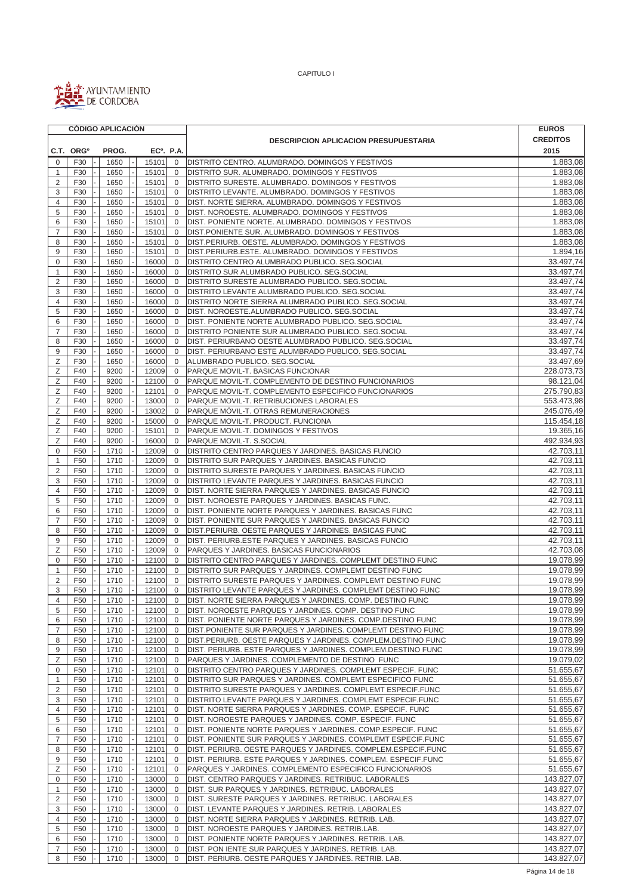

|                | <b>CÓDIGO APLICACIÓN</b>           |              |                |                             |                                                                                                                      | <b>EUROS</b>             |
|----------------|------------------------------------|--------------|----------------|-----------------------------|----------------------------------------------------------------------------------------------------------------------|--------------------------|
|                |                                    |              |                |                             | <b>DESCRIPCION APLICACION PRESUPUESTARIA</b>                                                                         | <b>CREDITOS</b>          |
|                | C.T. ORG <sup>o</sup>              | PROG.        |                | EC <sup>o</sup> . P.A.      |                                                                                                                      | 2015                     |
| 0              | F30                                | 1650         | 15101          | $\mathbf 0$                 | DISTRITO CENTRO. ALUMBRADO. DOMINGOS Y FESTIVOS                                                                      | 1.883,08                 |
| $\mathbf{1}$   | F30                                | 1650         | 15101          | $\mathbf 0$                 | DISTRITO SUR. ALUMBRADO. DOMINGOS Y FESTIVOS                                                                         | 1.883,08                 |
| $\overline{2}$ | F30                                | 1650         | 15101          | $\mathbf{0}$                | DISTRITO SURESTE. ALUMBRADO. DOMINGOS Y FESTIVOS                                                                     | 1.883,08                 |
| 3              | F30                                | 1650         | 15101          | $\mathbf 0$                 | DISTRITO LEVANTE. ALUMBRADO. DOMINGOS Y FESTIVOS                                                                     | 1.883,08                 |
| 4              | F30                                | 1650         | 15101          | $\mathbf{0}$                | DIST. NORTE SIERRA. ALUMBRADO. DOMINGOS Y FESTIVOS                                                                   | 1.883,08                 |
| 5              | F30                                | 1650         | 15101          | $\mathbf 0$                 | DIST. NOROESTE. ALUMBRADO. DOMINGOS Y FESTIVOS                                                                       | 1.883,08                 |
| 6              | F30                                | 1650         | 15101          | $\mathbf 0$                 | DIST. PONIENTE NORTE. ALUMBRADO. DOMINGOS Y FESTIVOS                                                                 | 1.883,08                 |
| $\overline{7}$ | F30                                | 1650         | 15101          | $\mathbf 0$                 | DIST.PONIENTE SUR. ALUMBRADO. DOMINGOS Y FESTIVOS                                                                    | 1.883,08                 |
| 8              | F30                                | 1650         | 15101          | $\mathbf 0$                 | DIST.PERIURB. OESTE. ALUMBRADO. DOMINGOS Y FESTIVOS                                                                  | 1.883,08                 |
| 9              | F30                                | 1650         | 15101          | $\mathbf{0}$                | DIST.PERIURB.ESTE. ALUMBRADO. DOMINGOS Y FESTIVOS                                                                    | 1.894,16                 |
| $\mathbf 0$    | F30                                | 1650         | 16000          | $\mathbf 0$                 | DISTRITO CENTRO ALUMBRADO PUBLICO. SEG.SOCIAL                                                                        | 33.497,74                |
| 1              | F30                                | 1650         | 16000          | $\mathbf{0}$                | DISTRITO SUR ALUMBRADO PUBLICO. SEG.SOCIAL                                                                           | 33.497,74                |
| $\overline{2}$ | F30                                | 1650         | 16000          | $\mathbf 0$                 | DISTRITO SURESTE ALUMBRADO PUBLICO. SEG.SOCIAL                                                                       | 33.497,74                |
| 3<br>4         | F30                                | 1650         | 16000<br>16000 | $\mathbf 0$<br>$\mathbf{0}$ | DISTRITO LEVANTE ALUMBRADO PUBLICO. SEG.SOCIAL<br>DISTRITO NORTE SIERRA ALUMBRADO PUBLICO. SEG.SOCIAL                | 33.497,74                |
| 5              | F30<br>F30                         | 1650<br>1650 | 16000          | $\mathbf{0}$                | DIST. NOROESTE.ALUMBRADO PUBLICO. SEG.SOCIAL                                                                         | 33.497,74<br>33.497,74   |
| 6              | F30                                | 1650         | 16000          | $\mathbf 0$                 | DIST. PONIENTE NORTE ALUMBRADO PUBLICO. SEG.SOCIAL                                                                   | 33.497,74                |
| $\overline{7}$ | F30                                | 1650         | 16000          | $\mathbf 0$                 | DISTRITO PONIENTE SUR ALUMBRADO PUBLICO. SEG.SOCIAL                                                                  | 33.497,74                |
| 8              | F30                                | 1650         | 16000          | $\mathbf 0$                 | DIST. PERIURBANO OESTE ALUMBRADO PUBLICO. SEG.SOCIAL                                                                 | 33.497,74                |
| 9              | F30                                | 1650         | 16000          | $\mathbf{0}$                | DIST. PERIURBANO ESTE ALUMBRADO PUBLICO. SEG.SOCIAL                                                                  | 33.497,74                |
| Ζ              | F30                                | 1650         | 16000          | $\mathbf{0}$                | ALUMBRADO PUBLICO. SEG.SOCIAL                                                                                        | 33.497,69                |
| Ζ              | F40                                | 9200         | 12009          | $\mathbf{0}$                | PARQUE MOVIL-T. BASICAS FUNCIONAR                                                                                    | 228.073,73               |
| Ζ              | F40                                | 9200         | 12100          | $\mathbf{0}$                | PARQUE MOVIL-T. COMPLEMENTO DE DESTINO FUNCIONARIOS                                                                  | 98.121,04                |
| Ζ              | F40                                | 9200         | 12101          | $\mathbf 0$                 | PARQUE MOVIL-T. COMPLEMENTO ESPECIFICO FUNCIONARIOS                                                                  | 275.790,83               |
| Ζ              | F40                                | 9200         | 13000          | $\mathbf 0$                 | PARQUE MOVIL-T. RETRIBUCIONES LABORALES                                                                              | 553.473,98               |
| Ζ              | F40                                | 9200         | 13002          | $\Omega$                    | PARQUE MÓVIL-T. OTRAS REMUNERACIONES                                                                                 | 245.076,49               |
| Ζ              | F40                                | 9200         | 15000          | $\mathbf{0}$                | PARQUE MOVIL-T. PRODUCT. FUNCIONA                                                                                    | 115.454,18               |
| Ζ              | F40                                | 9200         | 15101          | $\mathbf{0}$                | PARQUE MOVIL-T. DOMINGOS Y FESTIVOS                                                                                  | 19.365,16                |
| Ζ              | F40                                | 9200         | 16000          | $\mathbf 0$                 | PARQUE MOVIL-T. S.SOCIAL                                                                                             | 492.934,93               |
| $\mathbf 0$    | F <sub>50</sub>                    | 1710         | 12009          | $\mathbf 0$                 | DISTRITO CENTRO PARQUES Y JARDINES. BASICAS FUNCIO                                                                   | 42.703,11                |
| 1              | F <sub>50</sub>                    | 1710         | 12009          | $\mathbf 0$                 | DISTRITO SUR PARQUES Y JARDINES. BASICAS FUNCIO                                                                      | 42.703,11                |
| $\overline{2}$ | F50                                | 1710         | 12009          | $\mathbf{0}$                | DISTRITO SURESTE PARQUES Y JARDINES. BASICAS FUNCIO                                                                  | 42.703,11                |
| 3              | F50                                | 1710         | 12009          | $\mathbf 0$                 | DISTRITO LEVANTE PARQUES Y JARDINES. BASICAS FUNCIO                                                                  | 42.703,11                |
| 4              | F50                                | 1710         | 12009          | $\mathbf{0}$                | DIST. NORTE SIERRA PARQUES Y JARDINES. BASICAS FUNCIO                                                                | 42.703,11                |
| 5              | F <sub>50</sub>                    | 1710         | 12009          | $\mathbf 0$                 | DIST. NOROESTE PARQUES Y JARDINES. BASICAS FUNC.                                                                     | 42.703,11                |
| 6              | F <sub>50</sub>                    | 1710         | 12009          | $\mathbf 0$                 | DIST. PONIENTE NORTE PARQUES Y JARDINES. BASICAS FUNC                                                                | 42.703,11                |
| $\overline{7}$ | F50                                | 1710         | 12009          | $\mathbf{0}$                | DIST. PONIENTE SUR PARQUES Y JARDINES. BASICAS FUNCIO                                                                | 42.703,11                |
| 8              | F <sub>50</sub>                    | 1710         | 12009          | 0                           | DIST. PERIURB. OESTE PARQUES Y JARDINES. BASICAS FUNC                                                                | 42.703,11                |
| 9              | F50                                | 1710         | 12009          | $\mathbf 0$                 | DIST. PERIURB.ESTE PARQUES Y JARDINES. BASICAS FUNCIO                                                                | 42.703.11                |
| Ζ              | F50                                | 1710         | 12009          | $\mathbf 0$<br>$\mathbf 0$  | PARQUES Y JARDINES. BASICAS FUNCIONARIOS                                                                             | 42.703,08<br>19.078,99   |
| 0<br>1         | F50<br>F50                         | 1710<br>1710 | 12100<br>12100 | $\mathbf 0$                 | DISTRITO CENTRO PARQUES Y JARDINES. COMPLEMT DESTINO FUNC                                                            | 19.078,99                |
| $\overline{2}$ | F <sub>50</sub>                    | 1710         | 12100          | $\mathbf 0$                 | DISTRITO SUR PARQUES Y JARDINES. COMPLEMT DESTINO FUNC<br>DISTRITO SURESTE PARQUES Y JARDINES. COMPLEMT DESTINO FUNC | 19.078,99                |
| 3              | F <sub>50</sub>                    | 1710         | 12100          | $\mathbf{0}$                | DISTRITO LEVANTE PARQUES Y JARDINES. COMPLEMT DESTINO FUNC                                                           | 19.078,99                |
| 4              | F50                                | 1710         | 12100          | $\overline{0}$              | JDIST. NORTE SIERRA PARQUES Y JARDINES. COMP. DESTINO FUNC                                                           | 19.078,99                |
| 5              | F <sub>50</sub>                    | 1710         | 12100          | 0                           | DIST. NOROESTE PARQUES Y JARDINES. COMP. DESTINO FUNC                                                                | 19.078,99                |
| 6              | F50                                | 1710         | 12100          | $\mathbf 0$                 | DIST. PONIENTE NORTE PARQUES Y JARDINES. COMP.DESTINO FUNC                                                           | 19.078,99                |
| $\overline{7}$ | F50                                | 1710         | 12100          | $\mathbf 0$                 | DIST.PONIENTE SUR PARQUES Y JARDINES. COMPLEMT DESTINO FUNC                                                          | 19.078,99                |
| 8              | F <sub>50</sub>                    | 1710         | 12100          | $\mathbf 0$                 | DIST.PERIURB. OESTE PARQUES Y JARDINES. COMPLEM.DESTINO FUNC                                                         | 19.078,99                |
| 9              | F <sub>50</sub>                    | 1710         | 12100          | $\mathbf 0$                 | DIST. PERIURB. ESTE PARQUES Y JARDINES. COMPLEM.DESTINO FUNC                                                         | 19.078,99                |
| Ζ              | F <sub>50</sub>                    | 1710         | 12100          | $\mathbf{0}$                | PARQUES Y JARDINES. COMPLEMENTO DE DESTINO FUNC                                                                      | 19.079,02                |
| 0              | F <sub>50</sub>                    | 1710         | 12101          | $\mathbf 0$                 | DISTRITO CENTRO PARQUES Y JARDINES. COMPLEMT ESPECIF. FUNC                                                           | 51.655,67                |
| $\mathbf{1}$   | F50                                | 1710         | 12101          | 0                           | DISTRITO SUR PARQUES Y JARDINES. COMPLEMT ESPECIFICO FUNC                                                            | 51.655,67                |
| $\overline{2}$ | F <sub>50</sub>                    | 1710         | 12101          | 0                           | DISTRITO SURESTE PARQUES Y JARDINES. COMPLEMT ESPECIF.FUNC                                                           | 51.655,67                |
| 3              | F <sub>50</sub>                    | 1710         | 12101          | 0                           | DISTRITO LEVANTE PARQUES Y JARDINES. COMPLEMT ESPECIF.FUNC                                                           | 51.655,67                |
| 4              | F50                                | 1710         | 12101          | 0                           | DIST. NORTE SIERRA PARQUES Y JARDINES. COMP. ESPECIF. FUNC                                                           | 51.655,67                |
| 5              | F50                                | 1710         | 12101          | 0                           | DIST. NOROESTE PARQUES Y JARDINES. COMP. ESPECIF. FUNC                                                               | 51.655,67                |
| 6              | F50                                | 1710         | 12101          | $\mathbf{0}$                | DIST. PONIENTE NORTE PARQUES Y JARDINES. COMP.ESPECIF. FUNC                                                          | 51.655,67                |
| $\overline{7}$ | F50                                | 1710         | 12101          | 0                           | DIST. PONIENTE SUR PARQUES Y JARDINES. COMPLEMT ESPECIF.FUNC                                                         | 51.655,67                |
| 8              | F <sub>50</sub>                    | 1710         | 12101          | $\mathbf{0}$                | DIST. PERIURB. OESTE PARQUES Y JARDINES. COMPLEM.ESPECIF.FUNC                                                        | 51.655,67                |
| 9              | F <sub>50</sub>                    | 1710         | 12101          | 0                           | DIST. PERIURB. ESTE PARQUES Y JARDINES. COMPLEM. ESPECIF.FUNC                                                        | 51.655,67                |
| Ζ              | F50                                | 1710         | 12101          | 0                           | PARQUES Y JARDINES. COMPLEMENTO ESPECIFICO FUNCIONARIOS                                                              | 51.655,67                |
| 0              | F <sub>50</sub>                    | 1710         | 13000          | 0                           | DIST. CENTRO PARQUES Y JARDINES. RETRIBUC. LABORALES                                                                 | 143.827,07               |
| $\mathbf{1}$   | F <sub>50</sub>                    | 1710         | 13000          | $\mathbf 0$                 | DIST. SUR PARQUES Y JARDINES. RETRIBUC. LABORALES                                                                    | 143.827,07               |
| $\overline{2}$ | F <sub>50</sub>                    | 1710         | 13000          | $\mathbf 0$                 | DIST. SURESTE PARQUES Y JARDINES. RETRIBUC. LABORALES                                                                | 143.827,07               |
| 3              | F50                                | 1710         | 13000          | $\mathbf 0$                 | DIST. LEVANTE PARQUES Y JARDINES. RETRIB. LABORALES                                                                  | 143.827,07               |
| 4              | F <sub>50</sub>                    | 1710         | 13000<br>13000 | $\mathbf 0$<br>$\mathbf 0$  | DIST. NORTE SIERRA PARQUES Y JARDINES. RETRIB. LAB.                                                                  | 143.827,07<br>143.827,07 |
| 5<br>6         | F <sub>50</sub><br>F <sub>50</sub> | 1710<br>1710 | 13000          | $\mathbf 0$                 | DIST. NOROESTE PARQUES Y JARDINES. RETRIB.LAB.<br>DIST. PONIENTE NORTE PARQUES Y JARDINES. RETRIB. LAB.              | 143.827,07               |
| $\overline{7}$ | F <sub>50</sub>                    | 1710         | 13000          | $\mathbf 0$                 | DIST. PON IENTE SUR PARQUES Y JARDINES. RETRIB. LAB.                                                                 | 143.827,07               |
| 8              | F <sub>50</sub>                    | 1710         | 13000          | $\mathbf 0$                 | DIST. PERIURB. OESTE PARQUES Y JARDINES. RETRIB. LAB.                                                                | 143.827,07               |
|                |                                    |              |                |                             |                                                                                                                      |                          |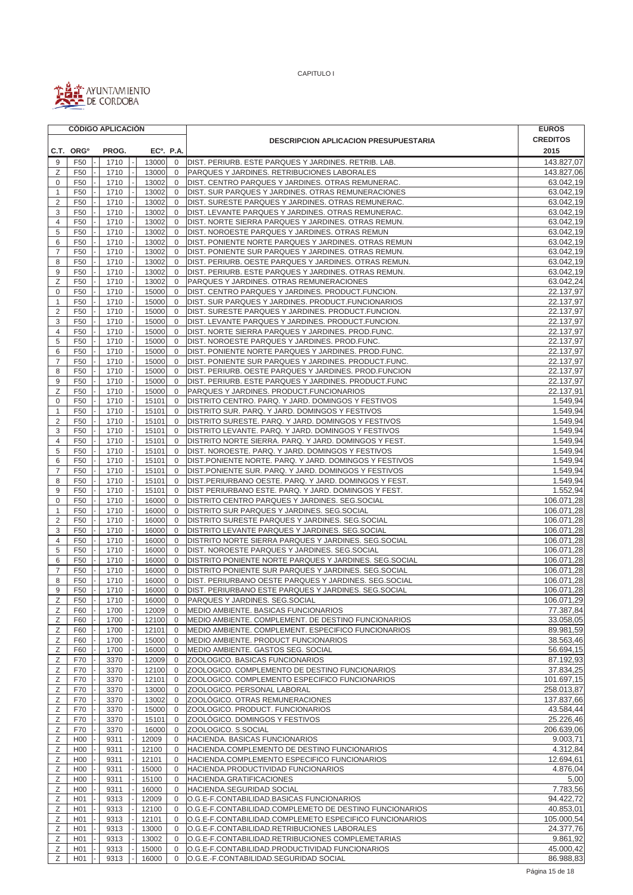

 $\blacksquare$ 

CAPITULO I

|                     |                       | <b>CÓDIGO APLICACIÓN</b> |                        |                                  |                                                                                                             | <b>EUROS</b>           |
|---------------------|-----------------------|--------------------------|------------------------|----------------------------------|-------------------------------------------------------------------------------------------------------------|------------------------|
|                     |                       |                          |                        |                                  | <b>DESCRIPCION APLICACION PRESUPUESTARIA</b>                                                                | <b>CREDITOS</b>        |
|                     | C.T. ORG <sup>o</sup> | PROG.                    | EC <sup>o</sup> . P.A. |                                  |                                                                                                             | 2015                   |
| 9                   | F50                   | 1710                     | 13000                  | $\mathbf 0$                      | DIST. PERIURB. ESTE PARQUES Y JARDINES. RETRIB. LAB.                                                        | 143.827,07             |
| Ζ                   | F50                   | 1710                     | 13000                  | $\mathbf 0$                      | PARQUES Y JARDINES. RETRIBUCIONES LABORALES                                                                 | 143.827,06             |
| 0                   | F <sub>50</sub>       | 1710                     | 13002                  | $\mathbf 0$                      | DIST. CENTRO PARQUES Y JARDINES. OTRAS REMUNERAC.                                                           | 63.042,19              |
| $\mathbf{1}$        | F50                   | 1710                     | 13002                  | $\mathbf{0}$                     | DIST. SUR PARQUES Y JARDINES. OTRAS REMUNERACIONES                                                          | 63.042,19              |
| $\overline{2}$      | F50                   | 1710                     | 13002                  | $\mathbf 0$                      | DIST. SURESTE PARQUES Y JARDINES. OTRAS REMUNERAC.                                                          | 63.042,19              |
| 3                   | F50                   | 1710                     | 13002                  | $\Omega$                         | DIST. LEVANTE PARQUES Y JARDINES. OTRAS REMUNERAC.                                                          | 63.042,19              |
| 4                   | F50                   | 1710                     | 13002                  | 0                                | DIST. NORTE SIERRA PARQUES Y JARDINES. OTRAS REMUN.                                                         | 63.042,19              |
| 5                   | F <sub>50</sub>       | 1710                     | 13002                  | $\mathbf 0$                      | DIST. NOROESTE PARQUES Y JARDINES. OTRAS REMUN                                                              | 63.042,19              |
| 6                   | F <sub>50</sub>       | 1710                     | 13002                  | $\mathbf 0$                      | DIST. PONIENTE NORTE PARQUES Y JARDINES. OTRAS REMUN                                                        | 63.042,19              |
| $\overline{7}$      | F50                   | 1710                     | 13002                  | $\mathbf 0$                      | DIST. PONIENTE SUR PARQUES Y JARDINES. OTRAS REMUN.                                                         | 63.042,19              |
| 8                   | F50                   | 1710                     | 13002                  | $\mathbf 0$                      | DIST. PERIURB. OESTE PARQUES Y JARDINES. OTRAS REMUN.                                                       | 63.042,19              |
| $\overline{9}$      | F <sub>50</sub>       | 1710                     | 13002                  | $\mathbf 0$                      | DIST. PERIURB. ESTE PARQUES Y JARDINES. OTRAS REMUN.                                                        | 63.042,19              |
| Ζ                   | F <sub>50</sub>       | 1710                     | 13002                  | $\mathbf 0$                      | PARQUES Y JARDINES. OTRAS REMUNERACIONES                                                                    | 63.042,24              |
| 0                   | F50                   | 1710                     | 15000                  | $\mathbf 0$                      | DIST. CENTRO PARQUES Y JARDINES. PRODUCT. FUNCION.                                                          | 22.137,97              |
| $\mathbf{1}$        | F50                   | 1710                     | 15000                  | $\mathbf 0$                      | DIST. SUR PARQUES Y JARDINES. PRODUCT.FUNCIONARIOS                                                          | 22.137,97              |
| $\overline{2}$      | F <sub>50</sub>       | 1710                     | 15000                  | $\overline{0}$                   | DIST. SURESTE PARQUES Y JARDINES. PRODUCT. FUNCION.                                                         | 22.137,97              |
| 3                   | F <sub>50</sub>       | 1710                     | 15000                  | $\overline{0}$                   | DIST. LEVANTE PARQUES Y JARDINES. PRODUCT.FUNCION.                                                          | 22.137,97              |
| $\overline{4}$      | F50                   | 1710                     | 15000                  | $\mathbf 0$                      | DIST. NORTE SIERRA PARQUES Y JARDINES. PROD.FUNC.                                                           | 22.137,97<br>22.137,97 |
| 5                   | F <sub>50</sub>       | 1710                     | 15000                  | $\mathbf 0$<br>$\overline{0}$    | DIST. NOROESTE PARQUES Y JARDINES. PROD.FUNC.                                                               | 22.137,97              |
| 6<br>$\overline{7}$ | F50<br>F50            | 1710<br>1710             | 15000<br>15000         | $\overline{0}$                   | DIST. PONIENTE NORTE PARQUES Y JARDINES. PROD.FUNC.<br>DIST. PONIENTE SUR PARQUES Y JARDINES. PRODUCT.FUNC. | 22.137,97              |
| 8                   | F50                   | 1710                     | 15000                  | $\Omega$                         | DIST. PERIURB. OESTE PARQUES Y JARDINES. PROD. FUNCION                                                      | 22.137,97              |
| 9                   | F50                   | 1710                     | 15000                  | $\overline{0}$                   | DIST. PERIURB. ESTE PARQUES Y JARDINES. PRODUCT.FUNC                                                        | 22.137,97              |
| Ζ                   | F <sub>50</sub>       | 1710                     | 15000                  | $\overline{0}$                   | PARQUES Y JARDINES. PRODUCT. FUNCIONARIOS                                                                   | 22.137,91              |
| $\mathbf 0$         | F <sub>50</sub>       | 1710                     | 15101                  | $\mathbf{0}$                     | DISTRITO CENTRO. PARQ. Y JARD. DOMINGOS Y FESTIVOS                                                          | 1.549,94               |
| $\mathbf{1}$        | F50                   | 1710                     | 15101                  | $\mathbf 0$                      | DISTRITO SUR. PARQ. Y JARD. DOMINGOS Y FESTIVOS                                                             | 1.549,94               |
| $\overline{2}$      | F50                   | 1710                     | 15101                  | $\mathbf{0}$                     | DISTRITO SURESTE. PARQ. Y JARD. DOMINGOS Y FESTIVOS                                                         | 1.549,94               |
| 3                   | F <sub>50</sub>       | 1710                     | 15101                  | $\mathbf 0$                      | DISTRITO LEVANTE. PARQ. Y JARD. DOMINGOS Y FESTIVOS                                                         | 1.549,94               |
| $\overline{4}$      | F50                   | 1710                     | 15101                  | $\mathbf 0$                      | DISTRITO NORTE SIERRA. PARQ. Y JARD. DOMINGOS Y FEST.                                                       | 1.549,94               |
| 5                   | F50                   | 1710                     | 15101                  | $\mathbf 0$                      | DIST. NOROESTE. PARQ. Y JARD. DOMINGOS Y FESTIVOS                                                           | 1.549,94               |
| 6                   | F50                   | 1710                     | 15101                  | $\Omega$                         | DIST. PONIENTE NORTE. PARQ. Y JARD. DOMINGOS Y FESTIVOS                                                     | 1.549,94               |
| $\overline{7}$      | F50                   | 1710                     | 15101                  | 0                                | DIST.PONIENTE SUR. PARQ. Y JARD. DOMINGOS Y FESTIVOS                                                        | 1.549,94               |
| 8                   | F <sub>50</sub>       | 1710                     | 15101                  | $\mathbf 0$                      | DIST.PERIURBANO OESTE. PARQ. Y JARD. DOMINGOS Y FEST.                                                       | 1.549,94               |
| 9                   | F <sub>50</sub>       | 1710                     | 15101                  | $\mathbf{0}$                     | DIST PERIURBANO ESTE. PARQ. Y JARD. DOMINGOS Y FEST.                                                        | 1.552,94               |
| $\bf 0$             | F50                   | 1710                     | 16000                  | $\mathbf 0$                      | DISTRITO CENTRO PARQUES Y JARDINES. SEG.SOCIAL                                                              | 106.071,28             |
| $\mathbf{1}$        | F50                   | 1710                     | 16000                  | 0                                | DISTRITO SUR PARQUES Y JARDINES. SEG.SOCIAL                                                                 | 106.071,28             |
| $\overline{2}$      | F50                   | 1710                     | 16000                  | $\mathbf 0$                      | DISTRITO SURESTE PARQUES Y JARDINES. SEG.SOCIAL                                                             | 106.071,28             |
| 3                   | F <sub>50</sub>       | 1710                     | 16000                  | $\Omega$                         | DISTRITO LEVANTE PARQUES Y JARDINES. SEG.SOCIAL                                                             | 106.071,28             |
| $\overline{4}$      | F50                   | 1710                     | 16000                  | $\mathbf{0}$                     | DISTRITO NORTE SIERRA PARQUES Y JARDINES. SEG.SOCIAL                                                        | 106.071,28             |
| 5                   | F <sub>50</sub>       | 1710                     | 16000                  | $\mathbf{0}$                     | DIST. NOROESTE PARQUES Y JARDINES. SEG.SOCIAL                                                               | 106.071,28             |
| 6                   | F50                   | 1710                     | 16000                  | $\overline{0}$                   | DISTRITO PONIENTE NORTE PARQUES Y JARDINES. SEG.SOCIAL                                                      | 106.071,28             |
| $\overline{7}$      | F <sub>50</sub>       | 1710                     | 16000                  | $\overline{0}$                   | DISTRITO PONIENTE SUR PARQUES Y JARDINES. SEG.SOCIAL                                                        | 106.071,28             |
| 8                   | F50                   | 1710                     | 16000                  | $\mathbf{0}$                     | DIST. PERIURBANO OESTE PARQUES Y JARDINES. SEG.SOCIAL                                                       | 106.071,28             |
| 9                   | F <sub>50</sub>       | 1710                     | 16000                  | $\mathbf 0$                      | DIST. PERIURBANO ESTE PARQUES Y JARDINES. SEG.SOCIAL                                                        | 106.071,28             |
| Ζ                   | F50                   | 1710                     | 16000                  | $\overline{0}$                   | PARQUES Y JARDINES. SEG. SOCIAL                                                                             | 106.071,29             |
| Ζ                   | F60                   | 1700                     | 12009                  | $\overline{0}$                   | MEDIO AMBIENTE. BASICAS FUNCIONARIOS                                                                        | 77.387,84              |
| Ζ                   | F60                   | 1700                     | 12100                  | $\overline{0}$                   | MEDIO AMBIENTE. COMPLEMENT. DE DESTINO FUNCIONARIOS                                                         | 33.058,05              |
| Ζ                   | F60                   | 1700                     | 12101                  | $\overline{0}$                   | MEDIO AMBIENTE. COMPLEMENT. ESPECIFICO FUNCIONARIOS                                                         | 89.981,59              |
| Ζ                   | F60                   | 1700                     | 15000                  | $\overline{0}$                   | MEDIO AMBIENTE. PRODUCT FUNCIONARIOS                                                                        | 38.563,46<br>56.694,15 |
| Ζ<br>Ζ              | F60                   | 1700<br>3370             | 16000<br>12009         | $\overline{0}$<br>$\overline{0}$ | MEDIO AMBIENTE. GASTOS SEG. SOCIAL<br>ZOOLOGICO. BASICAS FUNCIONARIOS                                       | 87.192,93              |
| Ζ                   | F70<br>F70            | 3370                     | 12100                  | $\overline{0}$                   | ZOOLOGICO. COMPLEMENTO DE DESTINO FUNCIONARIOS                                                              | 37.834,25              |
| Ζ                   | F70                   | 3370                     | 12101                  | $\overline{0}$                   | ZOOLOGICO. COMPLEMENTO ESPECIFICO FUNCIONARIOS                                                              | 101.697,15             |
| Ζ                   | F70                   | 3370                     | 13000                  | $\mathbf 0$                      | ZOOLOGICO. PERSONAL LABORAL                                                                                 | 258.013.87             |
| Ζ                   | F70                   | 3370                     | 13002                  | 0                                | ZOOLÓGICO. OTRAS REMUNERACIONES                                                                             | 137.837,66             |
| Ζ                   | F70                   | 3370                     | 15000                  | $\mathbf 0$                      | ZOOLOGICO. PRODUCT. FUNCIONARIOS                                                                            | 43.584,44              |
| Ζ                   | F70                   | 3370                     | 15101                  | 0                                | ZOOLÓGICO. DOMINGOS Y FESTIVOS                                                                              | 25.226,46              |
| $\mathsf Z$         | F70                   | 3370                     | 16000                  | $\mathbf 0$                      | ZOOLOGICO. S.SOCIAL                                                                                         | 206.639,06             |
| Ζ                   | H <sub>0</sub>        | 9311                     | 12009                  | 0                                | HACIENDA. BASICAS FUNCIONARIOS                                                                              | 9.003,71               |
| Ζ                   | H <sub>00</sub>       | 9311                     | 12100                  | 0                                | HACIENDA.COMPLEMENTO DE DESTINO FUNCIONARIOS                                                                | 4.312,84               |
| Ζ                   | H <sub>0</sub>        | 9311                     | 12101                  | $\mathbf 0$                      | HACIENDA.COMPLEMENTO ESPECIFICO FUNCIONARIOS                                                                | 12.694,61              |
| Ζ                   | H <sub>00</sub>       | 9311                     | 15000                  | 0                                | HACIENDA.PRODUCTIVIDAD FUNCIONARIOS                                                                         | 4.876,04               |
| Ζ                   | H <sub>00</sub>       | 9311                     | 15100                  | $\mathbf 0$                      | HACIENDA.GRATIFICACIONES                                                                                    | 5,00                   |
| Ζ                   | H <sub>0</sub>        | 9311                     | 16000                  | 0                                | HACIENDA.SEGURIDAD SOCIAL                                                                                   | 7.783,56               |
| Ζ                   | H <sub>01</sub>       | 9313                     | 12009                  | $\mathbf 0$                      | O.G.E-F.CONTABILIDAD.BASICAS FUNCIONARIOS                                                                   | 94.422,72              |
| Ζ                   | H <sub>01</sub>       | 9313                     | 12100                  | 0                                | O.G.E-F.CONTABILIDAD.COMPLEMETO DE DESTINO FUNCIONARIOS                                                     | 40.853,01              |
| Ζ                   | H <sub>01</sub>       | 9313                     | 12101                  | $\mathbf 0$                      | O.G.E-F.CONTABILIDAD.COMPLEMETO ESPECIFICO FUNCIONARIOS                                                     | 105.000,54             |
| Ζ                   | H <sub>01</sub>       | 9313                     | 13000                  | 0                                | O.G.E-F.CONTABILIDAD.RETRIBUCIONES LABORALES                                                                | 24.377,76              |
| Ζ                   | H <sub>0</sub> 1      | 9313                     | 13002                  | $\mathbf 0$                      | O.G.E-F.CONTABILIDAD.RETRIBUCIONES COMPLEMETARIAS                                                           | 9.861,92               |
| Ζ                   | H <sub>01</sub>       | 9313                     | 15000                  | $\mathbf 0$                      | O.G.E-F.CONTABILIDAD.PRODUCTIVIDAD FUNCIONARIOS                                                             | 45.000,42              |
| Ζ                   | H <sub>01</sub>       | 9313                     | 16000                  | $\mathbf 0$                      | O.G.E.-F.CONTABILIDAD.SEGURIDAD SOCIAL                                                                      | 86.988,83              |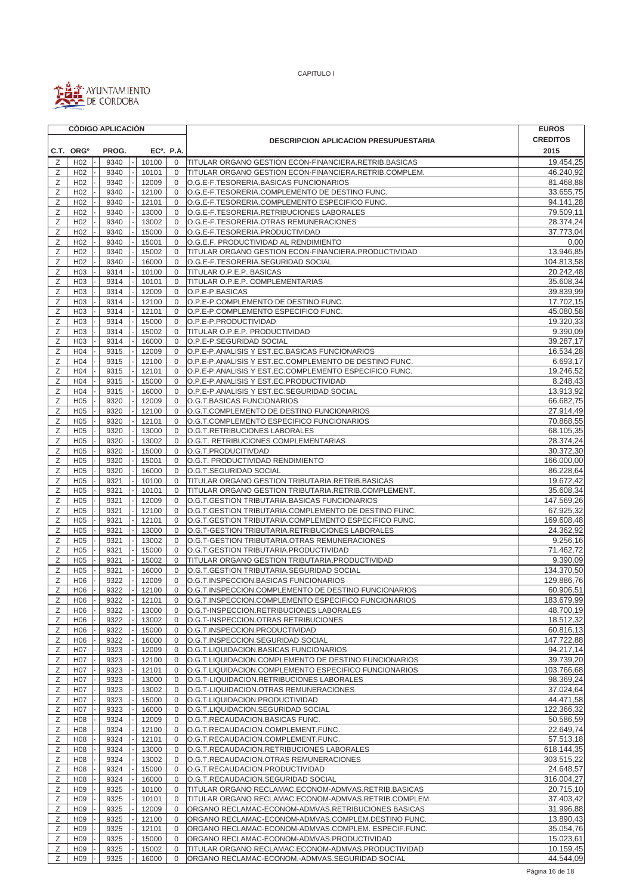

|        | <b>CÓDIGO APLICACIÓN</b>           |              |                        |                            |                                                                                                   | <b>EUROS</b>            |
|--------|------------------------------------|--------------|------------------------|----------------------------|---------------------------------------------------------------------------------------------------|-------------------------|
|        |                                    |              |                        |                            | <b>DESCRIPCION APLICACION PRESUPUESTARIA</b>                                                      | <b>CREDITOS</b>         |
|        | C.T. ORG <sup>o</sup>              | PROG.        | EC <sup>o</sup> . P.A. |                            |                                                                                                   | 2015                    |
| Ζ      | H <sub>02</sub>                    | 9340         | 10100                  | 0                          | TITULAR ORGANO GESTION ECON-FINANCIERA.RETRIB.BASICAS                                             | 19.454,25               |
| Ζ      | H <sub>02</sub>                    | 9340         | 10101                  | $\mathbf 0$                | TITULAR ORGANO GESTION ECON-FINANCIERA.RETRIB.COMPLEM.                                            | 46.240,92               |
| Ζ      | H <sub>02</sub>                    | 9340         | 12009                  | $\mathbf 0$                | O.G.E-F.TESORERIA.BASICAS FUNCIONARIOS                                                            | 81.468,88               |
| Ζ      | H <sub>02</sub>                    | 9340         | 12100                  | $\mathbf 0$                | O.G.E-F.TESORERIA.COMPLEMENTO DE DESTINO FUNC.                                                    | 33.655,75               |
| Ζ      | H <sub>02</sub>                    | 9340         | 12101                  | $\mathbf 0$                | O.G.E-F.TESORERIA.COMPLEMENTO ESPECIFICO FUNC.                                                    | 94.141,28               |
| Ζ      | H <sub>02</sub>                    | 9340         | 13000                  | $\mathbf 0$                | O.G.E-F.TESORERIA.RETRIBUCIONES LABORALES                                                         | 79.509,11               |
| Ζ      | H <sub>02</sub>                    | 9340         | 13002                  | $\mathbf 0$                | O.G.E-F.TESORERIA.OTRAS REMUNERACIONES                                                            | 28.374,24               |
| Ζ      | H <sub>02</sub>                    | 9340         | 15000                  | $\mathbf 0$                | O.G.E-F.TESORERIA.PRODUCTIVIDAD                                                                   | 37.773,04               |
| Ζ      | H <sub>02</sub>                    | 9340         | 15001                  | $\mathbf 0$                | O.G.E.F. PRODUCTIVIDAD AL RENDIMIENTO                                                             | 0,00                    |
| Ζ      | H <sub>02</sub>                    | 9340         | 15002                  | $\mathbf 0$                | TITULAR ORGANO GESTION ECON-FINANCIERA.PRODUCTIVIDAD                                              | 13.946,85               |
| Ζ      | H <sub>02</sub>                    | 9340         | 16000                  | $\mathbf 0$                | O.G.E-F.TESORERIA.SEGURIDAD SOCIAL                                                                | 104.813,58              |
| Ζ      | H <sub>03</sub>                    | 9314         | 10100                  | $\mathbf 0$                | TITULAR O.P.E.P. BASICAS                                                                          | 20.242,48               |
| Z      | H <sub>03</sub><br>H03             | 9314         | 10101                  | 0                          | TITULAR O.P.E.P. COMPLEMENTARIAS                                                                  | 35.608,34<br>39.839,99  |
| Ζ<br>Z | H <sub>03</sub>                    | 9314<br>9314 | 12009<br>12100         | $\mathbf 0$<br>$\mathbf 0$ | O.P.E-P.BASICAS<br>O.P.E-P.COMPLEMENTO DE DESTINO FUNC.                                           | 17.702, 15              |
| Ζ      | H <sub>03</sub>                    | 9314         | 12101                  | 0                          | O.P.E-P.COMPLEMENTO ESPECIFICO FUNC.                                                              | 45.080,58               |
| Ζ      | H <sub>03</sub>                    | 9314         | 15000                  | $\mathbf 0$                | O.P.E-P.PRODUCTIVIDAD                                                                             | 19.320,33               |
| Ζ      | H <sub>03</sub>                    | 9314         | 15002                  | $\mathbf 0$                | TITULAR O.P.E.P. PRODUCTIVIDAD                                                                    | 9.390,09                |
| Ζ      | H <sub>03</sub>                    | 9314         | 16000                  | $\mathbf 0$                | O.P.E-P.SEGURIDAD SOCIAL                                                                          | 39.287,17               |
| Ζ      | H04                                | 9315         | 12009                  | 0                          | O.P.E-P.ANALISIS Y EST.EC.BASICAS FUNCIONARIOS                                                    | 16.534,28               |
| Z      | H <sub>04</sub>                    | 9315         | 12100                  | $\mathbf 0$                | O.P.E-P.ANALISIS Y EST.EC.COMPLEMENTO DE DESTINO FUNC.                                            | 6.693,17                |
| Z      | H <sub>04</sub>                    | 9315         | 12101                  | $\mathbf 0$                | O.P.E-P.ANALISIS Y EST.EC.COMPLEMENTO ESPECIFICO FUNC.                                            | 19.246,52               |
| Z      | H <sub>04</sub>                    | 9315         | 15000                  | $\mathbf 0$                | O.P.E-P.ANALISIS Y EST.EC.PRODUCTIVIDAD                                                           | 8.248,43                |
| Ζ      | H <sub>04</sub>                    | 9315         | 16000                  | $\mathbf 0$                | O.P.E-P.ANALISIS Y EST.EC.SEGURIDAD SOCIAL                                                        | 13.913,92               |
| Ζ      | H <sub>05</sub>                    | 9320         | 12009                  | $\mathbf 0$                | O.G.T.BASICAS FUNCIONARIOS                                                                        | 66.682,75               |
| Ζ      | H <sub>05</sub>                    | 9320         | 12100                  | $\mathbf 0$                | O.G.T.COMPLEMENTO DE DESTINO FUNCIONARIOS                                                         | 27.914,49               |
| Z      | H <sub>05</sub>                    | 9320         | 12101                  | 0                          | O.G.T.COMPLEMENTO ESPECIFICO FUNCIONARIOS                                                         | 70.868,55               |
| Ζ      | H <sub>05</sub>                    | 9320         | 13000                  | $\mathbf 0$                | O.G.T.RETRIBUCIONES LABORALES                                                                     | 68.105,35               |
| Ζ      | H <sub>05</sub>                    | 9320         | 13002                  | $\mathbf 0$                | O.G.T. RETRIBUCIONES COMPLEMENTARIAS                                                              | 28.374,24               |
| Ζ      | H <sub>05</sub>                    | 9320         | 15000                  | 0                          | O.G.T.PRODUCITIVDAD                                                                               | 30.372,30               |
| Ζ      | H <sub>05</sub>                    | 9320         | 15001                  | $\mathbf 0$                | O.G.T. PRODUCTIVIDAD RENDIMIENTO                                                                  | 166.000,00              |
| Ζ      | H <sub>05</sub>                    | 9320         | 16000                  | $\mathbf 0$                | O.G.T.SEGURIDAD SOCIAL                                                                            | 86.228,64               |
| Ζ      | H <sub>05</sub>                    | 9321         | 10100                  | $\mathbf 0$                | TITULAR ORGANO GESTION TRIBUTARIA.RETRIB.BASICAS                                                  | 19.672,42               |
| Ζ      | H <sub>05</sub>                    | 9321         | 10101                  | $\mathbf 0$                | TITULAR ORGANO GESTION TRIBUTARIA.RETRIB.COMPLEMENT.                                              | 35.608,34               |
| Ζ      | H <sub>05</sub>                    | 9321         | 12009                  | $\mathbf 0$                | O.G.T.GESTION TRIBUTARIA.BASICAS FUNCIONARIOS                                                     | 147.569,26              |
| Ζ      | H <sub>05</sub>                    | 9321         | 12100                  | $\mathbf 0$                | O.G.T.GESTION TRIBUTARIA.COMPLEMENTO DE DESTINO FUNC.                                             | 67.925,32               |
| Ζ<br>Ζ | H <sub>05</sub>                    | 9321         | 12101                  | $\mathbf 0$                | O.G.T.GESTION TRIBUTARIA.COMPLEMENTO ESPECIFICO FUNC.                                             | 169.608,48              |
| Ζ      | H <sub>05</sub><br>H <sub>05</sub> | 9321<br>9321 | 13000<br>13002         | 0<br>$\mathbf 0$           | O.G.T-GESTION TRIBUTARIA.RETRIBUCIONES LABORALES<br>O.G.T-GESTION TRIBUTARIA.OTRAS REMUNERACIONES | 24.362,92<br>9.256,16   |
| Ζ      | H <sub>05</sub>                    | 9321         | 15000                  | $\mathbf 0$                | O.G.T.GESTION TRIBUTARIA.PRODUCTIVIDAD                                                            | 71.462,72               |
| Ζ      | H <sub>05</sub>                    | 9321         | 15002                  | $\mathbf 0$                | TITULAR ORGANO GESTION TRIBUTARIA.PRODUCTIVIDAD                                                   | 9.390,09                |
| Ζ      | H <sub>05</sub>                    | 9321         | 16000                  | $\mathbf 0$                | O.G.T.GESTION TRIBUTARIA.SEGURIDAD SOCIAL                                                         | 134.370,50              |
| Ζ      | H <sub>06</sub>                    | 9322         | 12009                  | 0                          | O.G.T.INSPECCION.BASICAS FUNCIONARIOS                                                             | 129.886,76              |
| Ζ      | H <sub>06</sub>                    | 9322         | 12100                  | $\mathbf 0$                | O.G.T.INSPECCION.COMPLEMENTO DE DESTINO FUNCIONARIOS                                              | 60.906,51               |
| Ζ      | H06                                | 9322         | 12101                  | 0                          | O.G.T.INSPECCION.COMPLEMENTO ESPECIFICO FUNCIONARIOS                                              | 183.679,99              |
| Ζ      | H <sub>06</sub>                    | 9322         | 13000                  | 0                          | O.G.T-INSPECCION.RETRIBUCIONES LABORALES                                                          | 48.700,19               |
| Ζ      | H <sub>06</sub>                    | 9322         | 13002                  | 0                          | O.G.T-INSPECCION.OTRAS RETRIBUCIONES                                                              | 18.512,32               |
| Ζ      | H <sub>06</sub>                    | 9322         | 15000                  | 0                          | O.G.T.INSPECCION.PRODUCTIVIDAD                                                                    | 60.816,13               |
| Ζ      | H06                                | 9322         | 16000                  | 0                          | O.G.T.INSPECCION.SEGURIDAD SOCIAL                                                                 | 147.722,88              |
| Ζ      | H <sub>0</sub> 7                   | 9323         | 12009                  | 0                          | O.G.T.LIQUIDACION.BASICAS FUNCIONARIOS                                                            | 94.217,14               |
| Ζ      | H07                                | 9323         | 12100                  | $\mathbf 0$                | O.G.T.LIQUIDACION.COMPLEMENTO DE DESTINO FUNCIONARIOS                                             | 39.739,20               |
| Ζ      | H <sub>07</sub>                    | 9323         | 12101                  | 0                          | O.G.T.LIQUIDACION.COMPLEMENTO ESPECIFICO FUNCIONARIOS                                             | 103.766,68              |
| Ζ      | H07                                | 9323         | 13000                  | $\mathbf 0$                | O.G.T-LIQUIDACION.RETRIBUCIONES LABORALES                                                         | 98.369,24               |
| Ζ      | H <sub>0</sub> 7                   | 9323         | 13002                  | 0                          | O.G.T-LIQUIDACION.OTRAS REMUNERACIONES                                                            | 37.024,64               |
| Ζ      | H <sub>0</sub> 7                   | 9323         | 15000                  | 0                          | O.G.T.LIQUIDACION.PRODUCTIVIDAD                                                                   | 44.471,58               |
| Ζ      | H07                                | 9323         | 16000                  | $\mathbf 0$                | O.G.T.LIQUIDACION.SEGURIDAD SOCIAL                                                                | 122.366,32              |
| Ζ      | H <sub>08</sub>                    | 9324         | 12009                  | 0                          | O.G.T.RECAUDACION.BASICAS FUNC.                                                                   | 50.586,59               |
| Ζ      | H <sub>08</sub>                    | 9324         | 12100                  | 0                          | O.G.T.RECAUDACION.COMPLEMENT.FUNC.                                                                | 22.649,74               |
| Ζ<br>Ζ | H <sub>08</sub><br>H08             | 9324<br>9324 | 12101<br>13000         | 0<br>$\mathbf 0$           | O.G.T.RECAUDACION.COMPLEMENT.FUNC.<br>O.G.T.RECAUDACION.RETRIBUCIONES LABORALES                   | 57.513,18<br>618.144,35 |
| Ζ      | H <sub>08</sub>                    | 9324         | 13002                  | 0                          | O.G.T.RECAUDACION.OTRAS REMUNERACIONES                                                            | 303.515,22              |
| Ζ      | H <sub>08</sub>                    | 9324         | 15000                  | 0                          | O.G.T.RECAUDACION.PRODUCTIVIDAD                                                                   | 24.648,57               |
| Ζ      | H <sub>08</sub>                    | 9324         | 16000                  | 0                          | O.G.T.RECAUDACION.SEGURIDAD SOCIAL                                                                | 316.004,27              |
| Ζ      | H <sub>09</sub>                    | 9325         | 10100                  | 0                          | TITULAR ORGANO RECLAMAC.ECONOM-ADMVAS.RETRIB.BASICAS                                              | 20.715,10               |
| Ζ      | H <sub>09</sub>                    | 9325         | 10101                  | $\mathbf 0$                | TITULAR ORGANO RECLAMAC.ECONOM-ADMVAS.RETRIB.COMPLEM.                                             | 37.403,42               |
| Ζ      | H <sub>09</sub>                    | 9325         | 12009                  | 0                          | ORGANO RECLAMAC-ECONOM-ADMVAS.RETRIBUCIONES BASICAS                                               | 31.996,88               |
| Ζ      | H <sub>09</sub>                    | 9325         | 12100                  | $\mathbf 0$                | ORGANO RECLAMAC-ECONOM-ADMVAS.COMPLEM.DESTINO FUNC.                                               | 13.890,43               |
| Ζ      | H <sub>09</sub>                    | 9325         | 12101                  | 0                          | ORGANO RECLAMAC-ECONOM-ADMVAS.COMPLEM. ESPECIF.FUNC.                                              | 35.054,76               |
| Ζ      | H <sub>09</sub>                    | 9325         | 15000                  | $\mathbf 0$                | ORGANO RECLAMAC-ECONOM-ADMVAS.PRODUCTIVIDAD                                                       | 15.023,61               |
| Ζ      | H <sub>09</sub>                    | 9325         | 15002                  | 0                          | TITULAR ORGANO RECLAMAC.ECONOM-ADMVAS.PRODUCTIVIDAD                                               | 10.159,45               |
| Ζ      | H <sub>09</sub>                    | 9325         | 16000                  | $\mathbf 0$                | ORGANO RECLAMAC-ECONOM.-ADMVAS.SEGURIDAD SOCIAL                                                   | 44.544,09               |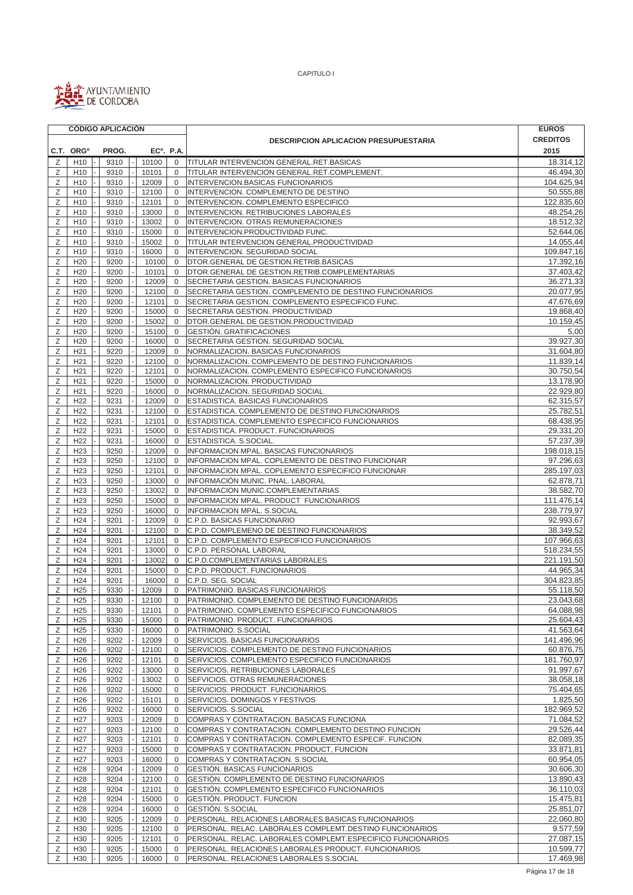

|        |                                    | <b>CÓDIGO APLICACIÓN</b> |                        |                             |                                                                                      | <b>EUROS</b>            |
|--------|------------------------------------|--------------------------|------------------------|-----------------------------|--------------------------------------------------------------------------------------|-------------------------|
|        |                                    |                          |                        |                             | <b>DESCRIPCION APLICACION PRESUPUESTARIA</b>                                         | <b>CREDITOS</b>         |
|        | C.T. ORG <sup>o</sup>              | PROG.                    | EC <sup>o</sup> . P.A. |                             |                                                                                      | 2015                    |
| Ζ      | H <sub>10</sub>                    | 9310                     | 10100                  | $\mathbf 0$                 | <b>TITULAR INTERVENCION GENERAL.RET.BASICAS</b>                                      | 18.314,12               |
| Ζ      | H <sub>10</sub>                    | 9310                     | 10101                  | $\mathbf 0$                 | TITULAR INTERVENCION GENERAL.RET.COMPLEMENT.                                         | 46.494,30               |
| Ζ      | H <sub>10</sub>                    | 9310                     | 12009                  | $\mathbf 0$                 | INTERVENCION.BASICAS FUNCIONARIOS                                                    | 104.625,94              |
| Ζ      | H <sub>10</sub>                    | 9310                     | 12100                  | $\mathbf 0$                 | INTERVENCION. COMPLEMENTO DE DESTINO                                                 | 50.555,88               |
| Ζ      | H <sub>10</sub>                    | 9310                     | 12101                  | $\mathbf 0$                 | INTERVENCION. COMPLEMENTO ESPECIFICO                                                 | 122.835,60              |
| Ζ      | H <sub>10</sub>                    | 9310                     | 13000                  | 0                           | INTERVENCION. RETRIBUCIONES LABORALES                                                | 48.254,26               |
| Ζ      | H <sub>10</sub>                    | 9310                     | 13002                  | $\mathbf 0$                 | INTERVENCION. OTRAS REMUNERACIONES                                                   | 18.512,32               |
| Ζ      | H <sub>10</sub>                    | 9310                     | 15000                  | $\mathbf 0$                 | INTERVENCION.PRODUCTIVIDAD FUNC.                                                     | 52.644,06               |
| Ζ      | H <sub>10</sub>                    | 9310                     | 15002                  | $\mathbf 0$                 | TITULAR INTERVENCION GENERAL.PRODUCTIVIDAD                                           | 14.055,44               |
| Ζ      | H <sub>10</sub>                    | 9310                     | 16000                  | $\mathbf{0}$                | INTERVENCION. SEGURIDAD SOCIAL                                                       | 109.847,16              |
| Ζ      | H <sub>20</sub>                    | 9200                     | 10100                  | $\mathbf 0$                 | DTOR.GENERAL DE GESTION.RETRIB.BASICAS                                               | 17.392,16               |
| Ζ      | H <sub>20</sub>                    | 9200                     | 10101                  | $\mathbf 0$                 | DTOR.GENERAL DE GESTION.RETRIB.COMPLEMENTARIAS                                       | 37.403,42               |
| Ζ      | H <sub>20</sub>                    | 9200                     | 12009                  | $\mathbf 0$                 | SECRETARIA GESTION. BASICAS FUNCIONARIOS                                             | 36.271,33               |
| Ζ      | H <sub>20</sub>                    | 9200                     | 12100                  | $\mathbf{0}$                | SECRETARIA GESTION. COMPLEMENTO DE DESTINO FUNCIONARIOS                              | 20.077,95               |
| Ζ      | H <sub>20</sub>                    | 9200                     | 12101                  | $\mathbf{0}$                | SECRETARIA GESTION. COMPLEMENTO ESPECIFICO FUNC.                                     | 47.676,69               |
| Ζ      | H <sub>20</sub>                    | 9200                     | 15000                  | $\mathbf{0}$                | SECRETARIA GESTION. PRODUCTIVIDAD                                                    | 19.868,40               |
| Ζ      | H <sub>20</sub>                    | 9200                     | 15002                  | $\mathbf 0$                 | DTOR.GENERAL DE GESTION.PRODUCTIVIDAD                                                | 10.159,45               |
| Ζ      | H <sub>20</sub>                    | 9200                     | 15100                  | $\mathbf{0}$                | <b>GESTIÓN. GRATIFICACIONES</b>                                                      | 5,00                    |
| Ζ      | H <sub>20</sub>                    | 9200                     | 16000                  | $\mathbf 0$                 | SECRETARIA GESTION. SEGURIDAD SOCIAL                                                 | 39.927,30               |
| Ζ      | H <sub>21</sub>                    | 9220                     | 12009                  | $\mathbf 0$                 | NORMALIZACION. BASICAS FUNCIONARIOS                                                  | 31.604,80               |
| Ζ      | H <sub>21</sub>                    | 9220                     | 12100                  | $\mathbf 0$                 | NORMALIZACION. COMPLEMENTO DE DESTINO FUNCIONARIOS                                   | 11.839,14               |
| Ζ<br>Ζ | H <sub>21</sub><br>H <sub>21</sub> | 9220<br>9220             | 12101<br>15000         | $\mathbf{0}$<br>$\mathbf 0$ | NORMALIZACION. COMPLEMENTO ESPECIFICO FUNCIONARIOS                                   | 30.750,54<br>13.178.90  |
|        |                                    |                          |                        | $\mathbf{0}$                | NORMALIZACION. PRODUCTIVIDAD                                                         | 22.929,80               |
| Ζ<br>Ζ | H <sub>21</sub><br>H <sub>22</sub> | 9220<br>9231             | 16000<br>12009         | $\mathbf 0$                 | NORMALIZACION. SEGURIDAD SOCIAL<br>ESTADISTICA. BASICAS FUNCIONARIOS                 | 62.315,57               |
| Ζ      | H <sub>22</sub>                    | 9231                     | 12100                  | $\mathbf{0}$                | ESTADISTICA. COMPLEMENTO DE DESTINO FUNCIONARIOS                                     | 25.782,51               |
| Ζ      | H <sub>22</sub>                    | 9231                     | 12101                  | $\mathbf{0}$                | ESTADISTICA. COMPLEMENTO ESPECIFICO FUNCIONARIOS                                     | 68.438,95               |
| Ζ      | H <sub>22</sub>                    | 9231                     | 15000                  | $\mathbf 0$                 | ESTADISTICA. PRODUCT. FUNCIONARIOS                                                   | 29.331,20               |
| Ζ      | H <sub>22</sub>                    | 9231                     | 16000                  | $\mathbf 0$                 | ESTADISTICA. S.SOCIAL.                                                               | 57.237,39               |
| Ζ      | H <sub>23</sub>                    | 9250                     | 12009                  | $\mathbf 0$                 | INFORMACION MPAL. BASICAS FUNCIONARIOS                                               | 198.018,15              |
| Ζ      | H <sub>23</sub>                    | 9250                     | 12100                  | 0                           | INFORMACION MPAL. COPLEMENTO DE DESTINO FUNCIONAR                                    | 97.296,63               |
| Ζ      | H <sub>23</sub>                    | 9250                     | 12101                  | $\mathbf 0$                 | INFORMACION MPAL. COPLEMENTO ESPECIFICO FUNCIONAR                                    | 285.197,03              |
| Ζ      | H <sub>23</sub>                    | 9250                     | 13000                  | $\mathbf 0$                 | INFORMACIÓN MUNIC. PNAL. LABORAL                                                     | 62.878,71               |
| Ζ      | H <sub>23</sub>                    | 9250                     | 13002                  | $\mathbf 0$                 | INFORMACION MUNIC.COMPLEMENTARIAS                                                    | 38.582,70               |
| Ζ      | H <sub>23</sub>                    | 9250                     | 15000                  | $\mathbf 0$                 | INFORMACION MPAL. PRODUCT FUNCIONARIOS                                               | 111.476,14              |
| Ζ      | H <sub>23</sub>                    | 9250                     | 16000                  | $\mathbf{0}$                | INFORMACION MPAL. S.SOCIAL                                                           | 238.779,97              |
| Ζ      | H <sub>24</sub>                    | 9201                     | 12009                  | $\mathbf 0$                 | C.P.D. BASICAS FUNCIONARIO                                                           | 92.993,67               |
| Ζ      | H <sub>24</sub>                    | 9201                     | 12100                  | $\mathbf 0$                 | C.P.D. COMPLEMENO DE DESTINO FUNCIONARIOS                                            | 38.349,52               |
| Ζ      | H <sub>24</sub>                    | 9201                     | 12101                  | $\mathbf{0}$                | C.P.D. COMPLEMENTO ESPECIFICO FUNCIONARIOS                                           | 107.966,63              |
| Ζ      | H <sub>24</sub>                    | 9201                     | 13000                  | $\mathbf 0$                 | C.P.D. PERSONAL LABORAL                                                              | 518.234,55              |
| Ζ      | H <sub>24</sub>                    | 9201                     | 13002                  | $\mathbf{0}$                | C.P.D.COMPLEMENTARIAS LABORALES                                                      | 221.191,50              |
| Ζ      | H <sub>24</sub>                    | 9201                     | 15000                  | $\mathbf 0$                 | C.P.D. PRODUCT. FUNCIONARIOS                                                         | 44.965,34               |
| Ζ      | H <sub>24</sub>                    | 9201                     | 16000                  | $\mathbf{0}$                | C.P.D. SEG. SOCIAL                                                                   | 304.823,85              |
| Ζ      | H <sub>25</sub>                    | 9330                     | 12009                  | $\mathbf 0$                 | PATRIMONIO. BASICAS FUNCIONARIOS                                                     | 55.118,50               |
| Ζ      | H25                                | 9330                     | 12100                  | $\overline{0}$              | PATRIMONIO. COMPLEMENTO DE DESTINO FUNCIONARIOS                                      | 23.043,68               |
| Ζ      | H <sub>25</sub>                    | 9330                     | 12101                  | 0                           | PATRIMONIO. COMPLEMENTO ESPECIFICO FUNCIONARIOS                                      | 64.088,98               |
| Ζ      | H <sub>25</sub>                    | 9330                     | 15000                  | 0                           | PATRIMONIO. PRODUCT. FUNCIONARIOS                                                    | 25.604,43               |
| Ζ      | H <sub>25</sub>                    | 9330                     | 16000                  | 0                           | PATRIMONIO. S.SOCIAL                                                                 | 41.563,64               |
| Ζ      | H <sub>26</sub>                    | 9202                     | 12009                  | 0                           | SERVICIOS. BASICAS FUNCIONARIOS                                                      | 141.496,96              |
| Ζ      | H <sub>26</sub>                    | 9202                     | 12100                  | 0                           | SERVICIOS. COMPLEMENTO DE DESTINO FUNCIONARIOS                                       | 60.876,75               |
| Ζ      | H <sub>26</sub>                    | 9202                     | 12101                  | 0                           | SERVICIOS. COMPLEMENTO ESPECIFICO FUNCIONARIOS<br>SERVICIOS. RETRIBUCIONES LABORALES | 181.760,97<br>91.997,67 |
| Ζ<br>Ζ | H <sub>26</sub><br>H <sub>26</sub> | 9202                     | 13000<br>13002         | 0<br>0                      | SEFVICIOS. OTRAS REMUNERACIONES                                                      | 38.058,18               |
| Ζ      | H <sub>26</sub>                    | 9202<br>9202             | 15000                  | 0                           | SERVICIOS. PRODUCT. FUNCIONARIOS                                                     | 75.404,65               |
| Ζ      | H <sub>26</sub>                    | 9202                     | 15101                  | 0                           | SERVICIOS. DOMINGOS Y FESTIVOS                                                       | 1.825,50                |
| Ζ      | H <sub>26</sub>                    | 9202                     | 16000                  | 0                           | SERVICIOS. S.SOCIAL                                                                  | 182.969,52              |
| Ζ      | H <sub>27</sub>                    | 9203                     | 12009                  | 0                           | COMPRAS Y CONTRATACION. BASICAS FUNCIONA                                             | 71.084,52               |
| Ζ      | H <sub>27</sub>                    | 9203                     | 12100                  | 0                           | COMPRAS Y CONTRATACION. COMPLEMENTO DESTINO FUNCION                                  | 29.526,44               |
| Ζ      | H <sub>27</sub>                    | 9203                     | 12101                  | 0                           | COMPRAS Y CONTRATACION. COMPLEMENTO ESPECIF. FUNCION                                 | 82.089,35               |
| Ζ      | H <sub>27</sub>                    | 9203                     | 15000                  | 0                           | COMPRAS Y CONTRATACION. PRODUCT, FUNCION                                             | 33.871,81               |
| Ζ      | H <sub>27</sub>                    | 9203                     | 16000                  | 0                           | COMPRAS Y CONTRATACION. S.SOCIAL                                                     | 60.954,05               |
| Ζ      | H <sub>28</sub>                    | 9204                     | 12009                  | $\mathbf 0$                 | GESTIÓN. BASICAS FUNCIONARIOS                                                        | 30.606,30               |
| Ζ      | H <sub>28</sub>                    | 9204                     | 12100                  | 0                           | GESTIÓN. COMPLEMENTO DE DESTINO FUNCIONARIOS                                         | 13.890,43               |
| Ζ      | H <sub>28</sub>                    | 9204                     | 12101                  | $\mathbf{0}$                | GESTIÓN. COMPLEMENTO ESPECIFICO FUNCIONARIOS                                         | 36.110,03               |
| Ζ      | H <sub>28</sub>                    | 9204                     | 15000                  | 0                           | GESTIÓN. PRODUCT. FUNCION                                                            | 15.475,81               |
| Ζ      | H <sub>28</sub>                    | 9204                     | 16000                  | $\mathbf 0$                 | GESTIÓN. S.SOCIAL                                                                    | 25.851,07               |
| Ζ      | H <sub>30</sub>                    | 9205                     | 12009                  | 0                           | PERSONAL. RELACIONES LABORALES.BASICAS FUNCIONARIOS                                  | 22.060,80               |
| Ζ      | H30                                | 9205                     | 12100                  | 0                           | PERSONAL. RELAC. LABORALES COMPLEMT.DESTINO FUNCIONARIOS                             | 9.577,59                |
| Ζ      | H30                                | 9205                     | 12101                  | 0                           | PERSONAL. RELAC. LABORALES COMPLEMT.ESPECIFICO FUNCIONARIOS                          | 27.087,15               |
| Ζ      | H <sub>30</sub>                    | 9205                     | 15000                  | 0                           | PERSONAL. RELACIONES LABORALES PRODUCT. FUNCIONARIOS                                 | 10.599,77               |
| Ζ      | H <sub>30</sub>                    | 9205                     | 16000                  | $\mathbf 0$                 | PERSONAL. RELACIONES LABORALES S.SOCIAL                                              | 17.469,98               |